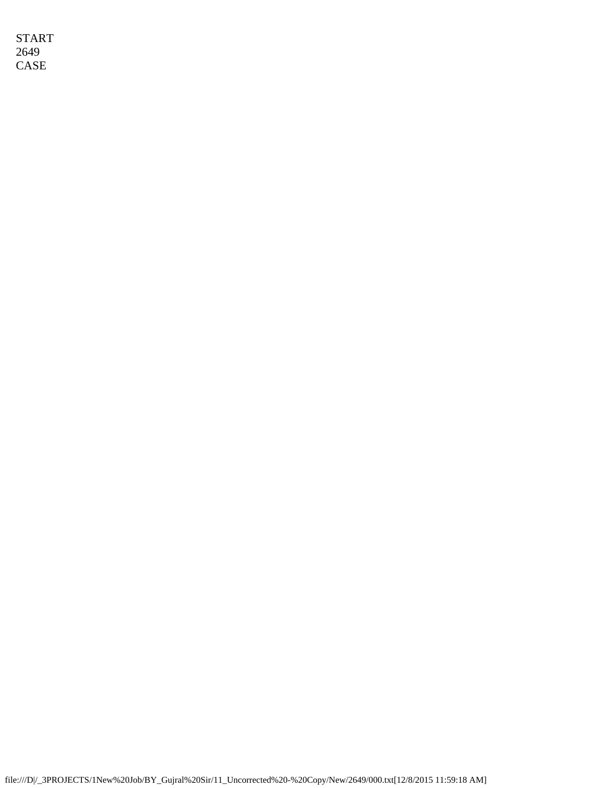START 2649 CASE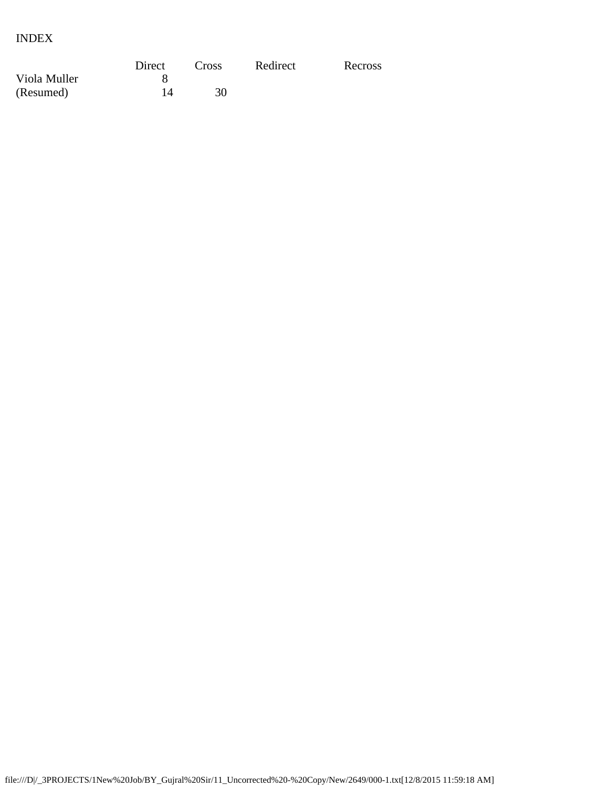# INDEX

|              | Direct | Cross | Redirect | Recross |
|--------------|--------|-------|----------|---------|
| Viola Muller |        |       |          |         |
| (Resumed)    |        | 30    |          |         |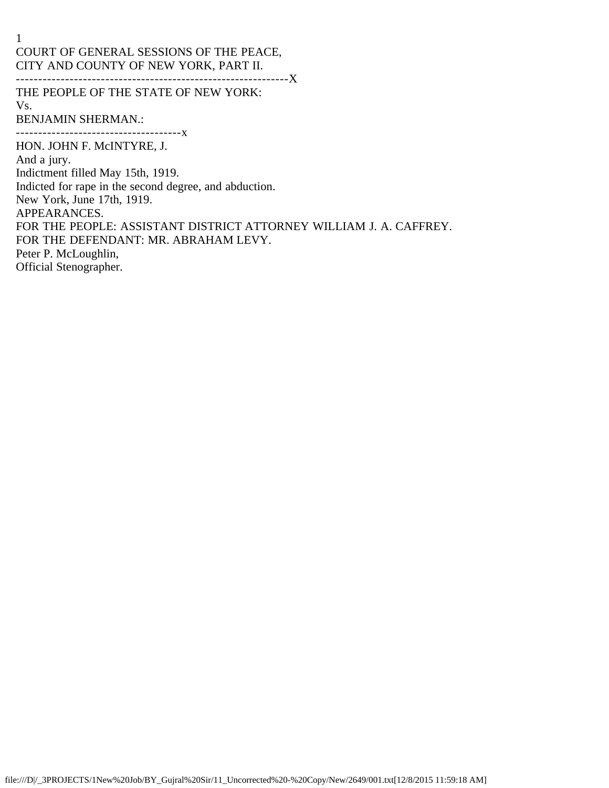1 COURT OF GENERAL SESSIONS OF THE PEACE, CITY AND COUNTY OF NEW YORK, PART II. -------------------------------------------------------------X

THE PEOPLE OF THE STATE OF NEW YORK:

Vs.

BENJAMIN SHERMAN.:

-------------------------------------x

HON. JOHN F. McINTYRE, J.

And a jury.

Indictment filled May 15th, 1919.

Indicted for rape in the second degree, and abduction.

New York, June 17th, 1919.

APPEARANCES.

FOR THE PEOPLE: ASSISTANT DISTRICT ATTORNEY WILLIAM J. A. CAFFREY.

FOR THE DEFENDANT: MR. ABRAHAM LEVY.

Peter P. McLoughlin,

Official Stenographer.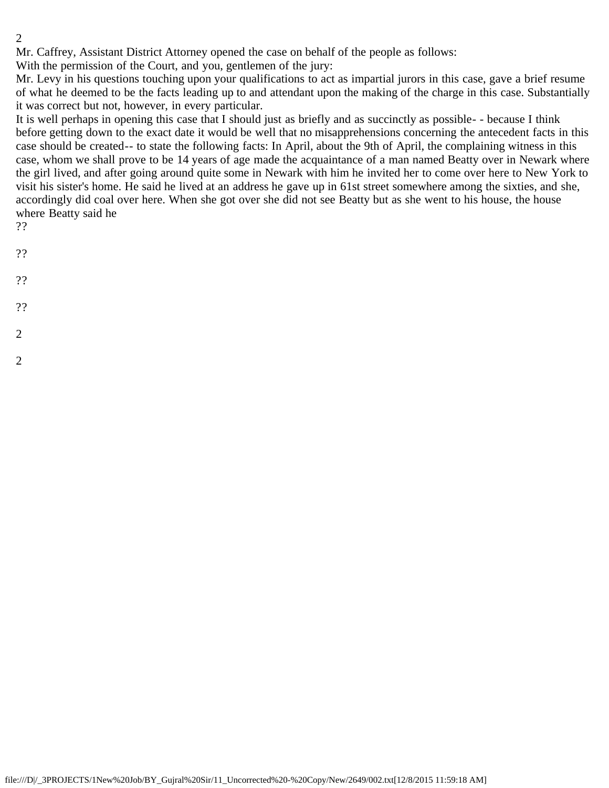Mr. Caffrey, Assistant District Attorney opened the case on behalf of the people as follows:

With the permission of the Court, and you, gentlemen of the jury:

Mr. Levy in his questions touching upon your qualifications to act as impartial jurors in this case, gave a brief resume of what he deemed to be the facts leading up to and attendant upon the making of the charge in this case. Substantially it was correct but not, however, in every particular.

It is well perhaps in opening this case that I should just as briefly and as succinctly as possible- - because I think before getting down to the exact date it would be well that no misapprehensions concerning the antecedent facts in this case should be created-- to state the following facts: In April, about the 9th of April, the complaining witness in this case, whom we shall prove to be 14 years of age made the acquaintance of a man named Beatty over in Newark where the girl lived, and after going around quite some in Newark with him he invited her to come over here to New York to visit his sister's home. He said he lived at an address he gave up in 61st street somewhere among the sixties, and she, accordingly did coal over here. When she got over she did not see Beatty but as she went to his house, the house where Beatty said he

- ??
- ??
- 
- ??
- 
- ??
- 2
- 
- 2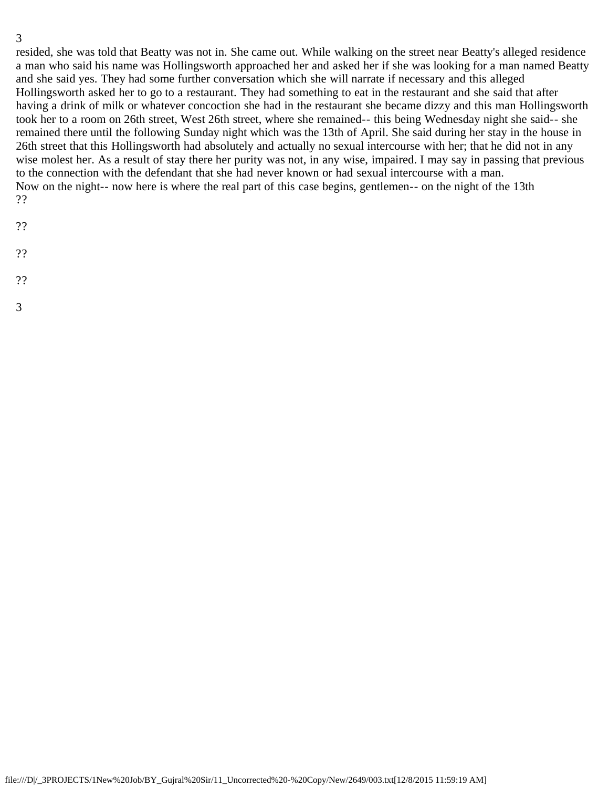resided, she was told that Beatty was not in. She came out. While walking on the street near Beatty's alleged residence a man who said his name was Hollingsworth approached her and asked her if she was looking for a man named Beatty and she said yes. They had some further conversation which she will narrate if necessary and this alleged Hollingsworth asked her to go to a restaurant. They had something to eat in the restaurant and she said that after having a drink of milk or whatever concoction she had in the restaurant she became dizzy and this man Hollingsworth took her to a room on 26th street, West 26th street, where she remained-- this being Wednesday night she said-- she remained there until the following Sunday night which was the 13th of April. She said during her stay in the house in 26th street that this Hollingsworth had absolutely and actually no sexual intercourse with her; that he did not in any wise molest her. As a result of stay there her purity was not, in any wise, impaired. I may say in passing that previous to the connection with the defendant that she had never known or had sexual intercourse with a man. Now on the night-- now here is where the real part of this case begins, gentlemen-- on the night of the 13th ??

- ??
- ??
- 
- ??
- 3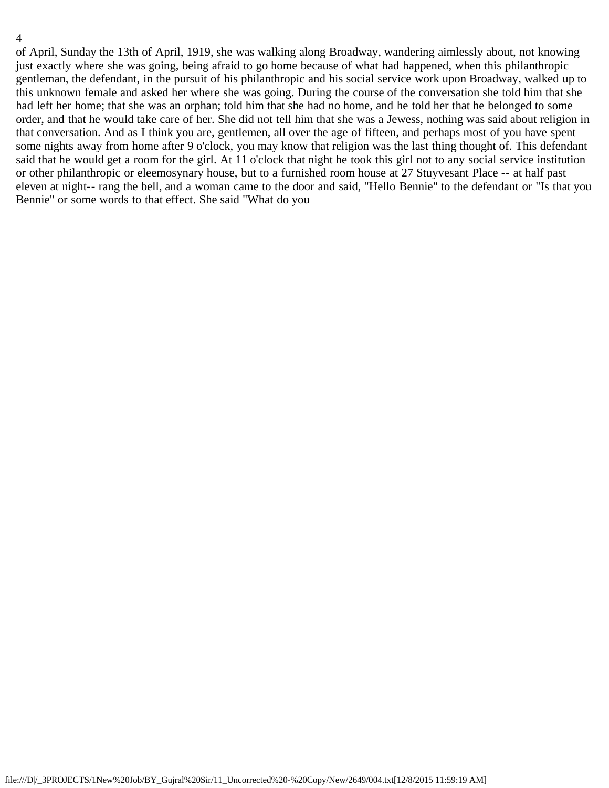of April, Sunday the 13th of April, 1919, she was walking along Broadway, wandering aimlessly about, not knowing just exactly where she was going, being afraid to go home because of what had happened, when this philanthropic gentleman, the defendant, in the pursuit of his philanthropic and his social service work upon Broadway, walked up to this unknown female and asked her where she was going. During the course of the conversation she told him that she had left her home; that she was an orphan; told him that she had no home, and he told her that he belonged to some order, and that he would take care of her. She did not tell him that she was a Jewess, nothing was said about religion in that conversation. And as I think you are, gentlemen, all over the age of fifteen, and perhaps most of you have spent some nights away from home after 9 o'clock, you may know that religion was the last thing thought of. This defendant said that he would get a room for the girl. At 11 o'clock that night he took this girl not to any social service institution or other philanthropic or eleemosynary house, but to a furnished room house at 27 Stuyvesant Place -- at half past eleven at night-- rang the bell, and a woman came to the door and said, "Hello Bennie" to the defendant or "Is that you Bennie" or some words to that effect. She said "What do you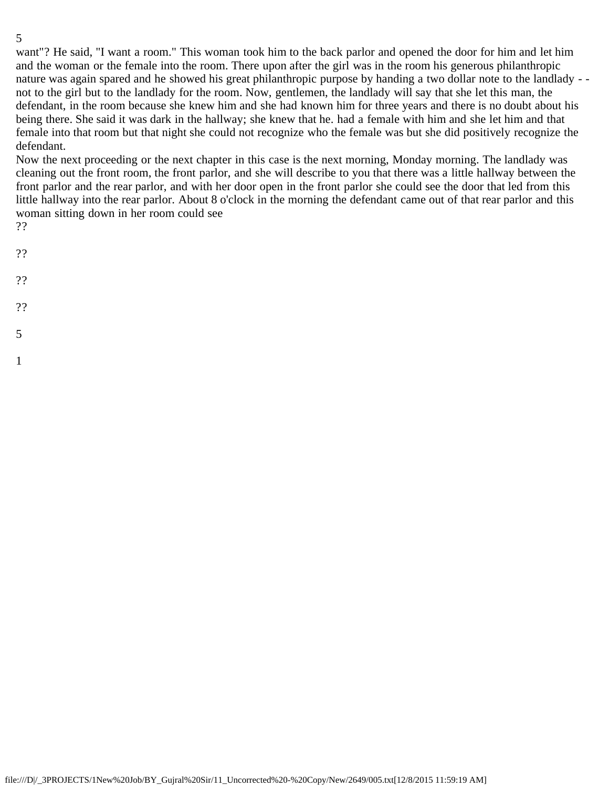want"? He said, "I want a room." This woman took him to the back parlor and opened the door for him and let him and the woman or the female into the room. There upon after the girl was in the room his generous philanthropic nature was again spared and he showed his great philanthropic purpose by handing a two dollar note to the landlady - not to the girl but to the landlady for the room. Now, gentlemen, the landlady will say that she let this man, the defendant, in the room because she knew him and she had known him for three years and there is no doubt about his being there. She said it was dark in the hallway; she knew that he. had a female with him and she let him and that female into that room but that night she could not recognize who the female was but she did positively recognize the defendant.

Now the next proceeding or the next chapter in this case is the next morning, Monday morning. The landlady was cleaning out the front room, the front parlor, and she will describe to you that there was a little hallway between the front parlor and the rear parlor, and with her door open in the front parlor she could see the door that led from this little hallway into the rear parlor. About 8 o'clock in the morning the defendant came out of that rear parlor and this woman sitting down in her room could see

??

- ??
- 
- ??
- ??
- 
- 5
- 1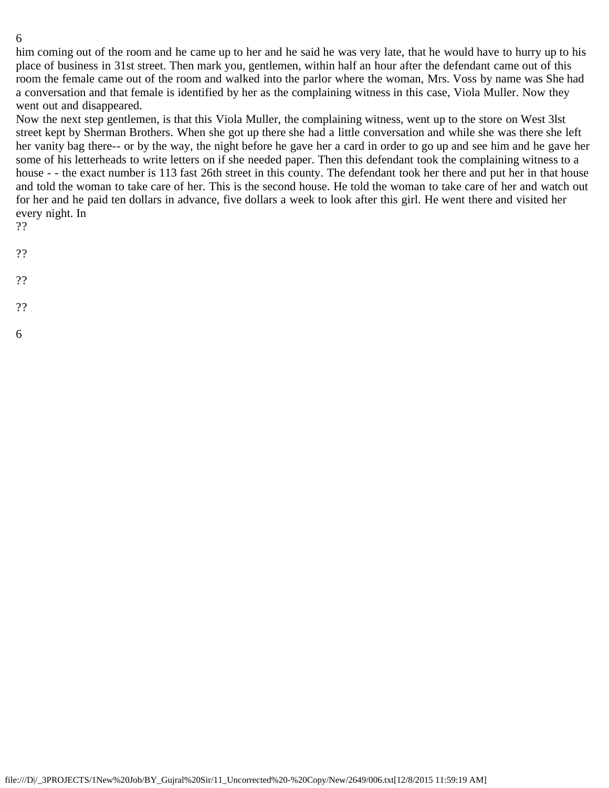him coming out of the room and he came up to her and he said he was very late, that he would have to hurry up to his place of business in 31st street. Then mark you, gentlemen, within half an hour after the defendant came out of this room the female came out of the room and walked into the parlor where the woman, Mrs. Voss by name was She had a conversation and that female is identified by her as the complaining witness in this case, Viola Muller. Now they went out and disappeared.

Now the next step gentlemen, is that this Viola Muller, the complaining witness, went up to the store on West 3lst street kept by Sherman Brothers. When she got up there she had a little conversation and while she was there she left her vanity bag there-- or by the way, the night before he gave her a card in order to go up and see him and he gave her some of his letterheads to write letters on if she needed paper. Then this defendant took the complaining witness to a house - - the exact number is 113 fast 26th street in this county. The defendant took her there and put her in that house and told the woman to take care of her. This is the second house. He told the woman to take care of her and watch out for her and he paid ten dollars in advance, five dollars a week to look after this girl. He went there and visited her every night. In

- ??
- ??
- 
- ??
- ??
- 6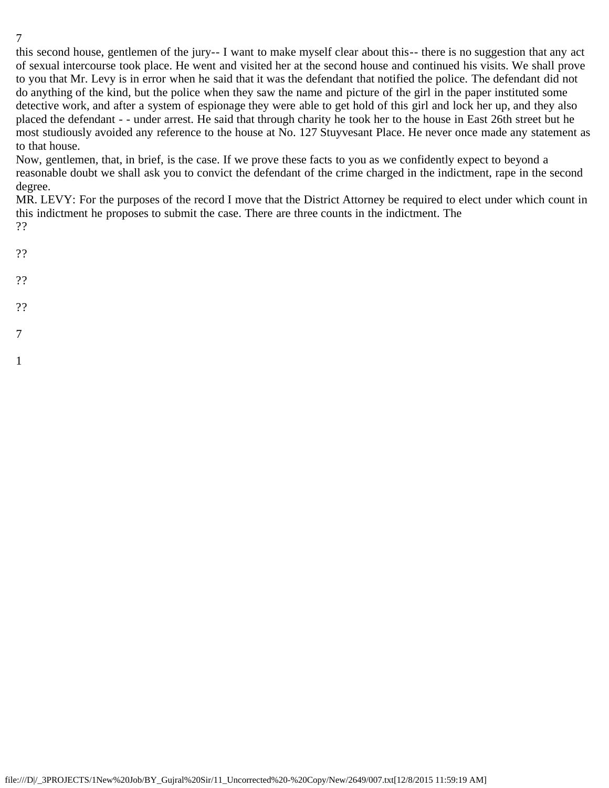this second house, gentlemen of the jury-- I want to make myself clear about this-- there is no suggestion that any act of sexual intercourse took place. He went and visited her at the second house and continued his visits. We shall prove to you that Mr. Levy is in error when he said that it was the defendant that notified the police. The defendant did not do anything of the kind, but the police when they saw the name and picture of the girl in the paper instituted some detective work, and after a system of espionage they were able to get hold of this girl and lock her up, and they also placed the defendant - - under arrest. He said that through charity he took her to the house in East 26th street but he most studiously avoided any reference to the house at No. 127 Stuyvesant Place. He never once made any statement as to that house.

Now, gentlemen, that, in brief, is the case. If we prove these facts to you as we confidently expect to beyond a reasonable doubt we shall ask you to convict the defendant of the crime charged in the indictment, rape in the second degree.

MR. LEVY: For the purposes of the record I move that the District Attorney be required to elect under which count in this indictment he proposes to submit the case. There are three counts in the indictment. The ??

- ??
- 
- ??
- ??
- 
- 7
- 1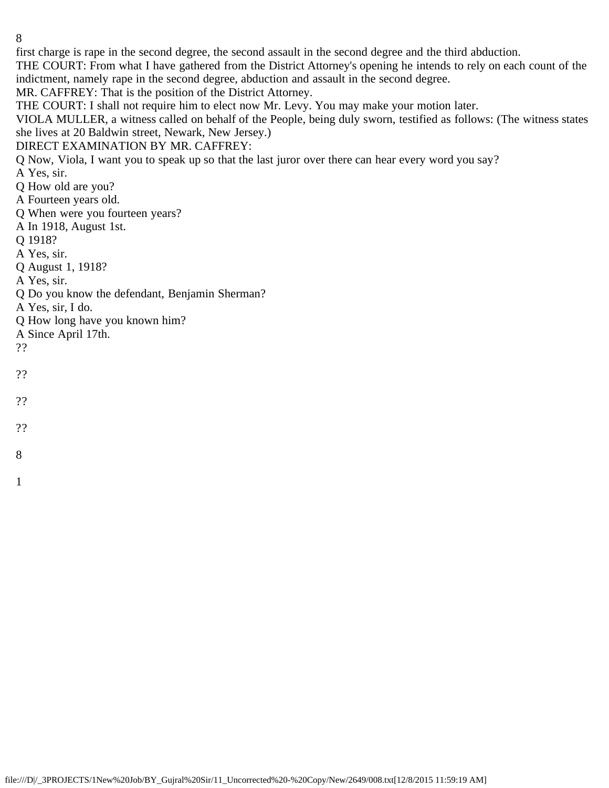first charge is rape in the second degree, the second assault in the second degree and the third abduction.

THE COURT: From what I have gathered from the District Attorney's opening he intends to rely on each count of the indictment, namely rape in the second degree, abduction and assault in the second degree.

MR. CAFFREY: That is the position of the District Attorney.

THE COURT: I shall not require him to elect now Mr. Levy. You may make your motion later.

VIOLA MULLER, a witness called on behalf of the People, being duly sworn, testified as follows: (The witness states she lives at 20 Baldwin street, Newark, New Jersey.)

DIRECT EXAMINATION BY MR. CAFFREY:

Q Now, Viola, I want you to speak up so that the last juror over there can hear every word you say?

A Yes, sir.

Q How old are you?

A Fourteen years old.

Q When were you fourteen years?

A In 1918, August 1st.

Q 1918?

A Yes, sir.

Q August 1, 1918?

A Yes, sir.

Q Do you know the defendant, Benjamin Sherman?

A Yes, sir, I do.

Q How long have you known him?

A Since April 17th.

??

??

??

??

8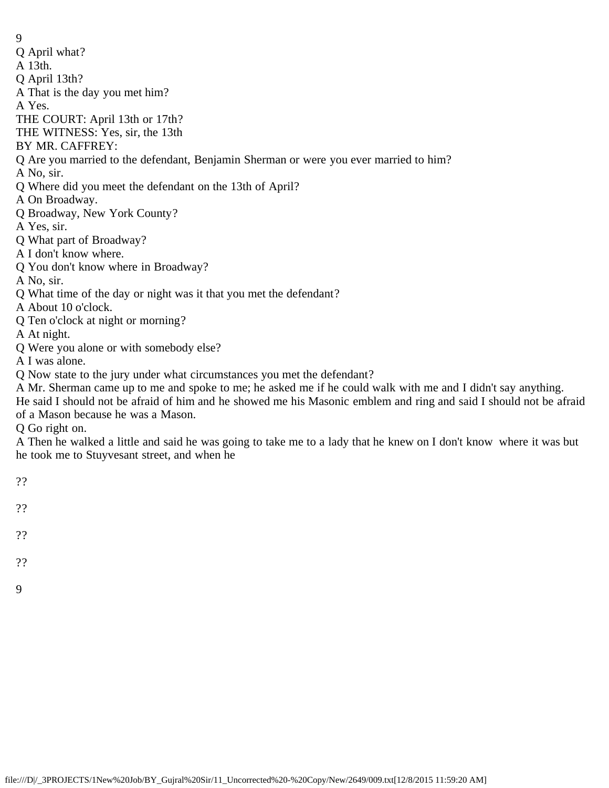- Q April what?
- A 13th.
- Q April 13th?
- A That is the day you met him?

A Yes.

THE COURT: April 13th or 17th?

THE WITNESS: Yes, sir, the 13th

BY MR. CAFFREY:

## Q Are you married to the defendant, Benjamin Sherman or were you ever married to him?

- A No, sir.
- Q Where did you meet the defendant on the 13th of April?
- A On Broadway.
- Q Broadway, New York County?
- A Yes, sir.
- Q What part of Broadway?
- A I don't know where.
- Q You don't know where in Broadway?
- A No, sir.
- Q What time of the day or night was it that you met the defendant?
- A About 10 o'clock.
- Q Ten o'clock at night or morning?
- A At night.
- Q Were you alone or with somebody else?
- A I was alone.
- Q Now state to the jury under what circumstances you met the defendant?
- A Mr. Sherman came up to me and spoke to me; he asked me if he could walk with me and I didn't say anything.
- He said I should not be afraid of him and he showed me his Masonic emblem and ring and said I should not be afraid of a Mason because he was a Mason.

Q Go right on.

A Then he walked a little and said he was going to take me to a lady that he knew on I don't know where it was but he took me to Stuyvesant street, and when he

- ??
- ??
- 
- ??
- 
- ??
- 9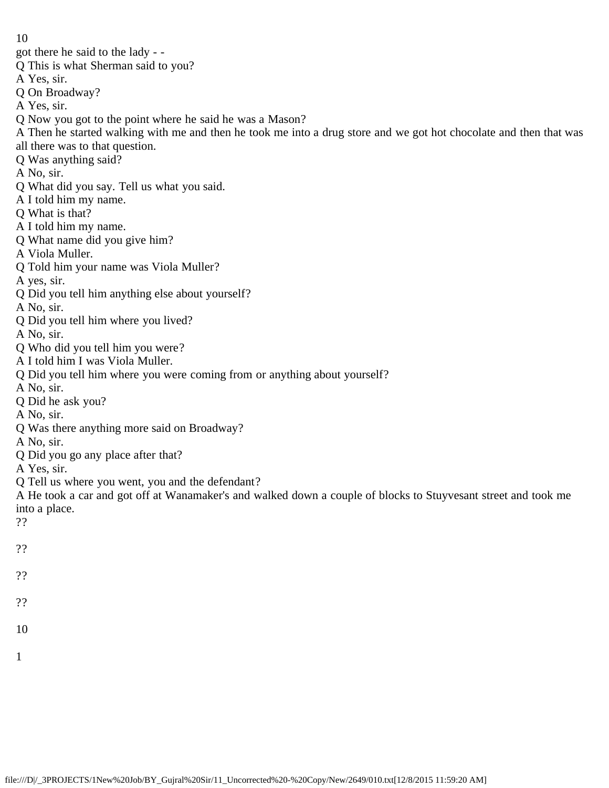got there he said to the lady - -

- Q This is what Sherman said to you?
- A Yes, sir.
- Q On Broadway?
- A Yes, sir.
- Q Now you got to the point where he said he was a Mason?
- A Then he started walking with me and then he took me into a drug store and we got hot chocolate and then that was all there was to that question.
- Q Was anything said?
- A No, sir.
- Q What did you say. Tell us what you said.
- A I told him my name.
- Q What is that?
- A I told him my name.
- Q What name did you give him?
- A Viola Muller.
- Q Told him your name was Viola Muller?
- A yes, sir.
- Q Did you tell him anything else about yourself?
- A No, sir.
- Q Did you tell him where you lived?
- A No, sir.
- Q Who did you tell him you were?
- A I told him I was Viola Muller.
- Q Did you tell him where you were coming from or anything about yourself?
- A No, sir.
- Q Did he ask you?
- A No, sir.
- Q Was there anything more said on Broadway?
- A No, sir.
- Q Did you go any place after that?
- A Yes, sir.
- Q Tell us where you went, you and the defendant?
- A He took a car and got off at Wanamaker's and walked down a couple of blocks to Stuyvesant street and took me into a place.
- ??
- ??
- ??
- 
- ??
- 10
- 1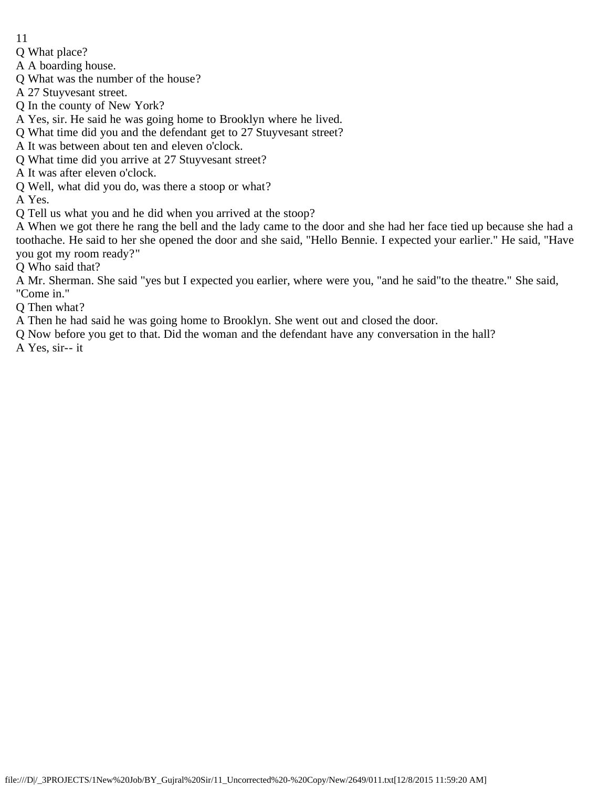- 11
- Q What place?
- A A boarding house.
- Q What was the number of the house?
- A 27 Stuyvesant street.
- Q In the county of New York?
- A Yes, sir. He said he was going home to Brooklyn where he lived.
- Q What time did you and the defendant get to 27 Stuyvesant street?
- A It was between about ten and eleven o'clock.
- Q What time did you arrive at 27 Stuyvesant street?
- A It was after eleven o'clock.
- Q Well, what did you do, was there a stoop or what?

A Yes.

- Q Tell us what you and he did when you arrived at the stoop?
- A When we got there he rang the bell and the lady came to the door and she had her face tied up because she had a toothache. He said to her she opened the door and she said, "Hello Bennie. I expected your earlier." He said, "Have you got my room ready?"
- Q Who said that?
- A Mr. Sherman. She said "yes but I expected you earlier, where were you, "and he said"to the theatre." She said, "Come in."
- Q Then what?
- A Then he had said he was going home to Brooklyn. She went out and closed the door.
- Q Now before you get to that. Did the woman and the defendant have any conversation in the hall?
- A Yes, sir-- it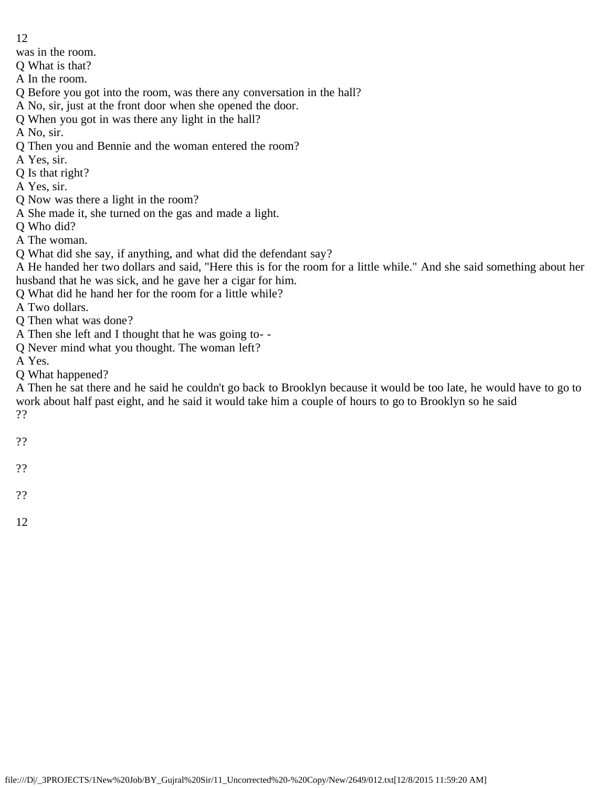was in the room.

- Q What is that?
- A In the room.
- Q Before you got into the room, was there any conversation in the hall?
- A No, sir, just at the front door when she opened the door.
- Q When you got in was there any light in the hall?
- A No, sir.
- Q Then you and Bennie and the woman entered the room?
- A Yes, sir.
- Q Is that right?
- A Yes, sir.
- Q Now was there a light in the room?
- A She made it, she turned on the gas and made a light.
- Q Who did?
- A The woman.
- Q What did she say, if anything, and what did the defendant say?
- A He handed her two dollars and said, "Here this is for the room for a little while." And she said something about her husband that he was sick, and he gave her a cigar for him.
- Q What did he hand her for the room for a little while?
- A Two dollars.
- Q Then what was done?
- A Then she left and I thought that he was going to- -
- Q Never mind what you thought. The woman left?
- A Yes.
- Q What happened?

A Then he sat there and he said he couldn't go back to Brooklyn because it would be too late, he would have to go to work about half past eight, and he said it would take him a couple of hours to go to Brooklyn so he said ??

- 
- ??
- ??
- ??
- 
- 12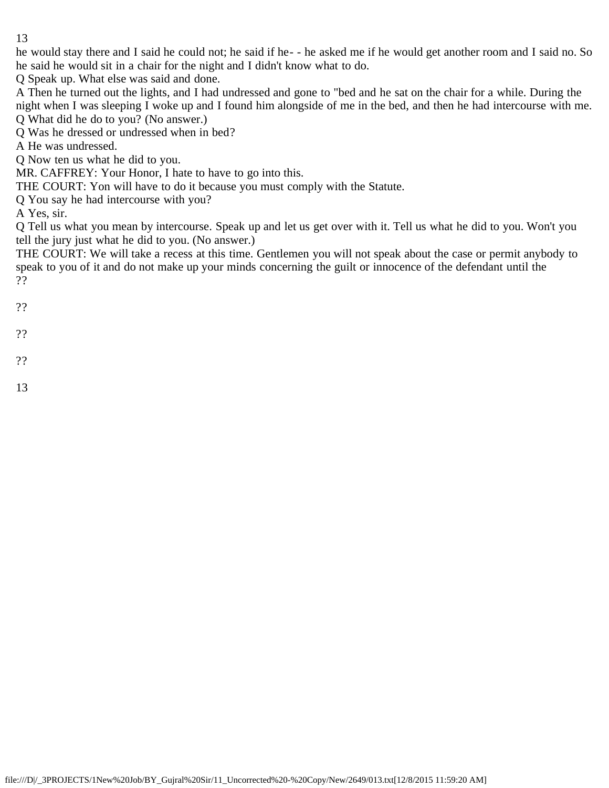he would stay there and I said he could not; he said if he- - he asked me if he would get another room and I said no. So he said he would sit in a chair for the night and I didn't know what to do.

Q Speak up. What else was said and done.

A Then he turned out the lights, and I had undressed and gone to "bed and he sat on the chair for a while. During the night when I was sleeping I woke up and I found him alongside of me in the bed, and then he had intercourse with me. Q What did he do to you? (No answer.)

Q Was he dressed or undressed when in bed?

A He was undressed.

Q Now ten us what he did to you.

MR. CAFFREY: Your Honor, I hate to have to go into this.

THE COURT: Yon will have to do it because you must comply with the Statute.

Q You say he had intercourse with you?

A Yes, sir.

Q Tell us what you mean by intercourse. Speak up and let us get over with it. Tell us what he did to you. Won't you tell the jury just what he did to you. (No answer.)

THE COURT: We will take a recess at this time. Gentlemen you will not speak about the case or permit anybody to speak to you of it and do not make up your minds concerning the guilt or innocence of the defendant until the ??

??

??

- ??
- 13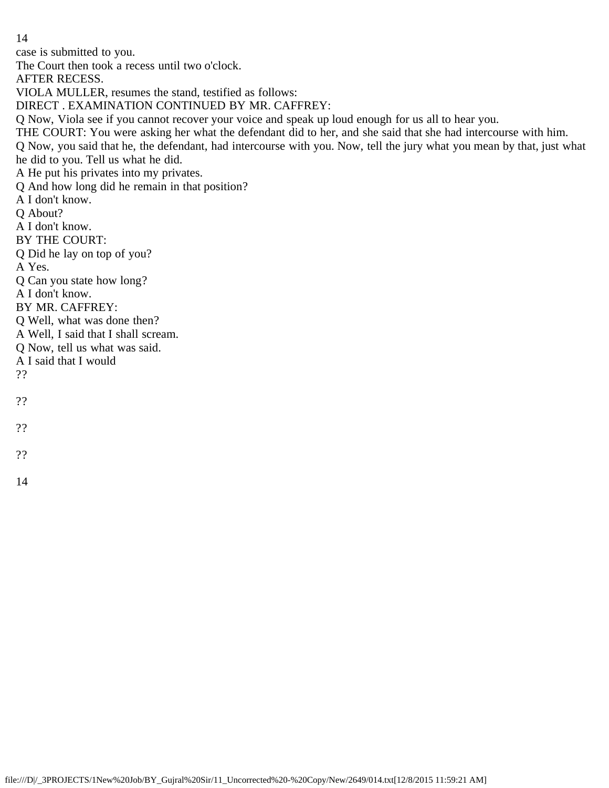case is submitted to you.

The Court then took a recess until two o'clock.

AFTER RECESS.

VIOLA MULLER, resumes the stand, testified as follows:

DIRECT . EXAMINATION CONTINUED BY MR. CAFFREY:

Q Now, Viola see if you cannot recover your voice and speak up loud enough for us all to hear you.

THE COURT: You were asking her what the defendant did to her, and she said that she had intercourse with him.

Q Now, you said that he, the defendant, had intercourse with you. Now, tell the jury what you mean by that, just what he did to you. Tell us what he did.

A He put his privates into my privates.

Q And how long did he remain in that position?

A I don't know.

Q About?

A I don't know.

BY THE COURT:

Q Did he lay on top of you?

A Yes.

Q Can you state how long?

A I don't know.

BY MR. CAFFREY:

Q Well, what was done then?

A Well, I said that I shall scream.

Q Now, tell us what was said.

A I said that I would

??

??

??

??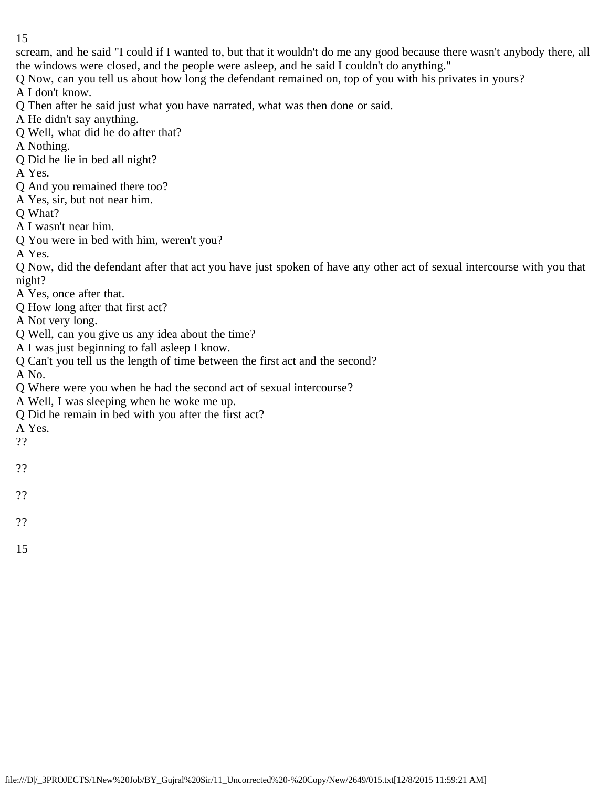scream, and he said "I could if I wanted to, but that it wouldn't do me any good because there wasn't anybody there, all the windows were closed, and the people were asleep, and he said I couldn't do anything."

Q Now, can you tell us about how long the defendant remained on, top of you with his privates in yours?

A I don't know.

Q Then after he said just what you have narrated, what was then done or said.

A He didn't say anything.

- Q Well, what did he do after that?
- A Nothing.
- Q Did he lie in bed all night?
- A Yes.
- Q And you remained there too?
- A Yes, sir, but not near him.

Q What?

A I wasn't near him.

Q You were in bed with him, weren't you?

A Yes.

Q Now, did the defendant after that act you have just spoken of have any other act of sexual intercourse with you that night?

- A Yes, once after that.
- Q How long after that first act?

A Not very long.

- Q Well, can you give us any idea about the time?
- A I was just beginning to fall asleep I know.
- Q Can't you tell us the length of time between the first act and the second?

A No.

- Q Where were you when he had the second act of sexual intercourse?
- A Well, I was sleeping when he woke me up.
- Q Did he remain in bed with you after the first act?

A Yes.

- ??
- ??
- ??
- 
- ??
- 15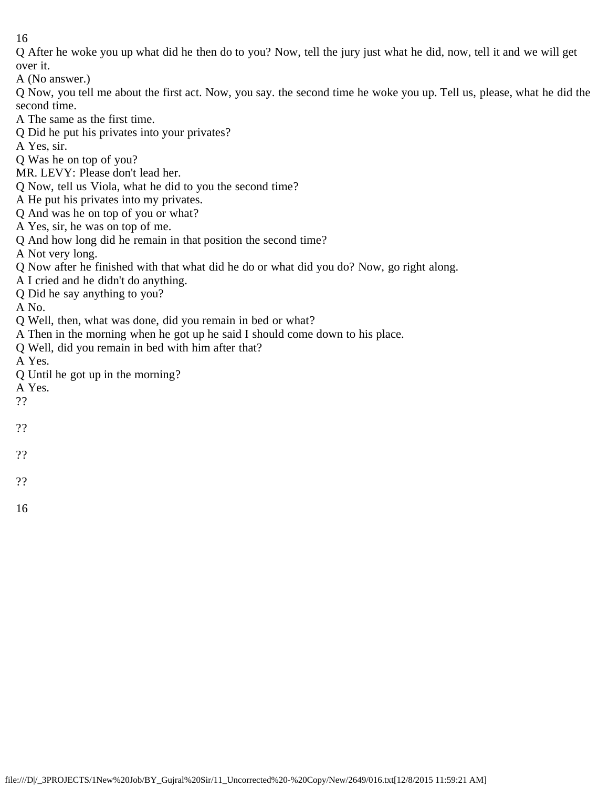Q After he woke you up what did he then do to you? Now, tell the jury just what he did, now, tell it and we will get over it.

A (No answer.)

Q Now, you tell me about the first act. Now, you say. the second time he woke you up. Tell us, please, what he did the second time.

A The same as the first time.

Q Did he put his privates into your privates?

A Yes, sir.

Q Was he on top of you?

MR. LEVY: Please don't lead her.

Q Now, tell us Viola, what he did to you the second time?

A He put his privates into my privates.

- Q And was he on top of you or what?
- A Yes, sir, he was on top of me.
- Q And how long did he remain in that position the second time?

A Not very long.

Q Now after he finished with that what did he do or what did you do? Now, go right along.

A I cried and he didn't do anything.

Q Did he say anything to you?

A No.

- Q Well, then, what was done, did you remain in bed or what?
- A Then in the morning when he got up he said I should come down to his place.
- Q Well, did you remain in bed with him after that?

A Yes.

Q Until he got up in the morning?

A Yes.

- ??
- ??

??

??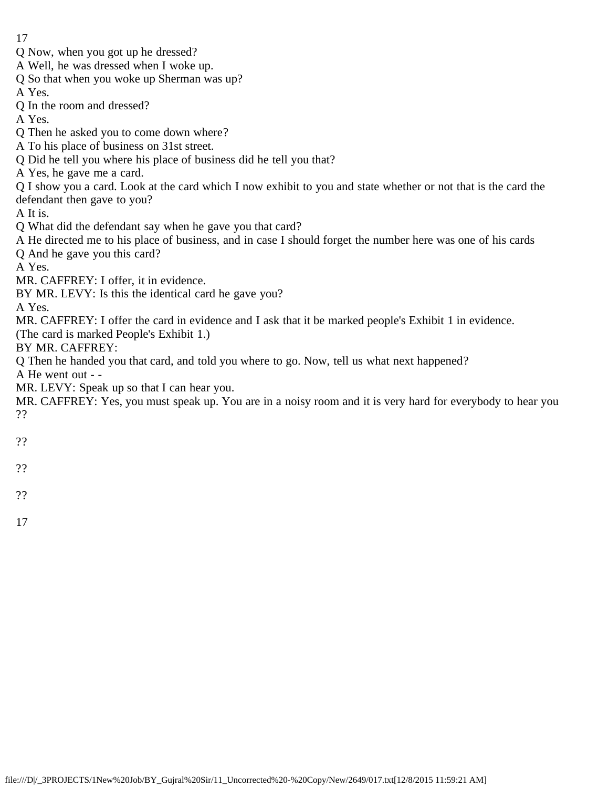- 17
- Q Now, when you got up he dressed?
- A Well, he was dressed when I woke up.
- Q So that when you woke up Sherman was up?
- A Yes.
- Q In the room and dressed?
- A Yes.
- Q Then he asked you to come down where?
- A To his place of business on 31st street.
- Q Did he tell you where his place of business did he tell you that?
- A Yes, he gave me a card.
- Q I show you a card. Look at the card which I now exhibit to you and state whether or not that is the card the defendant then gave to you?
- A It is.
- Q What did the defendant say when he gave you that card?
- A He directed me to his place of business, and in case I should forget the number here was one of his cards
- Q And he gave you this card?
- A Yes.
- MR. CAFFREY: I offer, it in evidence.
- BY MR. LEVY: Is this the identical card he gave you?

A Yes.

MR. CAFFREY: I offer the card in evidence and I ask that it be marked people's Exhibit 1 in evidence.

(The card is marked People's Exhibit 1.)

BY MR. CAFFREY:

Q Then he handed you that card, and told you where to go. Now, tell us what next happened?

A He went out - -

MR. LEVY: Speak up so that I can hear you.

MR. CAFFREY: Yes, you must speak up. You are in a noisy room and it is very hard for everybody to hear you ??

- 
- ??
- ??
- 
- ??
- 17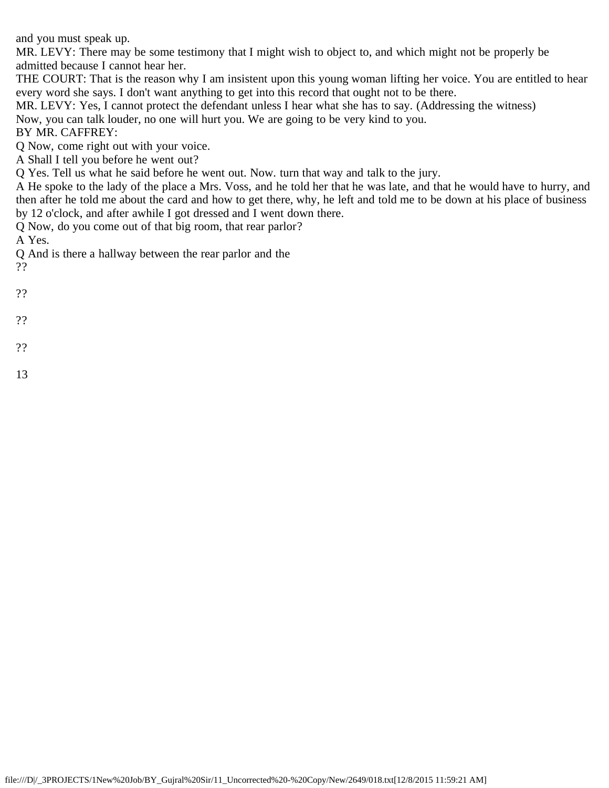and you must speak up.

MR. LEVY: There may be some testimony that I might wish to object to, and which might not be properly be admitted because I cannot hear her.

THE COURT: That is the reason why I am insistent upon this young woman lifting her voice. You are entitled to hear every word she says. I don't want anything to get into this record that ought not to be there.

MR. LEVY: Yes, I cannot protect the defendant unless I hear what she has to say. (Addressing the witness) Now, you can talk louder, no one will hurt you. We are going to be very kind to you.

BY MR. CAFFREY:

Q Now, come right out with your voice.

A Shall I tell you before he went out?

Q Yes. Tell us what he said before he went out. Now. turn that way and talk to the jury.

A He spoke to the lady of the place a Mrs. Voss, and he told her that he was late, and that he would have to hurry, and then after he told me about the card and how to get there, why, he left and told me to be down at his place of business by 12 o'clock, and after awhile I got dressed and I went down there.

Q Now, do you come out of that big room, that rear parlor?

A Yes.

Q And is there a hallway between the rear parlor and the ??

??

??

??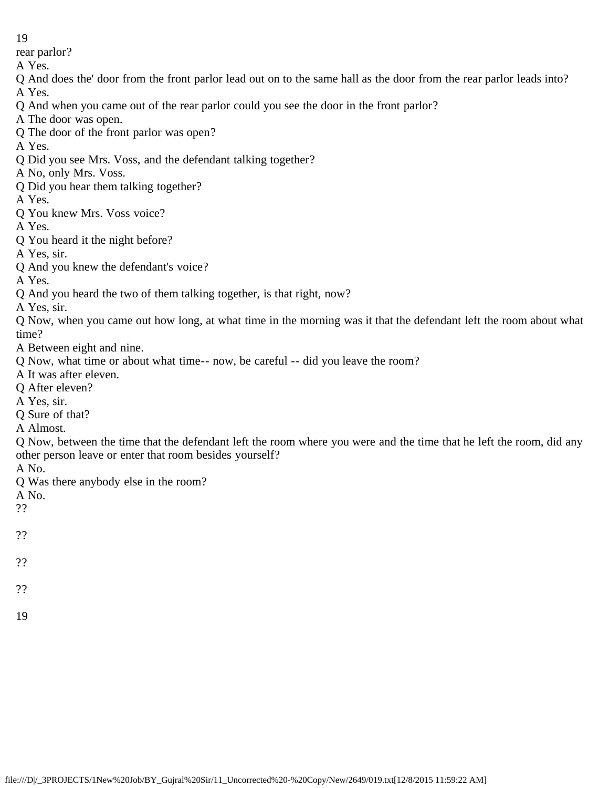rear parlor?

A Yes.

Q And does the' door from the front parlor lead out on to the same hall as the door from the rear parlor leads into? A Yes.

Q And when you came out of the rear parlor could you see the door in the front parlor?

A The door was open.

Q The door of the front parlor was open?

A Yes.

Q Did you see Mrs. Voss, and the defendant talking together?

A No, only Mrs. Voss.

Q Did you hear them talking together?

A Yes.

Q You knew Mrs. Voss voice?

A Yes.

Q You heard it the night before?

A Yes, sir.

Q And you knew the defendant's voice?

A Yes.

Q And you heard the two of them talking together, is that right, now?

A Yes, sir.

Q Now, when you came out how long, at what time in the morning was it that the defendant left the room about what time?

A Between eight and nine.

Q Now, what time or about what time-- now, be careful -- did you leave the room?

A It was after eleven.

Q After eleven?

A Yes, sir.

Q Sure of that?

A Almost.

Q Now, between the time that the defendant left the room where you were and the time that he left the room, did any other person leave or enter that room besides yourself?

A No.

Q Was there anybody else in the room?

A No.

??

??

??

??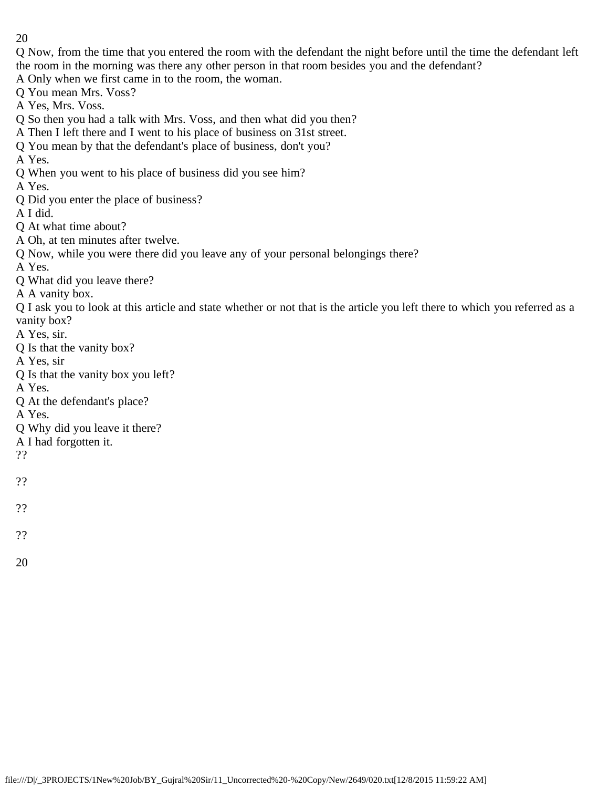Q Now, from the time that you entered the room with the defendant the night before until the time the defendant left the room in the morning was there any other person in that room besides you and the defendant?

A Only when we first came in to the room, the woman.

Q You mean Mrs. Voss?

A Yes, Mrs. Voss.

Q So then you had a talk with Mrs. Voss, and then what did you then?

A Then I left there and I went to his place of business on 31st street.

Q You mean by that the defendant's place of business, don't you?

A Yes.

Q When you went to his place of business did you see him?

A Yes.

Q Did you enter the place of business?

A I did.

Q At what time about?

A Oh, at ten minutes after twelve.

Q Now, while you were there did you leave any of your personal belongings there?

A Yes.

Q What did you leave there?

A A vanity box.

Q I ask you to look at this article and state whether or not that is the article you left there to which you referred as a vanity box?

A Yes, sir.

- Q Is that the vanity box?
- A Yes, sir
- Q Is that the vanity box you left?

A Yes.

Q At the defendant's place?

A Yes.

- Q Why did you leave it there?
- A I had forgotten it.

??

- ??
- 
- ??
- ??
- 20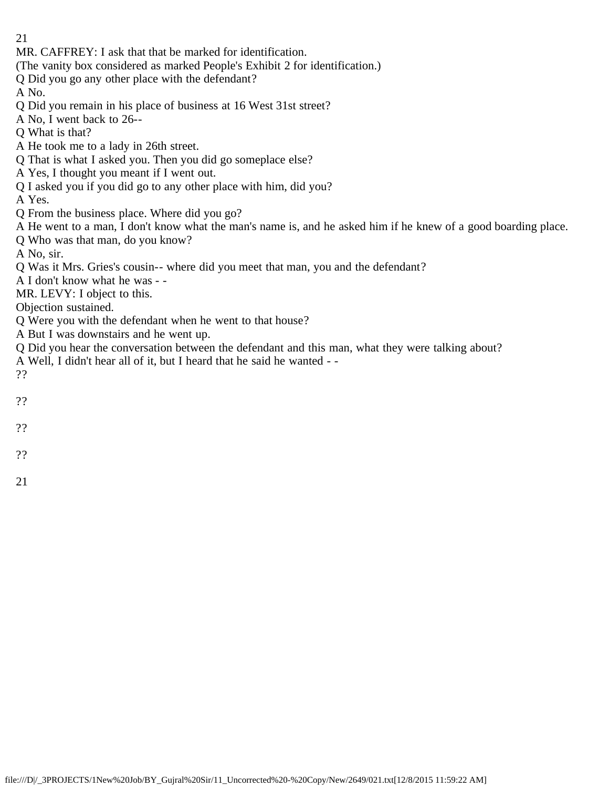- 21
- MR. CAFFREY: I ask that that be marked for identification.
- (The vanity box considered as marked People's Exhibit 2 for identification.)
- Q Did you go any other place with the defendant?
- A No.
- Q Did you remain in his place of business at 16 West 31st street?
- A No, I went back to 26--
- Q What is that?
- A He took me to a lady in 26th street.
- Q That is what I asked you. Then you did go someplace else?
- A Yes, I thought you meant if I went out.
- Q I asked you if you did go to any other place with him, did you?
- A Yes.
- Q From the business place. Where did you go?
- A He went to a man, I don't know what the man's name is, and he asked him if he knew of a good boarding place.
- Q Who was that man, do you know?
- A No, sir.
- Q Was it Mrs. Gries's cousin-- where did you meet that man, you and the defendant?
- A I don't know what he was -
- MR. LEVY: I object to this.
- Objection sustained.
- Q Were you with the defendant when he went to that house?
- A But I was downstairs and he went up.
- Q Did you hear the conversation between the defendant and this man, what they were talking about?
- A Well, I didn't hear all of it, but I heard that he said he wanted -
- ??
- ??
- ??
- 

??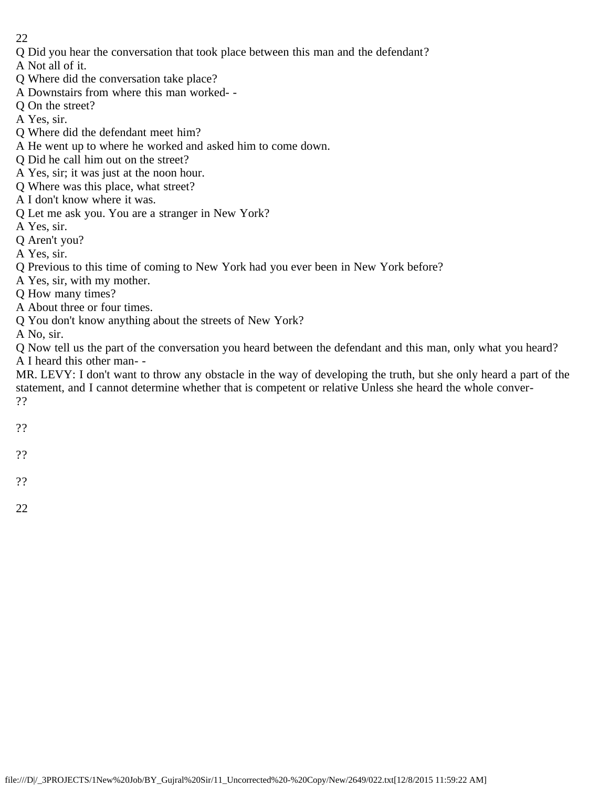Q Did you hear the conversation that took place between this man and the defendant?

A Not all of it.

- Q Where did the conversation take place?
- A Downstairs from where this man worked- -
- Q On the street?
- A Yes, sir.
- Q Where did the defendant meet him?
- A He went up to where he worked and asked him to come down.
- Q Did he call him out on the street?
- A Yes, sir; it was just at the noon hour.
- Q Where was this place, what street?
- A I don't know where it was.
- Q Let me ask you. You are a stranger in New York?
- A Yes, sir.
- Q Aren't you?
- A Yes, sir.
- Q Previous to this time of coming to New York had you ever been in New York before?
- A Yes, sir, with my mother.
- Q How many times?
- A About three or four times.
- Q You don't know anything about the streets of New York?
- A No, sir.

Q Now tell us the part of the conversation you heard between the defendant and this man, only what you heard? A I heard this other man- -

MR. LEVY: I don't want to throw any obstacle in the way of developing the truth, but she only heard a part of the statement, and I cannot determine whether that is competent or relative Unless she heard the whole conver- ??

- ??
- 
- ??
- ??
- 22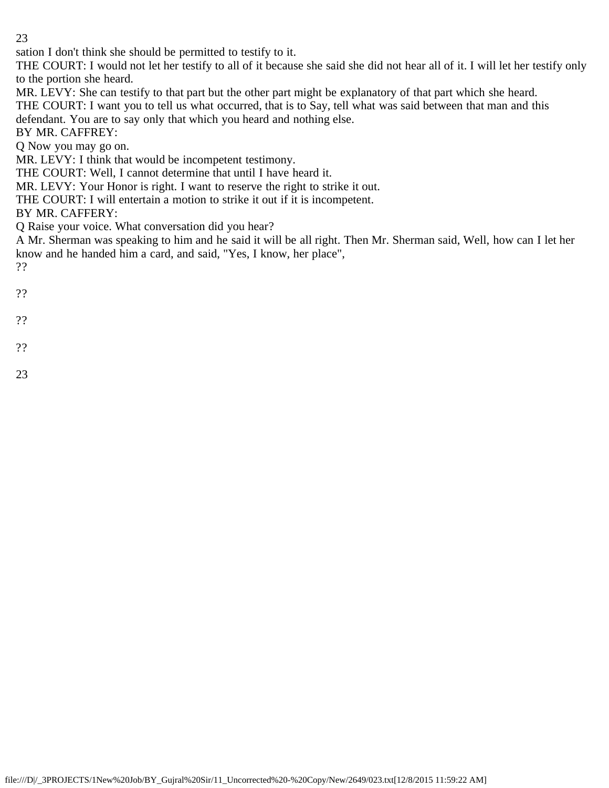sation I don't think she should be permitted to testify to it.

THE COURT: I would not let her testify to all of it because she said she did not hear all of it. I will let her testify only to the portion she heard.

MR. LEVY: She can testify to that part but the other part might be explanatory of that part which she heard.

THE COURT: I want you to tell us what occurred, that is to Say, tell what was said between that man and this

defendant. You are to say only that which you heard and nothing else.

BY MR. CAFFREY:

Q Now you may go on.

MR. LEVY: I think that would be incompetent testimony.

THE COURT: Well, I cannot determine that until I have heard it.

MR. LEVY: Your Honor is right. I want to reserve the right to strike it out.

THE COURT: I will entertain a motion to strike it out if it is incompetent.

BY MR. CAFFERY:

Q Raise your voice. What conversation did you hear?

A Mr. Sherman was speaking to him and he said it will be all right. Then Mr. Sherman said, Well, how can I let her know and he handed him a card, and said, "Yes, I know, her place",

??

- ??
- 
- ??
- ??
- 23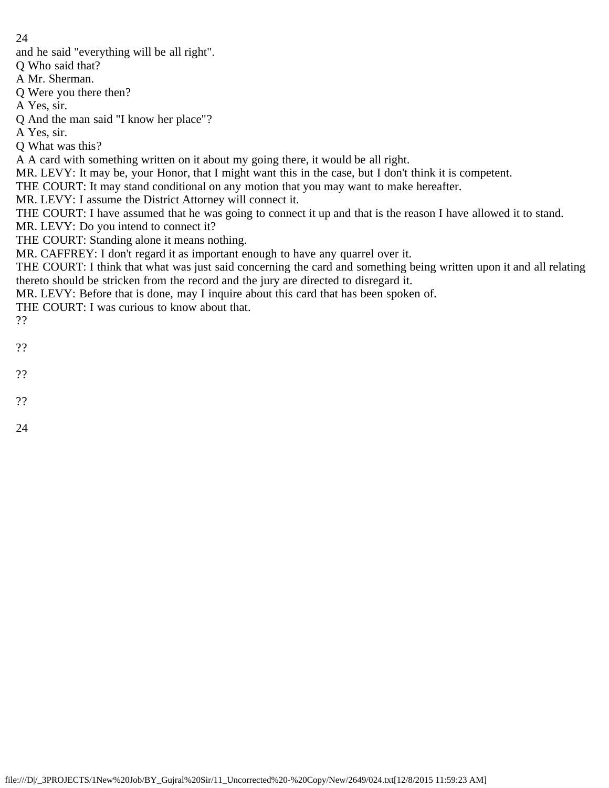and he said "everything will be all right".

Q Who said that?

A Mr. Sherman.

Q Were you there then?

A Yes, sir.

Q And the man said "I know her place"?

A Yes, sir.

Q What was this?

A A card with something written on it about my going there, it would be all right.

MR. LEVY: It may be, your Honor, that I might want this in the case, but I don't think it is competent.

THE COURT: It may stand conditional on any motion that you may want to make hereafter.

MR. LEVY: I assume the District Attorney will connect it.

THE COURT: I have assumed that he was going to connect it up and that is the reason I have allowed it to stand.

MR. LEVY: Do you intend to connect it?

THE COURT: Standing alone it means nothing.

MR. CAFFREY: I don't regard it as important enough to have any quarrel over it.

THE COURT: I think that what was just said concerning the card and something being written upon it and all relating thereto should be stricken from the record and the jury are directed to disregard it.

MR. LEVY: Before that is done, may I inquire about this card that has been spoken of.

THE COURT: I was curious to know about that.

??

- ??
- 
- ??
- ??
- 24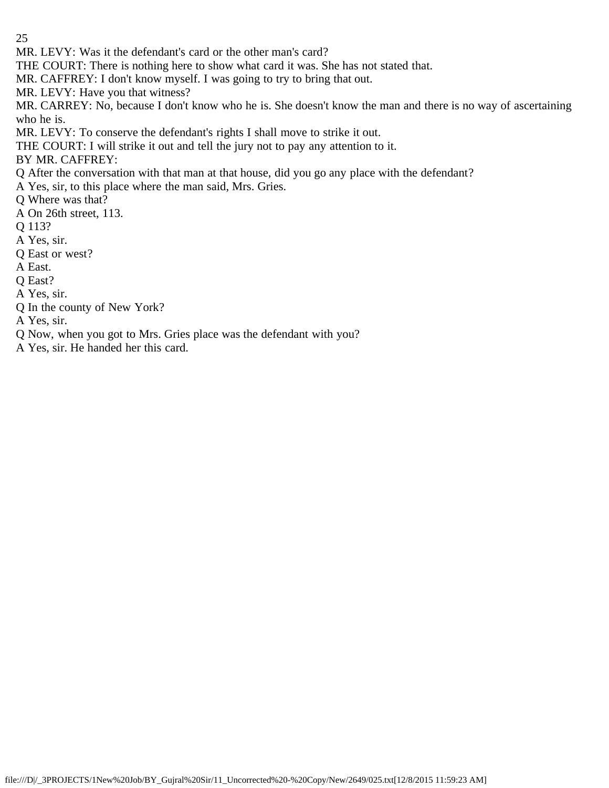MR. LEVY: Was it the defendant's card or the other man's card?

THE COURT: There is nothing here to show what card it was. She has not stated that.

MR. CAFFREY: I don't know myself. I was going to try to bring that out.

MR. LEVY: Have you that witness?

MR. CARREY: No, because I don't know who he is. She doesn't know the man and there is no way of ascertaining who he is.

MR. LEVY: To conserve the defendant's rights I shall move to strike it out.

THE COURT: I will strike it out and tell the jury not to pay any attention to it.

BY MR. CAFFREY:

Q After the conversation with that man at that house, did you go any place with the defendant?

A Yes, sir, to this place where the man said, Mrs. Gries.

Q Where was that?

A On 26th street, 113.

Q 113?

- A Yes, sir.
- Q East or west?

A East.

Q East?

A Yes, sir.

Q In the county of New York?

A Yes, sir.

Q Now, when you got to Mrs. Gries place was the defendant with you?

A Yes, sir. He handed her this card.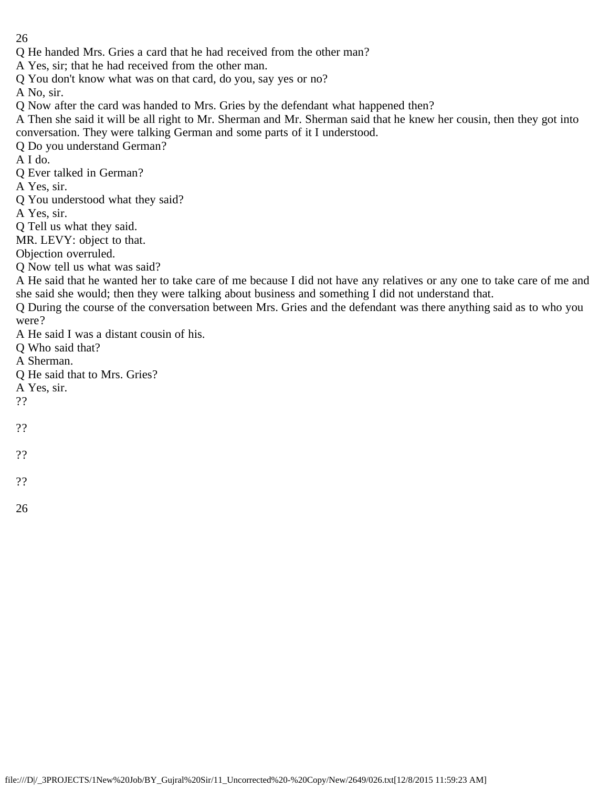Q He handed Mrs. Gries a card that he had received from the other man?

A Yes, sir; that he had received from the other man.

Q You don't know what was on that card, do you, say yes or no?

A No, sir.

Q Now after the card was handed to Mrs. Gries by the defendant what happened then?

A Then she said it will be all right to Mr. Sherman and Mr. Sherman said that he knew her cousin, then they got into conversation. They were talking German and some parts of it I understood.

Q Do you understand German?

A I do.

Q Ever talked in German?

A Yes, sir.

Q You understood what they said?

A Yes, sir.

Q Tell us what they said.

MR. LEVY: object to that.

Objection overruled.

Q Now tell us what was said?

A He said that he wanted her to take care of me because I did not have any relatives or any one to take care of me and she said she would; then they were talking about business and something I did not understand that.

Q During the course of the conversation between Mrs. Gries and the defendant was there anything said as to who you were?

A He said I was a distant cousin of his.

Q Who said that?

A Sherman.

Q He said that to Mrs. Gries?

A Yes, sir.

??

??

??

??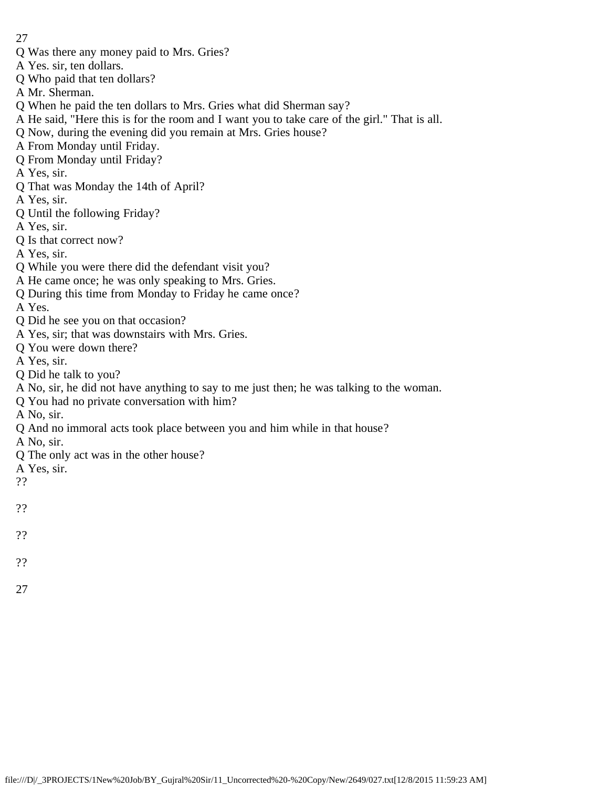- Q Was there any money paid to Mrs. Gries?
- A Yes. sir, ten dollars.
- Q Who paid that ten dollars?
- A Mr. Sherman.
- Q When he paid the ten dollars to Mrs. Gries what did Sherman say?
- A He said, "Here this is for the room and I want you to take care of the girl." That is all.
- Q Now, during the evening did you remain at Mrs. Gries house?
- A From Monday until Friday.
- Q From Monday until Friday?
- A Yes, sir.
- Q That was Monday the 14th of April?
- A Yes, sir.
- Q Until the following Friday?
- A Yes, sir.
- Q Is that correct now?
- A Yes, sir.
- Q While you were there did the defendant visit you?
- A He came once; he was only speaking to Mrs. Gries.
- Q During this time from Monday to Friday he came once?
- A Yes.
- Q Did he see you on that occasion?
- A Yes, sir; that was downstairs with Mrs. Gries.
- Q You were down there?
- A Yes, sir.
- Q Did he talk to you?
- A No, sir, he did not have anything to say to me just then; he was talking to the woman.
- Q You had no private conversation with him?
- A No, sir.
- Q And no immoral acts took place between you and him while in that house?
- A No, sir.
- Q The only act was in the other house?
- A Yes, sir.
- ??
- ??
- 
- ??
- ??
- 
- 27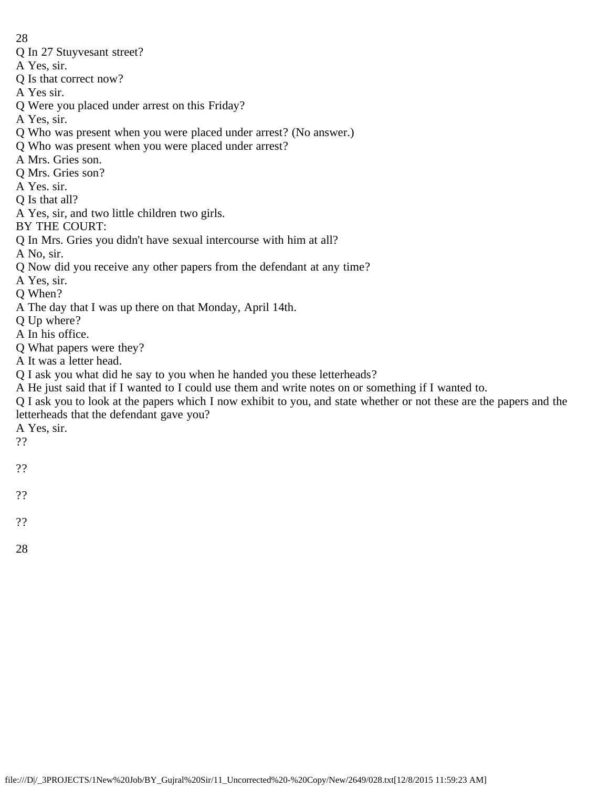- Q In 27 Stuyvesant street?
- A Yes, sir.
- Q Is that correct now?
- A Yes sir.
- Q Were you placed under arrest on this Friday?
- A Yes, sir.
- Q Who was present when you were placed under arrest? (No answer.)
- Q Who was present when you were placed under arrest?
- A Mrs. Gries son.
- Q Mrs. Gries son?
- A Yes. sir.
- Q Is that all?
- A Yes, sir, and two little children two girls.
- BY THE COURT:
- Q In Mrs. Gries you didn't have sexual intercourse with him at all?
- A No, sir.
- Q Now did you receive any other papers from the defendant at any time?
- A Yes, sir.
- Q When?
- A The day that I was up there on that Monday, April 14th.
- Q Up where?
- A In his office.
- Q What papers were they?
- A It was a letter head.
- Q I ask you what did he say to you when he handed you these letterheads?
- A He just said that if I wanted to I could use them and write notes on or something if I wanted to.
- Q I ask you to look at the papers which I now exhibit to you, and state whether or not these are the papers and the letterheads that the defendant gave you?
- A Yes, sir.
- ??
- ??
- 
- ??
- ??
- 28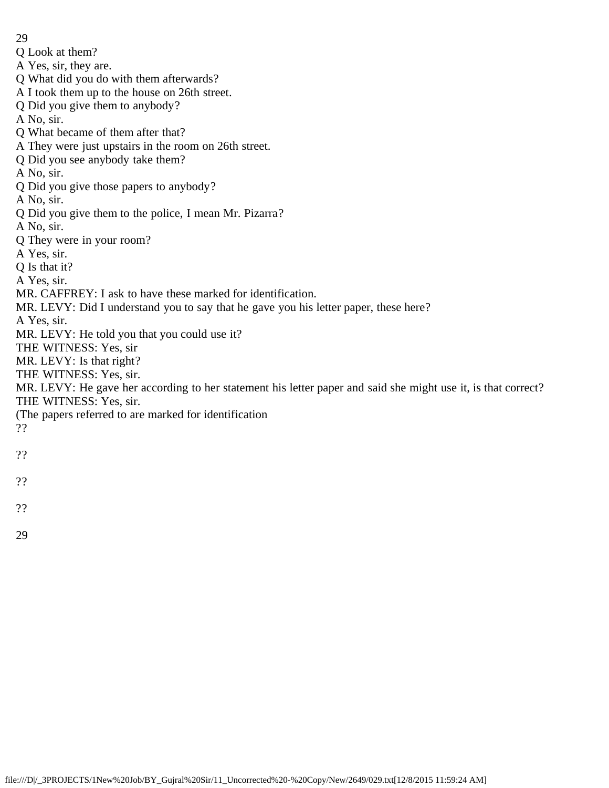29 Q Look at them? A Yes, sir, they are. Q What did you do with them afterwards? A I took them up to the house on 26th street. Q Did you give them to anybody? A No, sir. Q What became of them after that? A They were just upstairs in the room on 26th street. Q Did you see anybody take them? A No, sir. Q Did you give those papers to anybody? A No, sir. Q Did you give them to the police, I mean Mr. Pizarra? A No, sir. Q They were in your room? A Yes, sir. Q Is that it? A Yes, sir. MR. CAFFREY: I ask to have these marked for identification. MR. LEVY: Did I understand you to say that he gave you his letter paper, these here? A Yes, sir. MR. LEVY: He told you that you could use it? THE WITNESS: Yes, sir MR. LEVY: Is that right? THE WITNESS: Yes, sir. MR. LEVY: He gave her according to her statement his letter paper and said she might use it, is that correct? THE WITNESS: Yes, sir. (The papers referred to are marked for identification ?? ??

- ??
- ??
- 29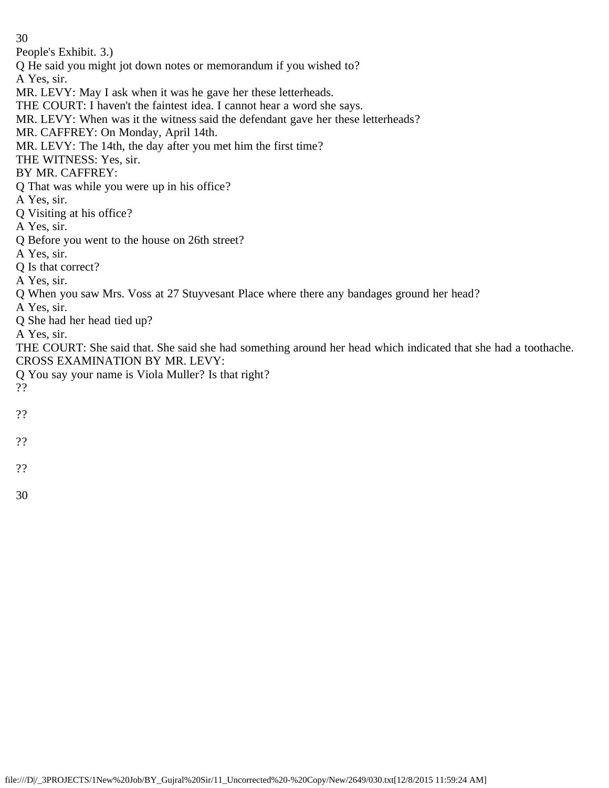People's Exhibit. 3.)

Q He said you might jot down notes or memorandum if you wished to?

A Yes, sir.

MR. LEVY: May I ask when it was he gave her these letterheads.

THE COURT: I haven't the faintest idea. I cannot hear a word she says.

MR. LEVY: When was it the witness said the defendant gave her these letterheads?

MR. CAFFREY: On Monday, April 14th.

MR. LEVY: The 14th, the day after you met him the first time?

THE WITNESS: Yes, sir.

BY MR. CAFFREY:

Q That was while you were up in his office?

A Yes, sir.

Q Visiting at his office?

A Yes, sir.

Q Before you went to the house on 26th street?

A Yes, sir.

Q Is that correct?

A Yes, sir.

Q When you saw Mrs. Voss at 27 Stuyvesant Place where there any bandages ground her head?

A Yes, sir.

Q She had her head tied up?

A Yes, sir.

THE COURT: She said that. She said she had something around her head which indicated that she had a toothache. CROSS EXAMINATION BY MR. LEVY:

Q You say your name is Viola Muller? Is that right?

??

??

??

??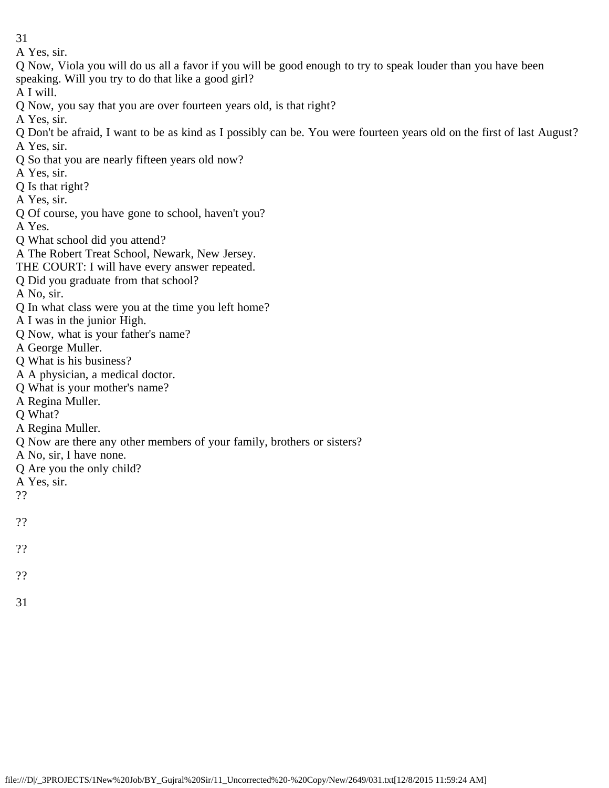A Yes, sir.

Q Now, Viola you will do us all a favor if you will be good enough to try to speak louder than you have been speaking. Will you try to do that like a good girl?

A I will.

Q Now, you say that you are over fourteen years old, is that right?

A Yes, sir.

- Q Don't be afraid, I want to be as kind as I possibly can be. You were fourteen years old on the first of last August? A Yes, sir.
- Q So that you are nearly fifteen years old now?
- A Yes, sir.
- Q Is that right?
- A Yes, sir.
- Q Of course, you have gone to school, haven't you?
- A Yes.
- Q What school did you attend?
- A The Robert Treat School, Newark, New Jersey.
- THE COURT: I will have every answer repeated.
- Q Did you graduate from that school?
- A No, sir.
- Q In what class were you at the time you left home?
- A I was in the junior High.
- Q Now, what is your father's name?
- A George Muller.
- Q What is his business?
- A A physician, a medical doctor.
- Q What is your mother's name?
- A Regina Muller.
- Q What?
- A Regina Muller.
- Q Now are there any other members of your family, brothers or sisters?
- A No, sir, I have none.
- Q Are you the only child?
- A Yes, sir.
- ??
- ??
- ??
- ??
- 31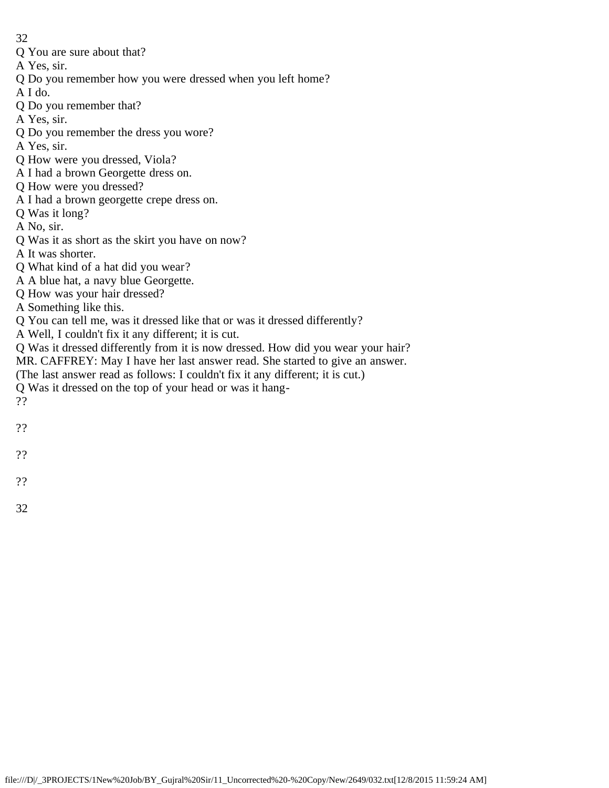- 32
- Q You are sure about that?
- A Yes, sir.
- Q Do you remember how you were dressed when you left home?
- A I do.
- Q Do you remember that?
- A Yes, sir.
- Q Do you remember the dress you wore?
- A Yes, sir.
- Q How were you dressed, Viola?
- A I had a brown Georgette dress on.
- Q How were you dressed?
- A I had a brown georgette crepe dress on.
- Q Was it long?
- A No, sir.
- Q Was it as short as the skirt you have on now?
- A It was shorter.
- Q What kind of a hat did you wear?
- A A blue hat, a navy blue Georgette.
- Q How was your hair dressed?
- A Something like this.
- Q You can tell me, was it dressed like that or was it dressed differently?
- A Well, I couldn't fix it any different; it is cut.
- Q Was it dressed differently from it is now dressed. How did you wear your hair?
- MR. CAFFREY: May I have her last answer read. She started to give an answer.
- (The last answer read as follows: I couldn't fix it any different; it is cut.)
- Q Was it dressed on the top of your head or was it hang-
- ??
- ??
- 
- ??
- ??
- 
- 32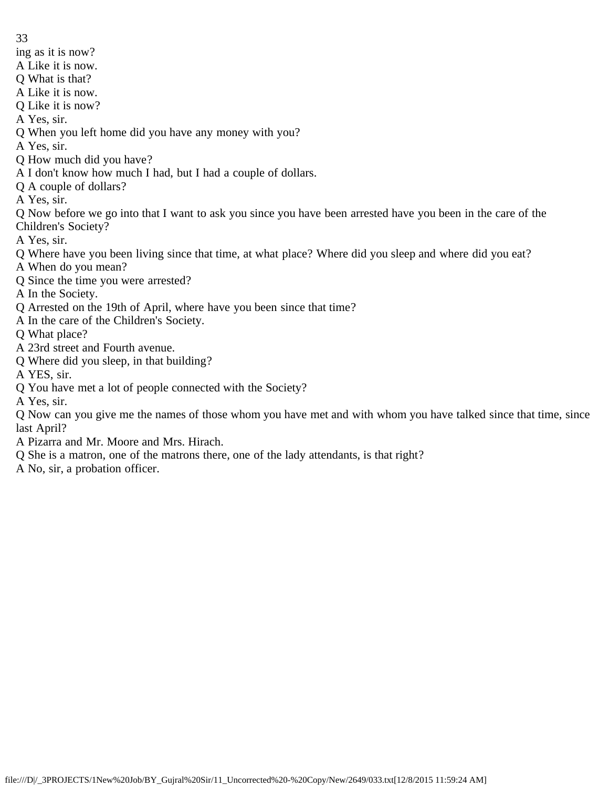- ing as it is now?
- A Like it is now.
- Q What is that?
- A Like it is now.
- Q Like it is now?
- A Yes, sir.
- Q When you left home did you have any money with you?
- A Yes, sir.
- Q How much did you have?
- A I don't know how much I had, but I had a couple of dollars.
- Q A couple of dollars?
- A Yes, sir.
- Q Now before we go into that I want to ask you since you have been arrested have you been in the care of the Children's Society?
- A Yes, sir.
- Q Where have you been living since that time, at what place? Where did you sleep and where did you eat?
- A When do you mean?
- Q Since the time you were arrested?
- A In the Society.
- Q Arrested on the 19th of April, where have you been since that time?
- A In the care of the Children's Society.
- Q What place?
- A 23rd street and Fourth avenue.
- Q Where did you sleep, in that building?
- A YES, sir.
- Q You have met a lot of people connected with the Society?
- A Yes, sir.
- Q Now can you give me the names of those whom you have met and with whom you have talked since that time, since last April?
- A Pizarra and Mr. Moore and Mrs. Hirach.
- Q She is a matron, one of the matrons there, one of the lady attendants, is that right?
- A No, sir, a probation officer.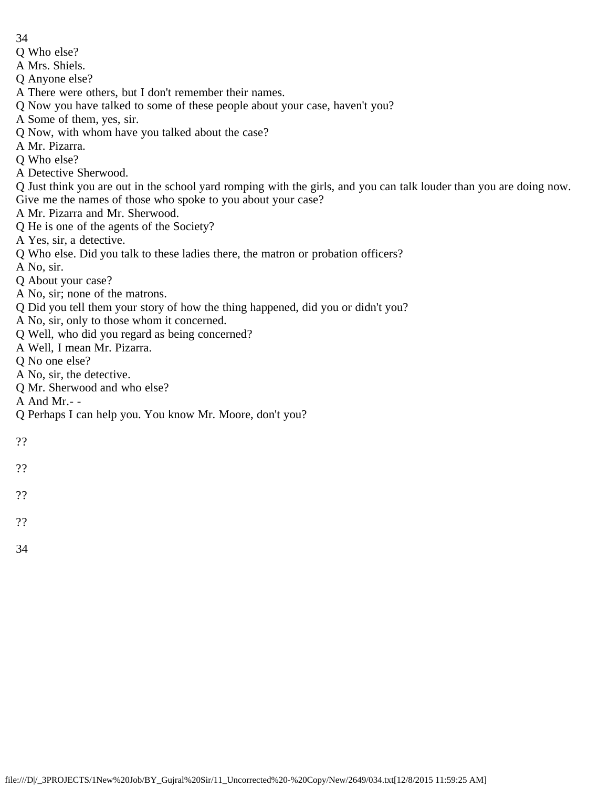- 34
- Q Who else?
- A Mrs. Shiels.
- Q Anyone else?
- A There were others, but I don't remember their names.
- Q Now you have talked to some of these people about your case, haven't you?
- A Some of them, yes, sir.
- Q Now, with whom have you talked about the case?
- A Mr. Pizarra.
- Q Who else?
- A Detective Sherwood.
- Q Just think you are out in the school yard romping with the girls, and you can talk louder than you are doing now. Give me the names of those who spoke to you about your case?
- A Mr. Pizarra and Mr. Sherwood.
- Q He is one of the agents of the Society?
- A Yes, sir, a detective.
- Q Who else. Did you talk to these ladies there, the matron or probation officers?
- A No, sir.
- Q About your case?
- A No, sir; none of the matrons.
- Q Did you tell them your story of how the thing happened, did you or didn't you?
- A No, sir, only to those whom it concerned.
- Q Well, who did you regard as being concerned?
- A Well, I mean Mr. Pizarra.
- Q No one else?
- A No, sir, the detective.
- Q Mr. Sherwood and who else?
- A And Mr.- -
- Q Perhaps I can help you. You know Mr. Moore, don't you?
- ??
- ??
- 
- ??
- ??
- 
- 34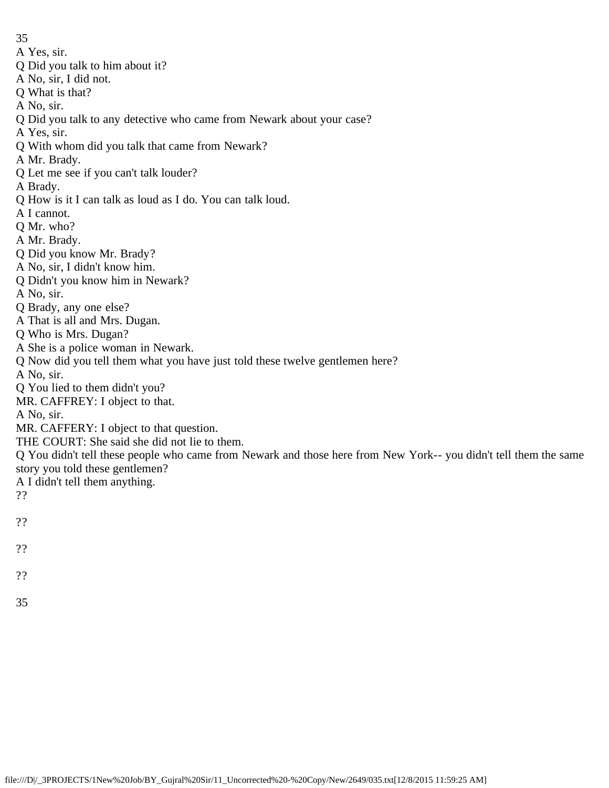- A Yes, sir.
- Q Did you talk to him about it?
- A No, sir, I did not.
- Q What is that?
- A No, sir.
- Q Did you talk to any detective who came from Newark about your case?
- A Yes, sir.
- Q With whom did you talk that came from Newark?
- A Mr. Brady.
- Q Let me see if you can't talk louder?
- A Brady.
- Q How is it I can talk as loud as I do. You can talk loud.
- A I cannot.
- Q Mr. who?
- A Mr. Brady.
- Q Did you know Mr. Brady?
- A No, sir, I didn't know him.
- Q Didn't you know him in Newark?
- A No, sir.
- Q Brady, any one else?
- A That is all and Mrs. Dugan.
- Q Who is Mrs. Dugan?
- A She is a police woman in Newark.
- Q Now did you tell them what you have just told these twelve gentlemen here?
- A No, sir.
- Q You lied to them didn't you?
- MR. CAFFREY: I object to that.
- A No, sir.
- MR. CAFFERY: I object to that question.
- THE COURT: She said she did not lie to them.
- Q You didn't tell these people who came from Newark and those here from New York-- you didn't tell them the same story you told these gentlemen?
- A I didn't tell them anything.
- ??
- ??
- ??
- 
- ??
- 35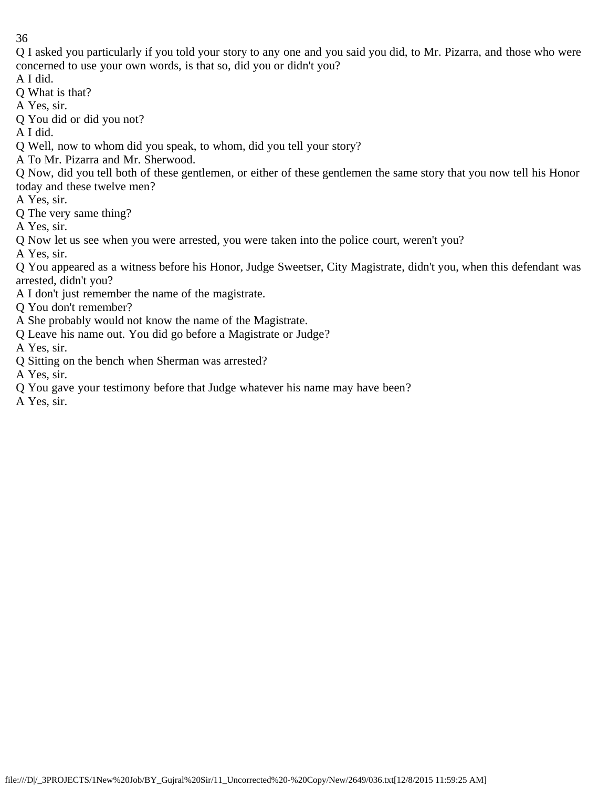Q I asked you particularly if you told your story to any one and you said you did, to Mr. Pizarra, and those who were concerned to use your own words, is that so, did you or didn't you?

A I did.

Q What is that?

A Yes, sir.

Q You did or did you not?

A I did.

Q Well, now to whom did you speak, to whom, did you tell your story?

A To Mr. Pizarra and Mr. Sherwood.

Q Now, did you tell both of these gentlemen, or either of these gentlemen the same story that you now tell his Honor today and these twelve men?

A Yes, sir.

Q The very same thing?

A Yes, sir.

Q Now let us see when you were arrested, you were taken into the police court, weren't you?

A Yes, sir.

Q You appeared as a witness before his Honor, Judge Sweetser, City Magistrate, didn't you, when this defendant was arrested, didn't you?

A I don't just remember the name of the magistrate.

Q You don't remember?

- A She probably would not know the name of the Magistrate.
- Q Leave his name out. You did go before a Magistrate or Judge?

A Yes, sir.

Q Sitting on the bench when Sherman was arrested?

A Yes, sir.

Q You gave your testimony before that Judge whatever his name may have been?

A Yes, sir.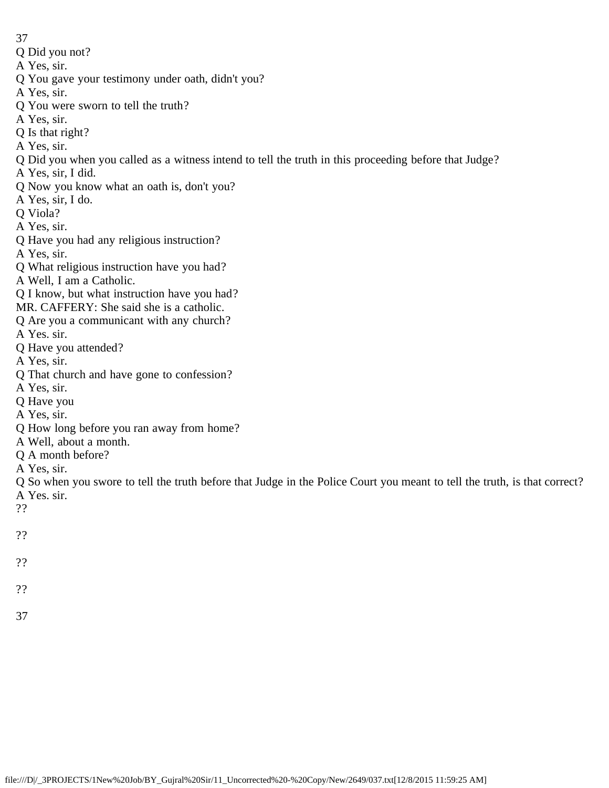- Q Did you not?
- A Yes, sir.
- Q You gave your testimony under oath, didn't you?
- A Yes, sir.
- Q You were sworn to tell the truth?
- A Yes, sir.
- Q Is that right?
- A Yes, sir.
- Q Did you when you called as a witness intend to tell the truth in this proceeding before that Judge?
- A Yes, sir, I did.
- Q Now you know what an oath is, don't you?
- A Yes, sir, I do.
- Q Viola?
- A Yes, sir.
- Q Have you had any religious instruction?
- A Yes, sir.
- Q What religious instruction have you had?
- A Well, I am a Catholic.
- Q I know, but what instruction have you had?
- MR. CAFFERY: She said she is a catholic.
- Q Are you a communicant with any church?
- A Yes. sir.
- Q Have you attended?
- A Yes, sir.
- Q That church and have gone to confession?
- A Yes, sir.
- Q Have you
- A Yes, sir.
- Q How long before you ran away from home?
- A Well, about a month.
- Q A month before?
- A Yes, sir.
- Q So when you swore to tell the truth before that Judge in the Police Court you meant to tell the truth, is that correct? A Yes. sir.
- ??
- ??
- 
- ??
- ??
- 37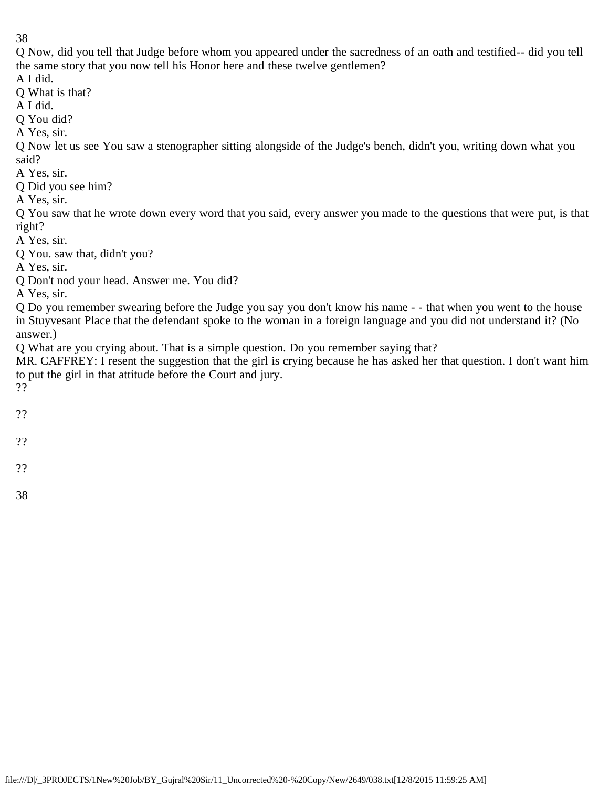Q Now, did you tell that Judge before whom you appeared under the sacredness of an oath and testified-- did you tell the same story that you now tell his Honor here and these twelve gentlemen?

A I did.

Q What is that?

A I did.

Q You did?

A Yes, sir.

Q Now let us see You saw a stenographer sitting alongside of the Judge's bench, didn't you, writing down what you said?

A Yes, sir.

Q Did you see him?

A Yes, sir.

Q You saw that he wrote down every word that you said, every answer you made to the questions that were put, is that right?

A Yes, sir.

Q You. saw that, didn't you?

A Yes, sir.

Q Don't nod your head. Answer me. You did?

A Yes, sir.

Q Do you remember swearing before the Judge you say you don't know his name - - that when you went to the house in Stuyvesant Place that the defendant spoke to the woman in a foreign language and you did not understand it? (No answer.)

Q What are you crying about. That is a simple question. Do you remember saying that?

MR. CAFFREY: I resent the suggestion that the girl is crying because he has asked her that question. I don't want him to put the girl in that attitude before the Court and jury.

??

- ??
- ??

??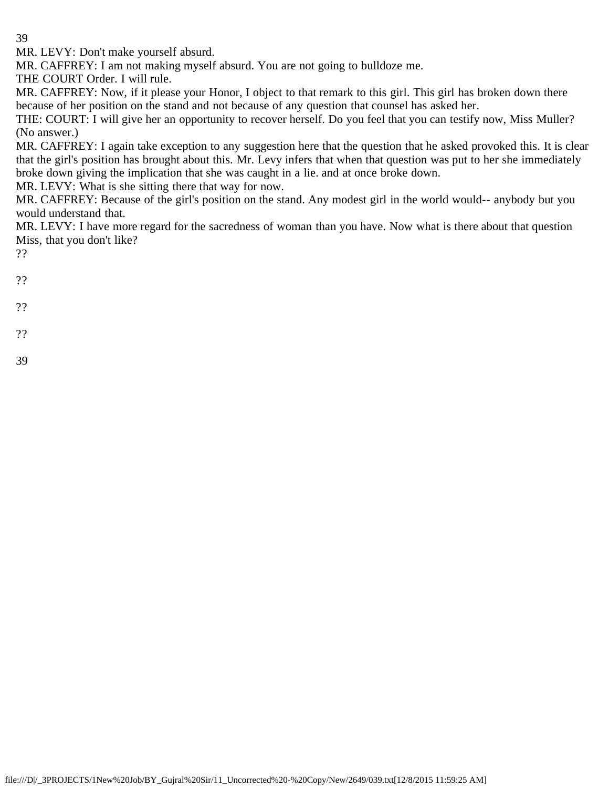MR. LEVY: Don't make yourself absurd.

MR. CAFFREY: I am not making myself absurd. You are not going to bulldoze me.

THE COURT Order. I will rule.

MR. CAFFREY: Now, if it please your Honor, I object to that remark to this girl. This girl has broken down there because of her position on the stand and not because of any question that counsel has asked her.

THE: COURT: I will give her an opportunity to recover herself. Do you feel that you can testify now, Miss Muller? (No answer.)

MR. CAFFREY: I again take exception to any suggestion here that the question that he asked provoked this. It is clear that the girl's position has brought about this. Mr. Levy infers that when that question was put to her she immediately broke down giving the implication that she was caught in a lie. and at once broke down.

MR. LEVY: What is she sitting there that way for now.

MR. CAFFREY: Because of the girl's position on the stand. Any modest girl in the world would-- anybody but you would understand that.

MR. LEVY: I have more regard for the sacredness of woman than you have. Now what is there about that question Miss, that you don't like?

??

??

- ??
- 
- ??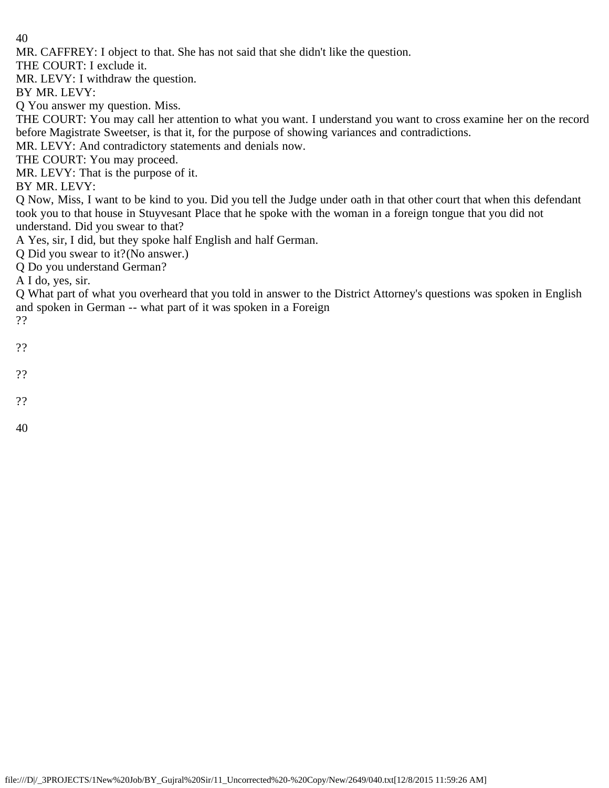MR. CAFFREY: I object to that. She has not said that she didn't like the question.

THE COURT: I exclude it.

MR. LEVY: I withdraw the question.

BY MR. LEVY:

Q You answer my question. Miss.

THE COURT: You may call her attention to what you want. I understand you want to cross examine her on the record before Magistrate Sweetser, is that it, for the purpose of showing variances and contradictions.

MR. LEVY: And contradictory statements and denials now.

THE COURT: You may proceed.

MR. LEVY: That is the purpose of it.

BY MR. LEVY:

Q Now, Miss, I want to be kind to you. Did you tell the Judge under oath in that other court that when this defendant took you to that house in Stuyvesant Place that he spoke with the woman in a foreign tongue that you did not understand. Did you swear to that?

A Yes, sir, I did, but they spoke half English and half German.

Q Did you swear to it?(No answer.)

Q Do you understand German?

A I do, yes, sir.

Q What part of what you overheard that you told in answer to the District Attorney's questions was spoken in English and spoken in German -- what part of it was spoken in a Foreign ??

- ??
- ??
- ??
- 40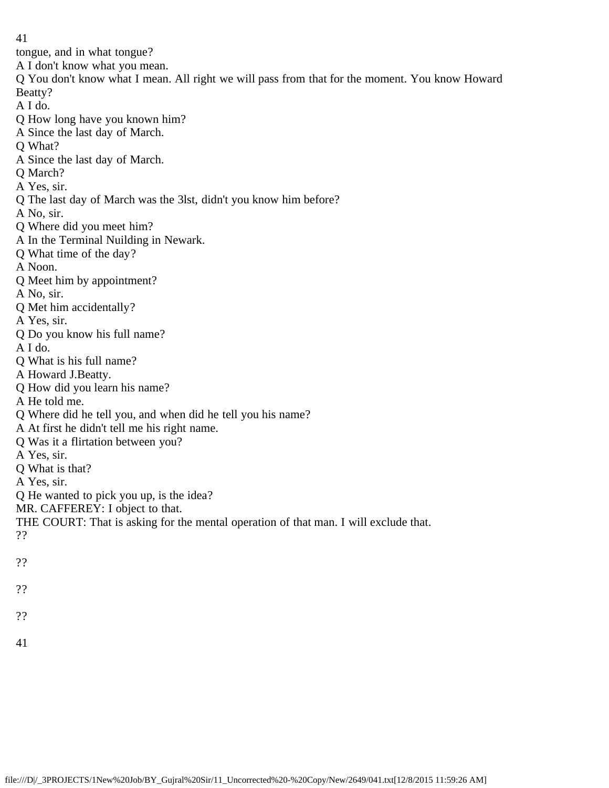tongue, and in what tongue?

A I don't know what you mean.

Q You don't know what I mean. All right we will pass from that for the moment. You know Howard Beatty?

A I do.

- Q How long have you known him?
- A Since the last day of March.
- Q What?
- A Since the last day of March.
- Q March?
- A Yes, sir.
- Q The last day of March was the 3lst, didn't you know him before?
- A No, sir.
- Q Where did you meet him?
- A In the Terminal Nuilding in Newark.
- Q What time of the day?
- A Noon.
- Q Meet him by appointment?
- A No, sir.
- Q Met him accidentally?
- A Yes, sir.
- Q Do you know his full name?
- A I do.
- Q What is his full name?
- A Howard J.Beatty.
- Q How did you learn his name?
- A He told me.
- Q Where did he tell you, and when did he tell you his name?
- A At first he didn't tell me his right name.
- Q Was it a flirtation between you?
- A Yes, sir.
- Q What is that?
- A Yes, sir.
- Q He wanted to pick you up, is the idea?
- MR. CAFFEREY: I object to that.
- THE COURT: That is asking for the mental operation of that man. I will exclude that.
- ??
- ??
- ??
- 
- ??
- 41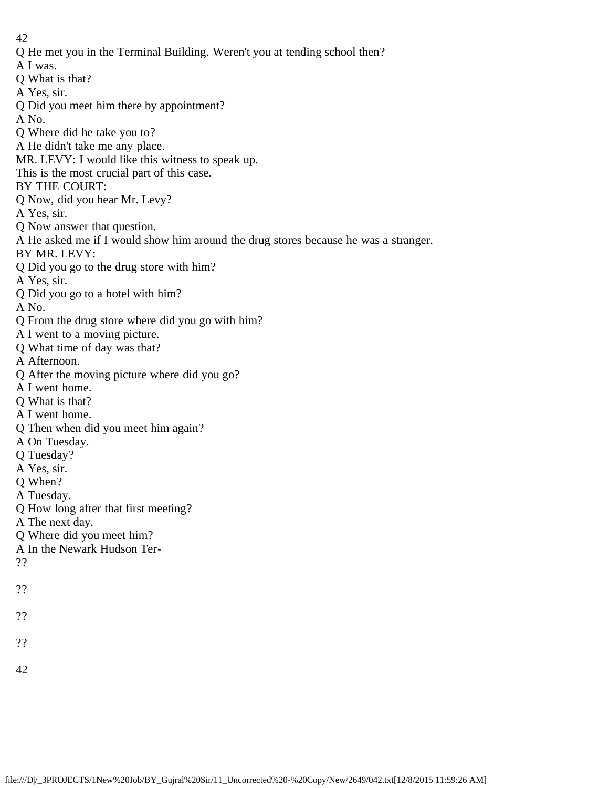- Q He met you in the Terminal Building. Weren't you at tending school then?
- A I was.
- Q What is that?
- A Yes, sir.
- Q Did you meet him there by appointment?
- A No.
- Q Where did he take you to?
- A He didn't take me any place.
- MR. LEVY: I would like this witness to speak up.
- This is the most crucial part of this case.
- BY THE COURT:
- Q Now, did you hear Mr. Levy?
- A Yes, sir.
- Q Now answer that question.
- A He asked me if I would show him around the drug stores because he was a stranger.
- BY MR. LEVY:
- Q Did you go to the drug store with him?
- A Yes, sir.
- Q Did you go to a hotel with him?
- A No.
- Q From the drug store where did you go with him?
- A I went to a moving picture.
- Q What time of day was that?
- A Afternoon.
- Q After the moving picture where did you go?
- A I went home.
- Q What is that?
- A I went home.
- Q Then when did you meet him again?
- A On Tuesday.
- Q Tuesday?
- A Yes, sir.
- Q When?
- A Tuesday.
- Q How long after that first meeting?
- A The next day.
- Q Where did you meet him?
- A In the Newark Hudson Ter-
- ??
- ??
- ??
- 
- ??
- 42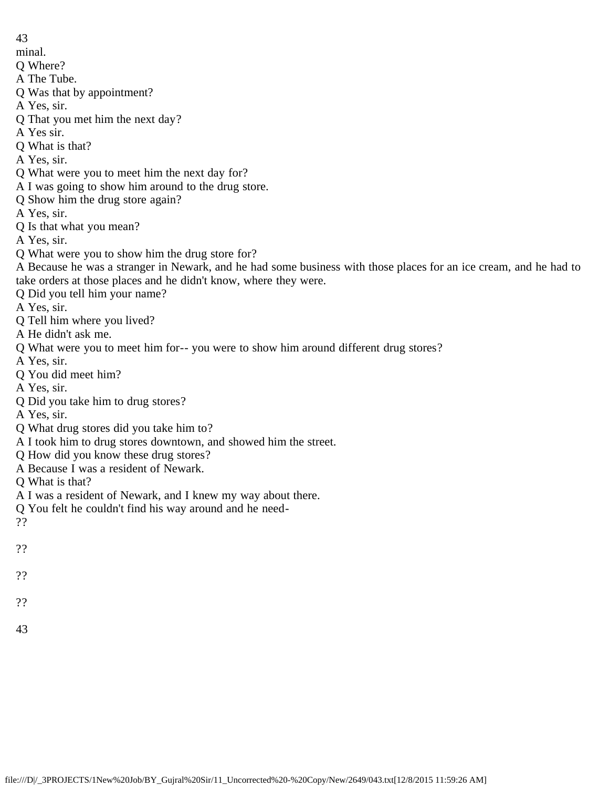- 43
- minal.
- Q Where?
- A The Tube.
- Q Was that by appointment?
- A Yes, sir.
- Q That you met him the next day?
- A Yes sir.
- Q What is that?
- A Yes, sir.
- Q What were you to meet him the next day for?
- A I was going to show him around to the drug store.
- Q Show him the drug store again?
- A Yes, sir.
- Q Is that what you mean?
- A Yes, sir.
- Q What were you to show him the drug store for?
- A Because he was a stranger in Newark, and he had some business with those places for an ice cream, and he had to take orders at those places and he didn't know, where they were.
- Q Did you tell him your name?
- A Yes, sir.
- Q Tell him where you lived?
- A He didn't ask me.
- Q What were you to meet him for-- you were to show him around different drug stores?
- A Yes, sir.
- Q You did meet him?
- A Yes, sir.
- Q Did you take him to drug stores?
- A Yes, sir.
- Q What drug stores did you take him to?
- A I took him to drug stores downtown, and showed him the street.
- Q How did you know these drug stores?
- A Because I was a resident of Newark.
- Q What is that?
- A I was a resident of Newark, and I knew my way about there.
- Q You felt he couldn't find his way around and he need-
- ??
- ??
- ??
- 
- ??
- 43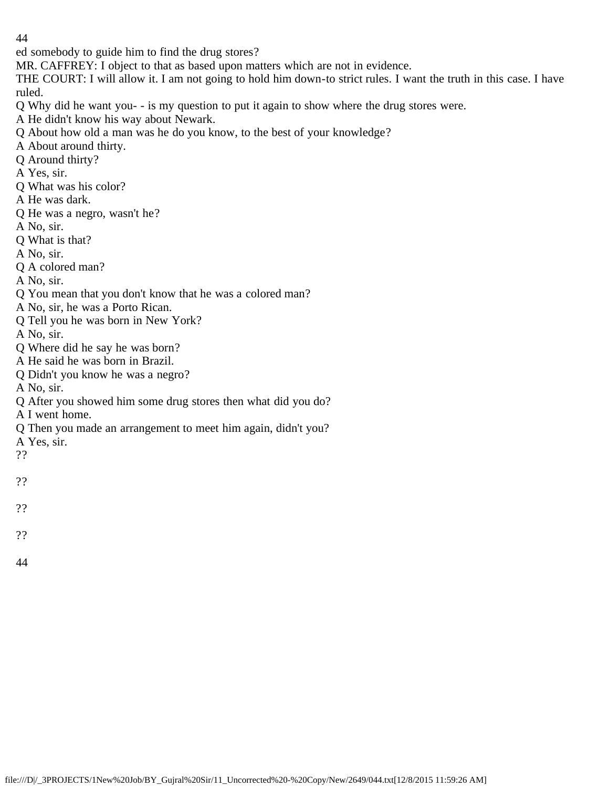ed somebody to guide him to find the drug stores?

MR. CAFFREY: I object to that as based upon matters which are not in evidence.

THE COURT: I will allow it. I am not going to hold him down-to strict rules. I want the truth in this case. I have ruled.

Q Why did he want you- - is my question to put it again to show where the drug stores were.

A He didn't know his way about Newark.

Q About how old a man was he do you know, to the best of your knowledge?

- A About around thirty.
- Q Around thirty?
- A Yes, sir.
- Q What was his color?
- A He was dark.
- Q He was a negro, wasn't he?
- A No, sir.
- Q What is that?
- A No, sir.
- Q A colored man?
- A No, sir.
- Q You mean that you don't know that he was a colored man?
- A No, sir, he was a Porto Rican.
- Q Tell you he was born in New York?
- A No, sir.
- Q Where did he say he was born?
- A He said he was born in Brazil.
- Q Didn't you know he was a negro?
- A No, sir.
- Q After you showed him some drug stores then what did you do?
- A I went home.
- Q Then you made an arrangement to meet him again, didn't you?
- A Yes, sir.
- ??
- ??
- ??
- 
- ??
- 44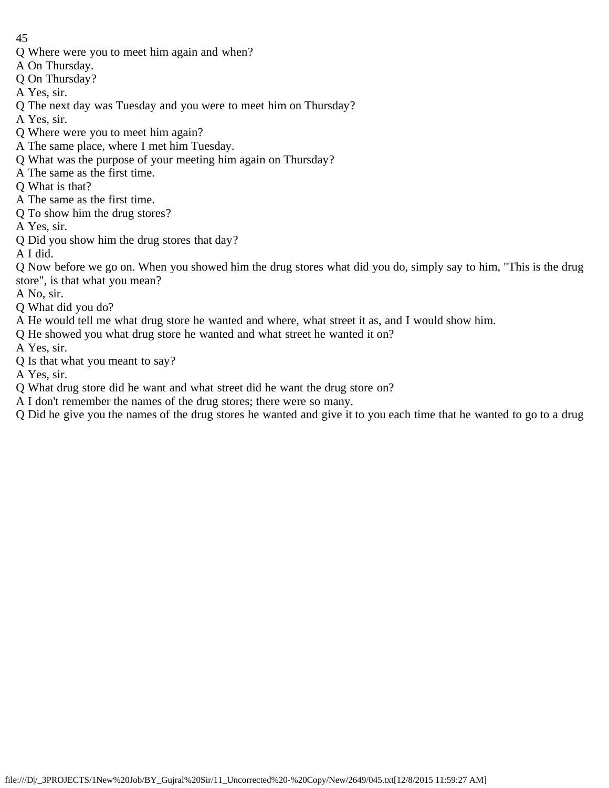- Q Where were you to meet him again and when?
- A On Thursday.
- Q On Thursday?
- A Yes, sir.
- Q The next day was Tuesday and you were to meet him on Thursday?
- A Yes, sir.
- Q Where were you to meet him again?
- A The same place, where I met him Tuesday.
- Q What was the purpose of your meeting him again on Thursday?
- A The same as the first time.
- Q What is that?
- A The same as the first time.
- Q To show him the drug stores?
- A Yes, sir.
- Q Did you show him the drug stores that day?
- A I did.

Q Now before we go on. When you showed him the drug stores what did you do, simply say to him, "This is the drug store", is that what you mean?

- A No, sir.
- Q What did you do?
- A He would tell me what drug store he wanted and where, what street it as, and I would show him.
- Q He showed you what drug store he wanted and what street he wanted it on?
- A Yes, sir.
- Q Is that what you meant to say?
- A Yes, sir.
- Q What drug store did he want and what street did he want the drug store on?
- A I don't remember the names of the drug stores; there were so many.
- Q Did he give you the names of the drug stores he wanted and give it to you each time that he wanted to go to a drug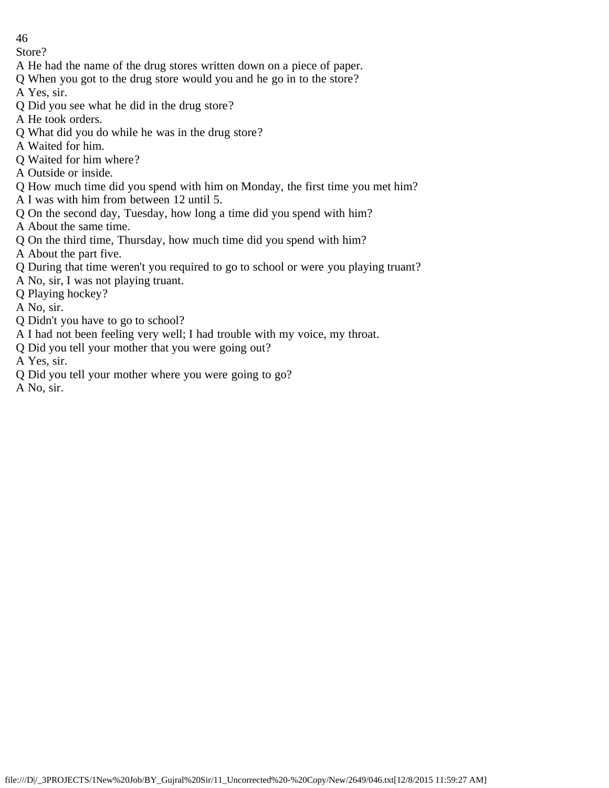Store?

- A He had the name of the drug stores written down on a piece of paper.
- Q When you got to the drug store would you and he go in to the store?
- A Yes, sir.
- Q Did you see what he did in the drug store?
- A He took orders.
- Q What did you do while he was in the drug store?
- A Waited for him.
- Q Waited for him where?
- A Outside or inside.
- Q How much time did you spend with him on Monday, the first time you met him?
- A I was with him from between 12 until 5.
- Q On the second day, Tuesday, how long a time did you spend with him?
- A About the same time.
- Q On the third time, Thursday, how much time did you spend with him?
- A About the part five.
- Q During that time weren't you required to go to school or were you playing truant?
- A No, sir, I was not playing truant.
- Q Playing hockey?
- A No, sir.
- Q Didn't you have to go to school?
- A I had not been feeling very well; I had trouble with my voice, my throat.
- Q Did you tell your mother that you were going out?
- A Yes, sir.
- Q Did you tell your mother where you were going to go?
- A No, sir.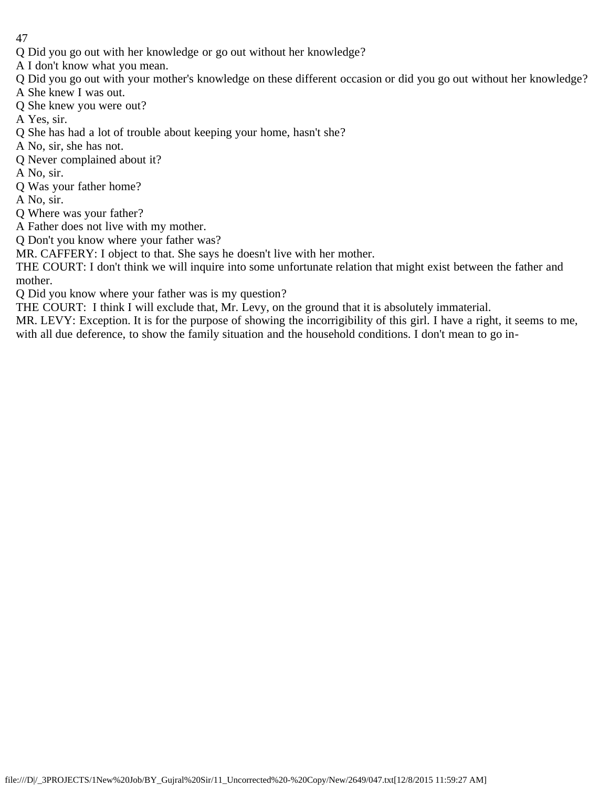- Q Did you go out with her knowledge or go out without her knowledge?
- A I don't know what you mean.
- Q Did you go out with your mother's knowledge on these different occasion or did you go out without her knowledge?
- A She knew I was out.
- Q She knew you were out?
- A Yes, sir.
- Q She has had a lot of trouble about keeping your home, hasn't she?
- A No, sir, she has not.
- Q Never complained about it?
- A No, sir.
- Q Was your father home?
- A No, sir.
- Q Where was your father?
- A Father does not live with my mother.
- Q Don't you know where your father was?
- MR. CAFFERY: I object to that. She says he doesn't live with her mother.
- THE COURT: I don't think we will inquire into some unfortunate relation that might exist between the father and mother.
- Q Did you know where your father was is my question?
- THE COURT: I think I will exclude that, Mr. Levy, on the ground that it is absolutely immaterial.
- MR. LEVY: Exception. It is for the purpose of showing the incorrigibility of this girl. I have a right, it seems to me, with all due deference, to show the family situation and the household conditions. I don't mean to go in-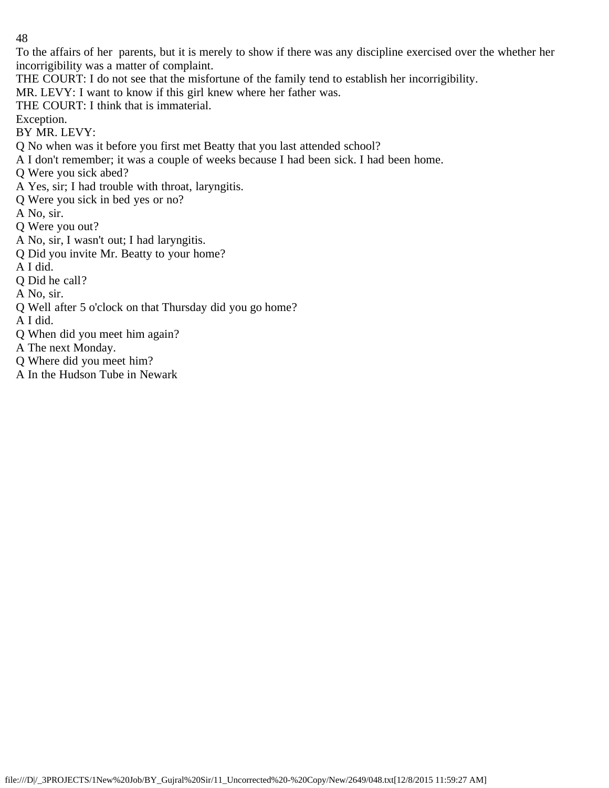To the affairs of her parents, but it is merely to show if there was any discipline exercised over the whether her incorrigibility was a matter of complaint.

THE COURT: I do not see that the misfortune of the family tend to establish her incorrigibility.

MR. LEVY: I want to know if this girl knew where her father was.

THE COURT: I think that is immaterial.

Exception.

BY MR. LEVY:

Q No when was it before you first met Beatty that you last attended school?

A I don't remember; it was a couple of weeks because I had been sick. I had been home.

Q Were you sick abed?

A Yes, sir; I had trouble with throat, laryngitis.

Q Were you sick in bed yes or no?

A No, sir.

Q Were you out?

- A No, sir, I wasn't out; I had laryngitis.
- Q Did you invite Mr. Beatty to your home?

A I did.

Q Did he call?

A No, sir.

Q Well after 5 o'clock on that Thursday did you go home?

A I did.

Q When did you meet him again?

A The next Monday.

Q Where did you meet him?

A In the Hudson Tube in Newark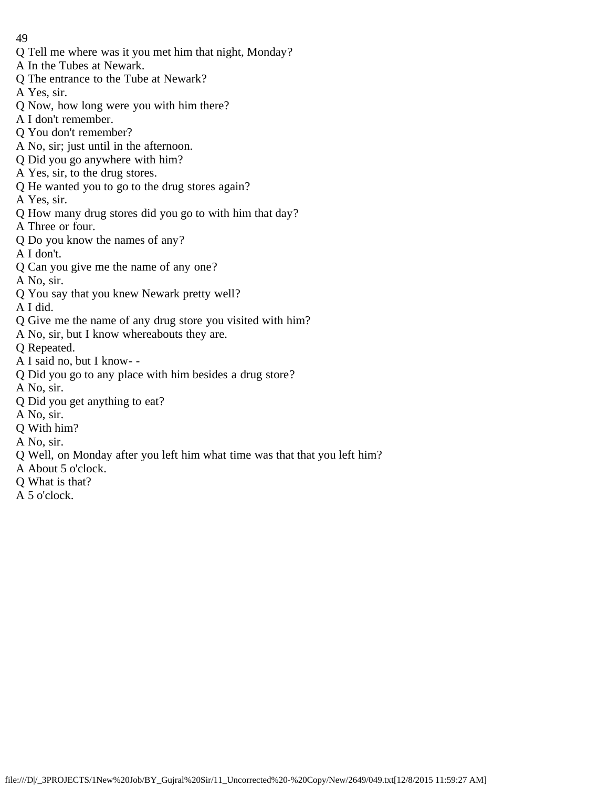- Q Tell me where was it you met him that night, Monday?
- A In the Tubes at Newark.
- Q The entrance to the Tube at Newark?
- A Yes, sir.
- Q Now, how long were you with him there?
- A I don't remember.
- Q You don't remember?
- A No, sir; just until in the afternoon.
- Q Did you go anywhere with him?
- A Yes, sir, to the drug stores.
- Q He wanted you to go to the drug stores again?
- A Yes, sir.
- Q How many drug stores did you go to with him that day?
- A Three or four.
- Q Do you know the names of any?
- A I don't.
- Q Can you give me the name of any one?
- A No, sir.
- Q You say that you knew Newark pretty well?
- A I did.
- Q Give me the name of any drug store you visited with him?
- A No, sir, but I know whereabouts they are.
- Q Repeated.
- A I said no, but I know- -
- Q Did you go to any place with him besides a drug store?
- A No, sir.
- Q Did you get anything to eat?
- A No, sir.
- Q With him?
- A No, sir.
- Q Well, on Monday after you left him what time was that that you left him?
- A About 5 o'clock.
- Q What is that?
- A 5 o'clock.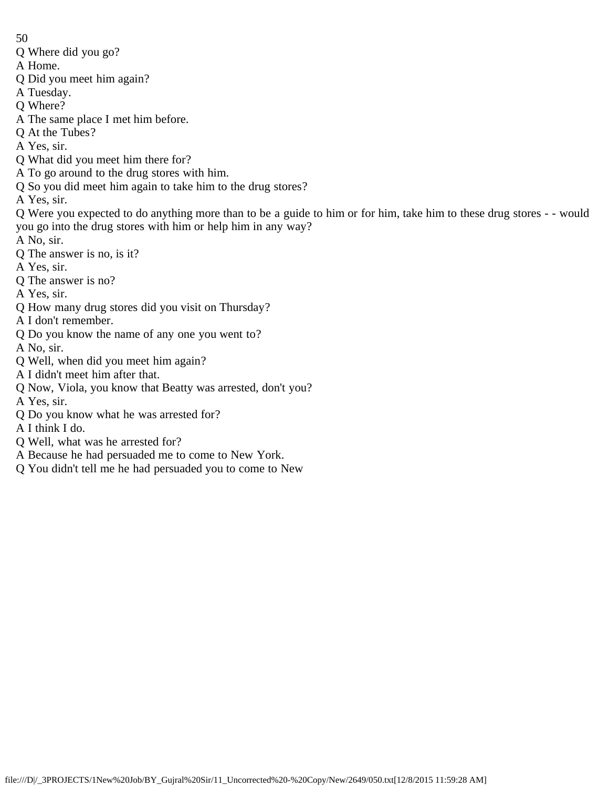- Q Where did you go?
- A Home.
- Q Did you meet him again?
- A Tuesday.
- Q Where?
- A The same place I met him before.
- Q At the Tubes?
- A Yes, sir.
- Q What did you meet him there for?
- A To go around to the drug stores with him.
- Q So you did meet him again to take him to the drug stores?
- A Yes, sir.
- Q Were you expected to do anything more than to be a guide to him or for him, take him to these drug stores - would you go into the drug stores with him or help him in any way?
- A No, sir.
- Q The answer is no, is it?
- A Yes, sir.
- Q The answer is no?
- A Yes, sir.
- Q How many drug stores did you visit on Thursday?
- A I don't remember.
- Q Do you know the name of any one you went to?
- A No, sir.
- Q Well, when did you meet him again?
- A I didn't meet him after that.
- Q Now, Viola, you know that Beatty was arrested, don't you?
- A Yes, sir.
- Q Do you know what he was arrested for?
- A I think I do.
- Q Well, what was he arrested for?
- A Because he had persuaded me to come to New York.
- Q You didn't tell me he had persuaded you to come to New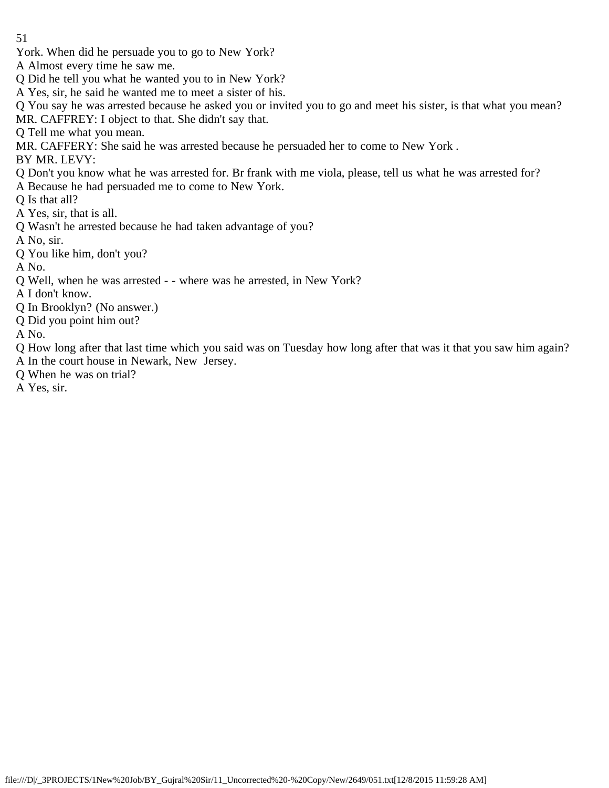York. When did he persuade you to go to New York?

A Almost every time he saw me.

Q Did he tell you what he wanted you to in New York?

A Yes, sir, he said he wanted me to meet a sister of his.

Q You say he was arrested because he asked you or invited you to go and meet his sister, is that what you mean? MR. CAFFREY: I object to that. She didn't say that.

Q Tell me what you mean.

MR. CAFFERY: She said he was arrested because he persuaded her to come to New York .

BY MR. LEVY:

Q Don't you know what he was arrested for. Br frank with me viola, please, tell us what he was arrested for?

A Because he had persuaded me to come to New York.

Q Is that all?

A Yes, sir, that is all.

Q Wasn't he arrested because he had taken advantage of you?

A No, sir.

Q You like him, don't you?

A No.

Q Well, when he was arrested - - where was he arrested, in New York?

A I don't know.

Q In Brooklyn? (No answer.)

Q Did you point him out?

A No.

Q How long after that last time which you said was on Tuesday how long after that was it that you saw him again? A In the court house in Newark, New Jersey.

Q When he was on trial?

A Yes, sir.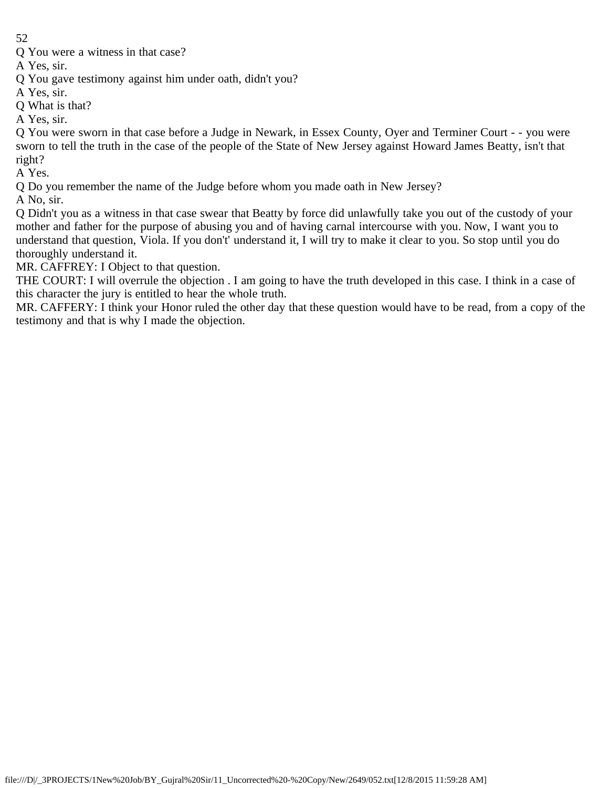Q You were a witness in that case?

A Yes, sir.

Q You gave testimony against him under oath, didn't you?

A Yes, sir.

Q What is that?

A Yes, sir.

Q You were sworn in that case before a Judge in Newark, in Essex County, Oyer and Terminer Court - - you were sworn to tell the truth in the case of the people of the State of New Jersey against Howard James Beatty, isn't that right?

A Yes.

Q Do you remember the name of the Judge before whom you made oath in New Jersey?

A No, sir.

Q Didn't you as a witness in that case swear that Beatty by force did unlawfully take you out of the custody of your mother and father for the purpose of abusing you and of having carnal intercourse with you. Now, I want you to understand that question, Viola. If you don't' understand it, I will try to make it clear to you. So stop until you do thoroughly understand it.

MR. CAFFREY: I Object to that question.

THE COURT: I will overrule the objection . I am going to have the truth developed in this case. I think in a case of this character the jury is entitled to hear the whole truth.

MR. CAFFERY: I think your Honor ruled the other day that these question would have to be read, from a copy of the testimony and that is why I made the objection.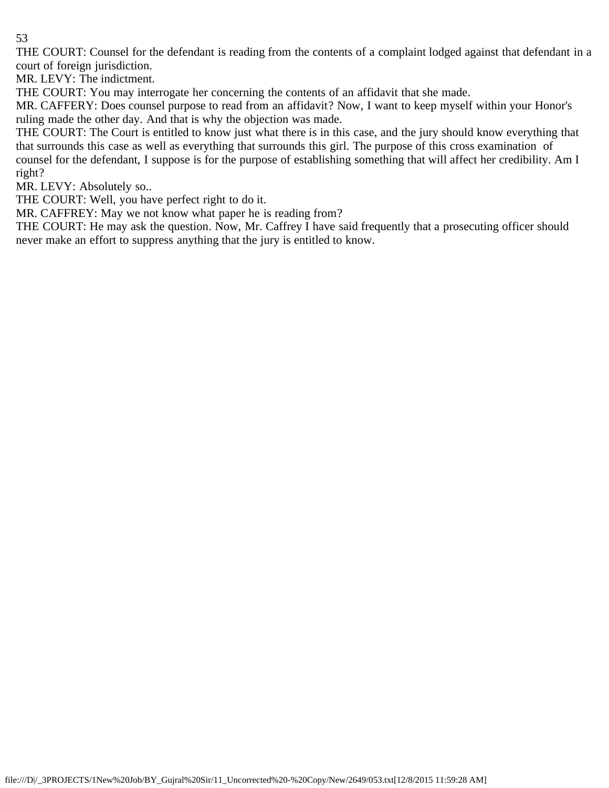THE COURT: Counsel for the defendant is reading from the contents of a complaint lodged against that defendant in a court of foreign jurisdiction.

MR. LEVY: The indictment.

THE COURT: You may interrogate her concerning the contents of an affidavit that she made.

MR. CAFFERY: Does counsel purpose to read from an affidavit? Now, I want to keep myself within your Honor's ruling made the other day. And that is why the objection was made.

THE COURT: The Court is entitled to know just what there is in this case, and the jury should know everything that that surrounds this case as well as everything that surrounds this girl. The purpose of this cross examination of counsel for the defendant, I suppose is for the purpose of establishing something that will affect her credibility. Am I right?

MR. LEVY: Absolutely so..

THE COURT: Well, you have perfect right to do it.

MR. CAFFREY: May we not know what paper he is reading from?

THE COURT: He may ask the question. Now, Mr. Caffrey I have said frequently that a prosecuting officer should never make an effort to suppress anything that the jury is entitled to know.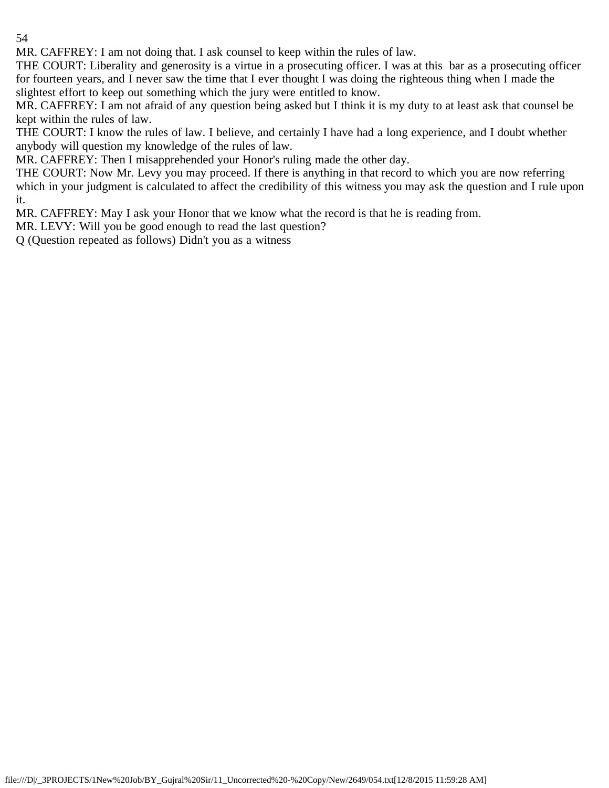MR. CAFFREY: I am not doing that. I ask counsel to keep within the rules of law.

THE COURT: Liberality and generosity is a virtue in a prosecuting officer. I was at this bar as a prosecuting officer for fourteen years, and I never saw the time that I ever thought I was doing the righteous thing when I made the slightest effort to keep out something which the jury were entitled to know.

MR. CAFFREY: I am not afraid of any question being asked but I think it is my duty to at least ask that counsel be kept within the rules of law.

THE COURT: I know the rules of law. I believe, and certainly I have had a long experience, and I doubt whether anybody will question my knowledge of the rules of law.

MR. CAFFREY: Then I misapprehended your Honor's ruling made the other day.

THE COURT: Now Mr. Levy you may proceed. If there is anything in that record to which you are now referring which in your judgment is calculated to affect the credibility of this witness you may ask the question and I rule upon it.

MR. CAFFREY: May I ask your Honor that we know what the record is that he is reading from.

MR. LEVY: Will you be good enough to read the last question?

Q (Question repeated as follows) Didn't you as a witness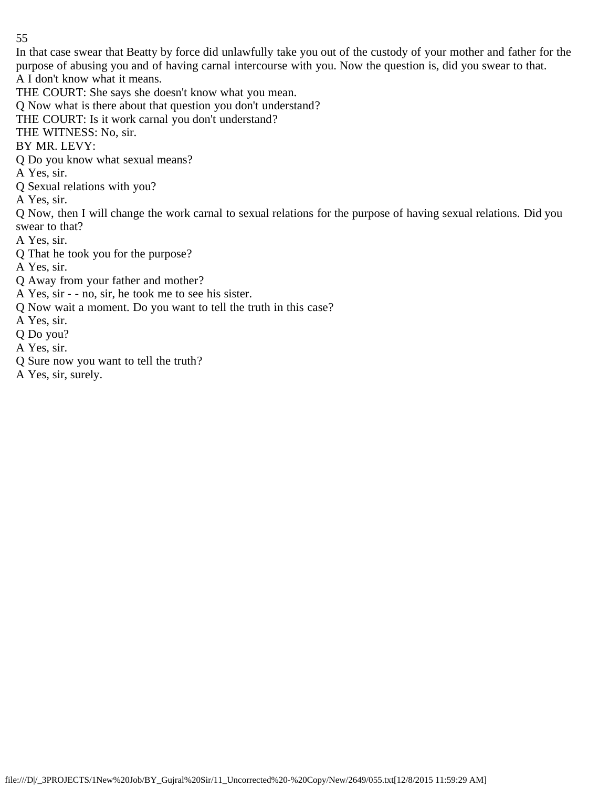In that case swear that Beatty by force did unlawfully take you out of the custody of your mother and father for the purpose of abusing you and of having carnal intercourse with you. Now the question is, did you swear to that. A I don't know what it means.

THE COURT: She says she doesn't know what you mean.

Q Now what is there about that question you don't understand?

THE COURT: Is it work carnal you don't understand?

THE WITNESS: No, sir.

BY MR. LEVY:

Q Do you know what sexual means?

A Yes, sir.

Q Sexual relations with you?

A Yes, sir.

Q Now, then I will change the work carnal to sexual relations for the purpose of having sexual relations. Did you swear to that?

- A Yes, sir.
- Q That he took you for the purpose?

A Yes, sir.

- Q Away from your father and mother?
- A Yes, sir - no, sir, he took me to see his sister.
- Q Now wait a moment. Do you want to tell the truth in this case?
- A Yes, sir.
- Q Do you?
- A Yes, sir.
- Q Sure now you want to tell the truth?
- A Yes, sir, surely.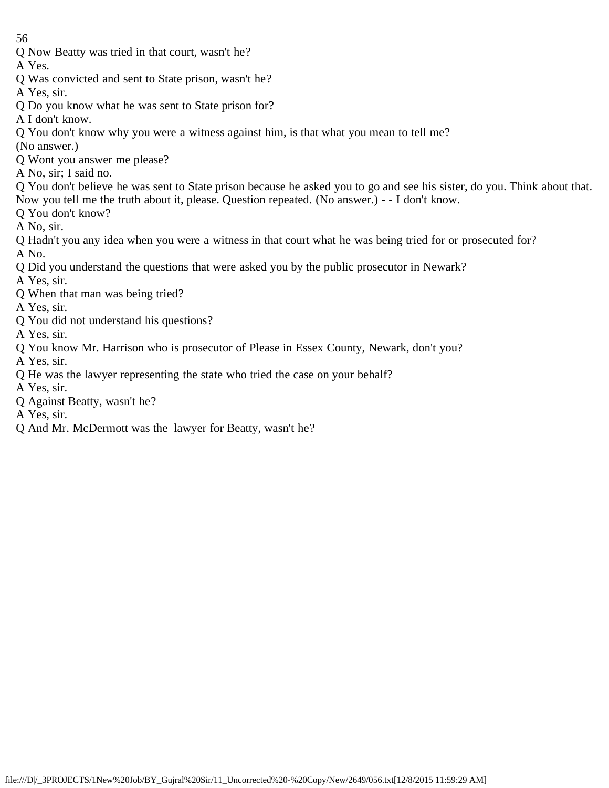- 56
- Q Now Beatty was tried in that court, wasn't he?
- A Yes.
- Q Was convicted and sent to State prison, wasn't he?
- A Yes, sir.
- Q Do you know what he was sent to State prison for?
- A I don't know.
- Q You don't know why you were a witness against him, is that what you mean to tell me?
- (No answer.)
- Q Wont you answer me please?
- A No, sir; I said no.
- Q You don't believe he was sent to State prison because he asked you to go and see his sister, do you. Think about that. Now you tell me the truth about it, please. Question repeated. (No answer.) - - I don't know.
- Q You don't know?
- A No, sir.
- Q Hadn't you any idea when you were a witness in that court what he was being tried for or prosecuted for? A No.
- Q Did you understand the questions that were asked you by the public prosecutor in Newark?
- A Yes, sir.
- Q When that man was being tried?
- A Yes, sir.
- Q You did not understand his questions?
- A Yes, sir.
- Q You know Mr. Harrison who is prosecutor of Please in Essex County, Newark, don't you?
- A Yes, sir.
- Q He was the lawyer representing the state who tried the case on your behalf?
- A Yes, sir.
- Q Against Beatty, wasn't he?
- A Yes, sir.
- Q And Mr. McDermott was the lawyer for Beatty, wasn't he?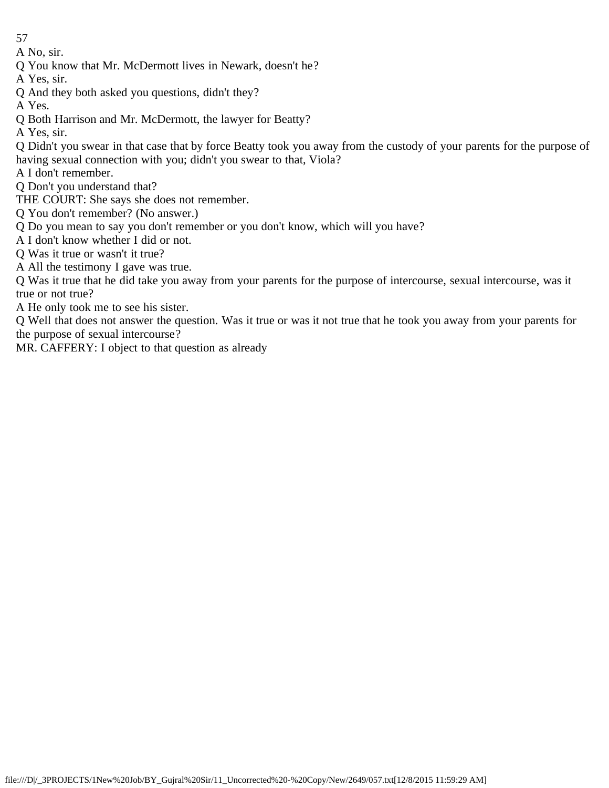A No, sir.

Q You know that Mr. McDermott lives in Newark, doesn't he?

A Yes, sir.

Q And they both asked you questions, didn't they?

A Yes.

Q Both Harrison and Mr. McDermott, the lawyer for Beatty?

A Yes, sir.

Q Didn't you swear in that case that by force Beatty took you away from the custody of your parents for the purpose of having sexual connection with you; didn't you swear to that, Viola?

A I don't remember.

Q Don't you understand that?

THE COURT: She says she does not remember.

Q You don't remember? (No answer.)

Q Do you mean to say you don't remember or you don't know, which will you have?

A I don't know whether I did or not.

Q Was it true or wasn't it true?

A All the testimony I gave was true.

Q Was it true that he did take you away from your parents for the purpose of intercourse, sexual intercourse, was it true or not true?

A He only took me to see his sister.

Q Well that does not answer the question. Was it true or was it not true that he took you away from your parents for the purpose of sexual intercourse?

MR. CAFFERY: I object to that question as already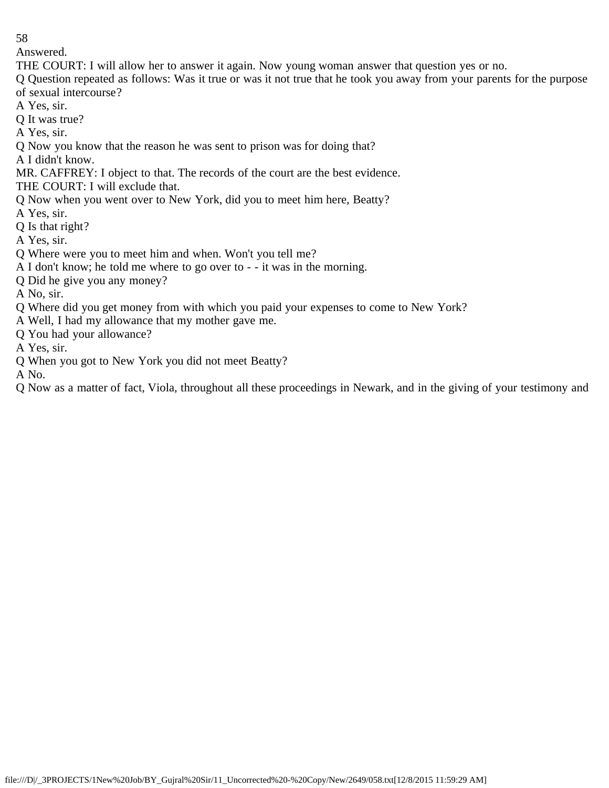Answered.

THE COURT: I will allow her to answer it again. Now young woman answer that question yes or no.

Q Question repeated as follows: Was it true or was it not true that he took you away from your parents for the purpose of sexual intercourse?

A Yes, sir.

Q It was true?

A Yes, sir.

Q Now you know that the reason he was sent to prison was for doing that?

A I didn't know.

MR. CAFFREY: I object to that. The records of the court are the best evidence.

THE COURT: I will exclude that.

Q Now when you went over to New York, did you to meet him here, Beatty?

A Yes, sir.

Q Is that right?

A Yes, sir.

Q Where were you to meet him and when. Won't you tell me?

A I don't know; he told me where to go over to - - it was in the morning.

Q Did he give you any money?

A No, sir.

Q Where did you get money from with which you paid your expenses to come to New York?

A Well, I had my allowance that my mother gave me.

Q You had your allowance?

A Yes, sir.

Q When you got to New York you did not meet Beatty?

A No.

Q Now as a matter of fact, Viola, throughout all these proceedings in Newark, and in the giving of your testimony and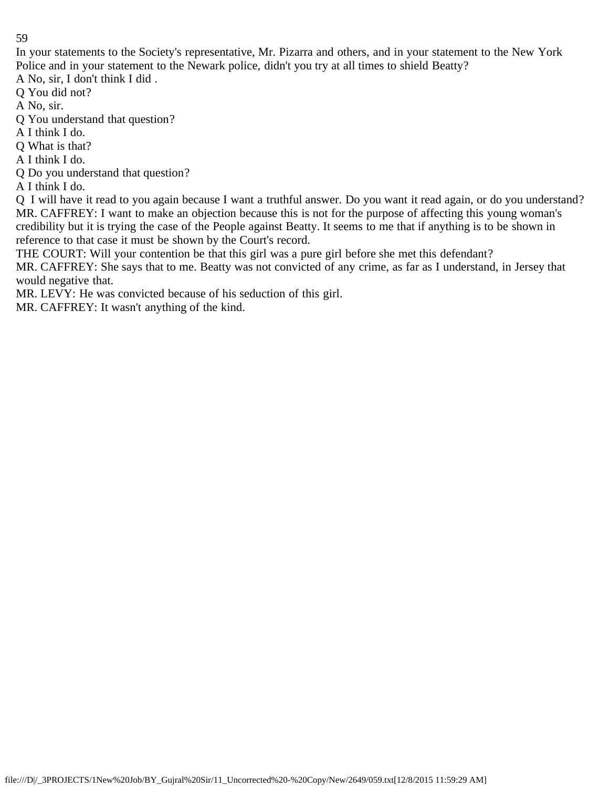In your statements to the Society's representative, Mr. Pizarra and others, and in your statement to the New York Police and in your statement to the Newark police, didn't you try at all times to shield Beatty?

A No, sir, I don't think I did .

Q You did not?

A No, sir.

Q You understand that question?

A I think I do.

Q What is that?

A I think I do.

Q Do you understand that question?

A I think I do.

Q I will have it read to you again because I want a truthful answer. Do you want it read again, or do you understand? MR. CAFFREY: I want to make an objection because this is not for the purpose of affecting this young woman's credibility but it is trying the case of the People against Beatty. It seems to me that if anything is to be shown in reference to that case it must be shown by the Court's record.

THE COURT: Will your contention be that this girl was a pure girl before she met this defendant?

MR. CAFFREY: She says that to me. Beatty was not convicted of any crime, as far as I understand, in Jersey that would negative that.

MR. LEVY: He was convicted because of his seduction of this girl.

MR. CAFFREY: It wasn't anything of the kind.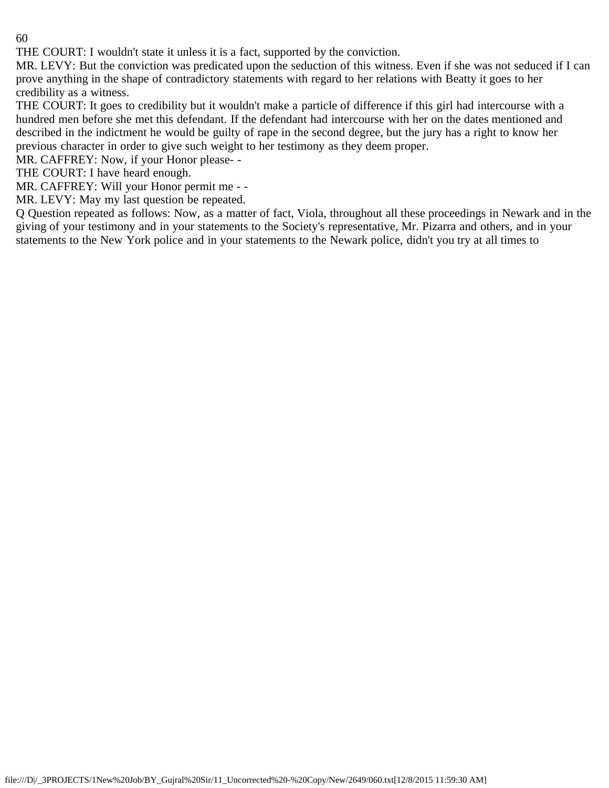THE COURT: I wouldn't state it unless it is a fact, supported by the conviction.

MR. LEVY: But the conviction was predicated upon the seduction of this witness. Even if she was not seduced if I can prove anything in the shape of contradictory statements with regard to her relations with Beatty it goes to her credibility as a witness.

THE COURT: It goes to credibility but it wouldn't make a particle of difference if this girl had intercourse with a hundred men before she met this defendant. If the defendant had intercourse with her on the dates mentioned and described in the indictment he would be guilty of rape in the second degree, but the jury has a right to know her previous character in order to give such weight to her testimony as they deem proper.

MR. CAFFREY: Now, if your Honor please- -

THE COURT: I have heard enough.

MR. CAFFREY: Will your Honor permit me - -

MR. LEVY: May my last question be repeated.

Q Question repeated as follows: Now, as a matter of fact, Viola, throughout all these proceedings in Newark and in the giving of your testimony and in your statements to the Society's representative, Mr. Pizarra and others, and in your statements to the New York police and in your statements to the Newark police, didn't you try at all times to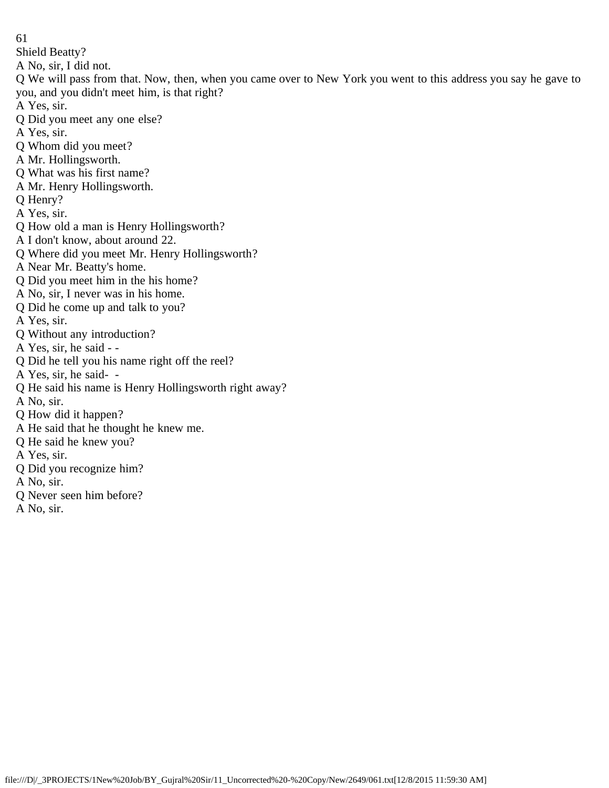61 Shield Beatty? A No, sir, I did not. Q We will pass from that. Now, then, when you came over to New York you went to this address you say he gave to you, and you didn't meet him, is that right? A Yes, sir. Q Did you meet any one else? A Yes, sir. Q Whom did you meet? A Mr. Hollingsworth. Q What was his first name? A Mr. Henry Hollingsworth. Q Henry? A Yes, sir. Q How old a man is Henry Hollingsworth? A I don't know, about around 22. Q Where did you meet Mr. Henry Hollingsworth? A Near Mr. Beatty's home. Q Did you meet him in the his home? A No, sir, I never was in his home. Q Did he come up and talk to you? A Yes, sir. Q Without any introduction? A Yes, sir, he said - - Q Did he tell you his name right off the reel? A Yes, sir, he said- - Q He said his name is Henry Hollingsworth right away? A No, sir. Q How did it happen? A He said that he thought he knew me. Q He said he knew you? A Yes, sir. Q Did you recognize him? A No, sir. Q Never seen him before? A No, sir.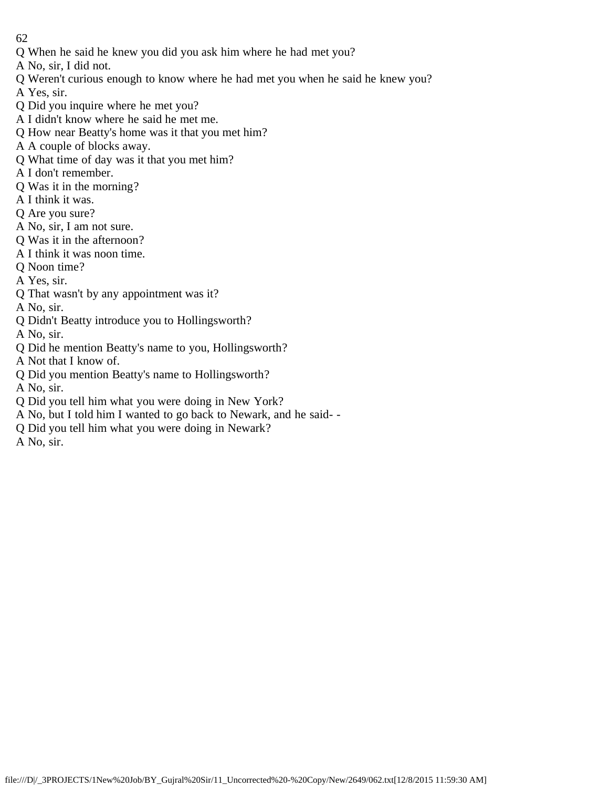- Q When he said he knew you did you ask him where he had met you?
- A No, sir, I did not.
- Q Weren't curious enough to know where he had met you when he said he knew you?
- A Yes, sir.
- Q Did you inquire where he met you?
- A I didn't know where he said he met me.
- Q How near Beatty's home was it that you met him?
- A A couple of blocks away.
- Q What time of day was it that you met him?
- A I don't remember.
- Q Was it in the morning?
- A I think it was.
- Q Are you sure?
- A No, sir, I am not sure.
- Q Was it in the afternoon?
- A I think it was noon time.
- Q Noon time?
- A Yes, sir.
- Q That wasn't by any appointment was it?
- A No, sir.
- Q Didn't Beatty introduce you to Hollingsworth?
- A No, sir.
- Q Did he mention Beatty's name to you, Hollingsworth?
- A Not that I know of.
- Q Did you mention Beatty's name to Hollingsworth?
- A No, sir.
- Q Did you tell him what you were doing in New York?
- A No, but I told him I wanted to go back to Newark, and he said- -
- Q Did you tell him what you were doing in Newark?
- A No, sir.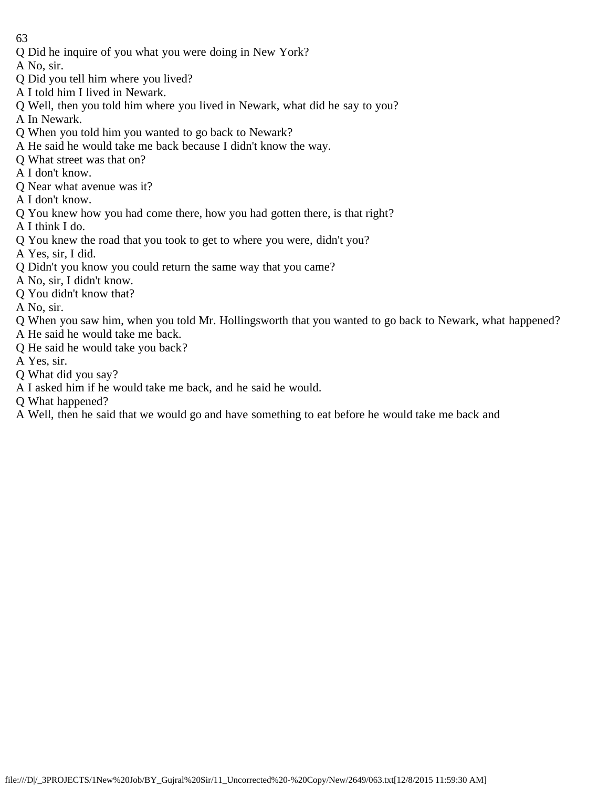- 63
- Q Did he inquire of you what you were doing in New York?
- A No, sir.
- Q Did you tell him where you lived?
- A I told him I lived in Newark.
- Q Well, then you told him where you lived in Newark, what did he say to you?
- A In Newark.
- Q When you told him you wanted to go back to Newark?
- A He said he would take me back because I didn't know the way.
- Q What street was that on?
- A I don't know.
- Q Near what avenue was it?
- A I don't know.
- Q You knew how you had come there, how you had gotten there, is that right?
- A I think I do.
- Q You knew the road that you took to get to where you were, didn't you?
- A Yes, sir, I did.
- Q Didn't you know you could return the same way that you came?
- A No, sir, I didn't know.
- Q You didn't know that?
- A No, sir.
- Q When you saw him, when you told Mr. Hollingsworth that you wanted to go back to Newark, what happened?
- A He said he would take me back.
- Q He said he would take you back?
- A Yes, sir.
- Q What did you say?
- A I asked him if he would take me back, and he said he would.
- Q What happened?
- A Well, then he said that we would go and have something to eat before he would take me back and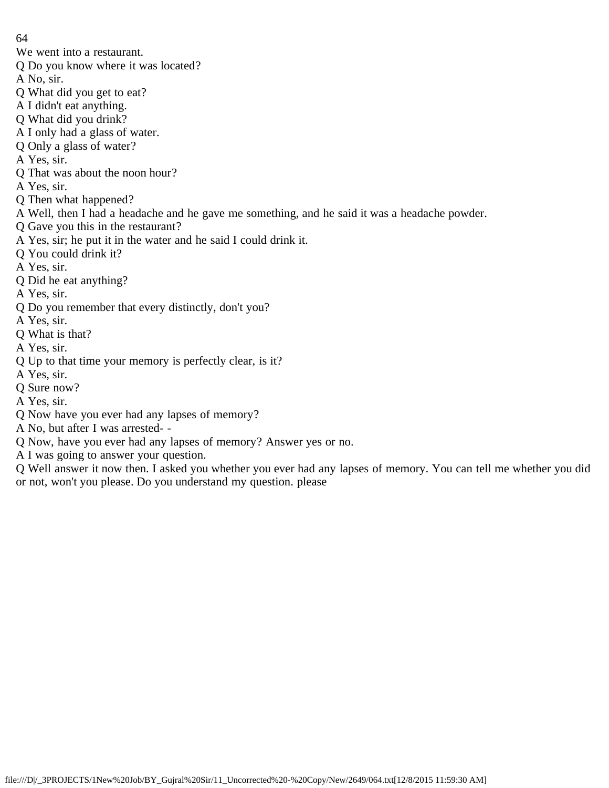- 64
- We went into a restaurant.
- Q Do you know where it was located?
- A No, sir.
- Q What did you get to eat?
- A I didn't eat anything.
- Q What did you drink?
- A I only had a glass of water.
- Q Only a glass of water?
- A Yes, sir.
- Q That was about the noon hour?
- A Yes, sir.
- Q Then what happened?
- A Well, then I had a headache and he gave me something, and he said it was a headache powder.
- Q Gave you this in the restaurant?
- A Yes, sir; he put it in the water and he said I could drink it.
- Q You could drink it?
- A Yes, sir.
- Q Did he eat anything?
- A Yes, sir.
- Q Do you remember that every distinctly, don't you?
- A Yes, sir.
- Q What is that?
- A Yes, sir.
- Q Up to that time your memory is perfectly clear, is it?
- A Yes, sir.
- Q Sure now?
- A Yes, sir.
- Q Now have you ever had any lapses of memory?
- A No, but after I was arrested- -
- Q Now, have you ever had any lapses of memory? Answer yes or no.
- A I was going to answer your question.

Q Well answer it now then. I asked you whether you ever had any lapses of memory. You can tell me whether you did or not, won't you please. Do you understand my question. please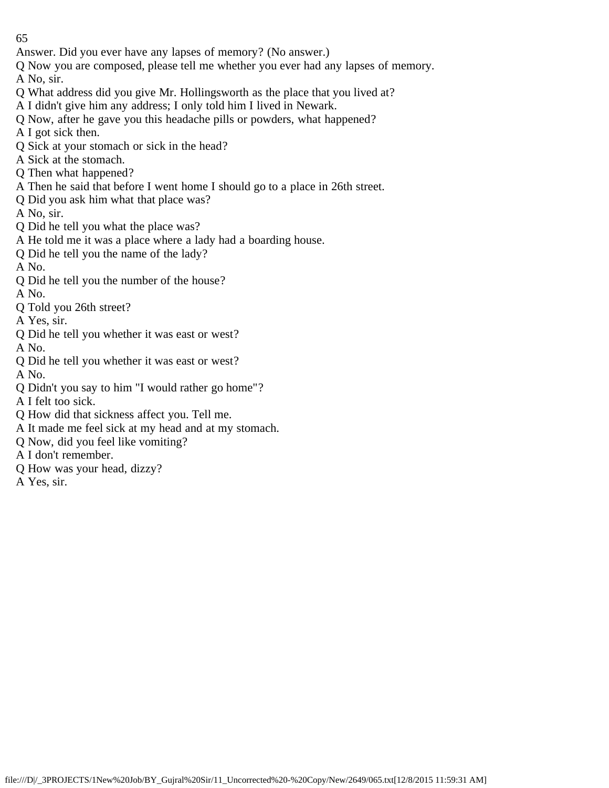- Answer. Did you ever have any lapses of memory? (No answer.)
- Q Now you are composed, please tell me whether you ever had any lapses of memory.

A No, sir.

- Q What address did you give Mr. Hollingsworth as the place that you lived at?
- A I didn't give him any address; I only told him I lived in Newark.
- Q Now, after he gave you this headache pills or powders, what happened?
- A I got sick then.
- Q Sick at your stomach or sick in the head?
- A Sick at the stomach.
- Q Then what happened?
- A Then he said that before I went home I should go to a place in 26th street.
- Q Did you ask him what that place was?

A No, sir.

- Q Did he tell you what the place was?
- A He told me it was a place where a lady had a boarding house.
- Q Did he tell you the name of the lady?

A No.

Q Did he tell you the number of the house?

A No.

Q Told you 26th street?

A Yes, sir.

- Q Did he tell you whether it was east or west?
- A No. Q Did he tell you whether it was east or west?

A No.

Q Didn't you say to him "I would rather go home"?

A I felt too sick.

- Q How did that sickness affect you. Tell me.
- A It made me feel sick at my head and at my stomach.
- Q Now, did you feel like vomiting?
- A I don't remember.
- Q How was your head, dizzy?
- A Yes, sir.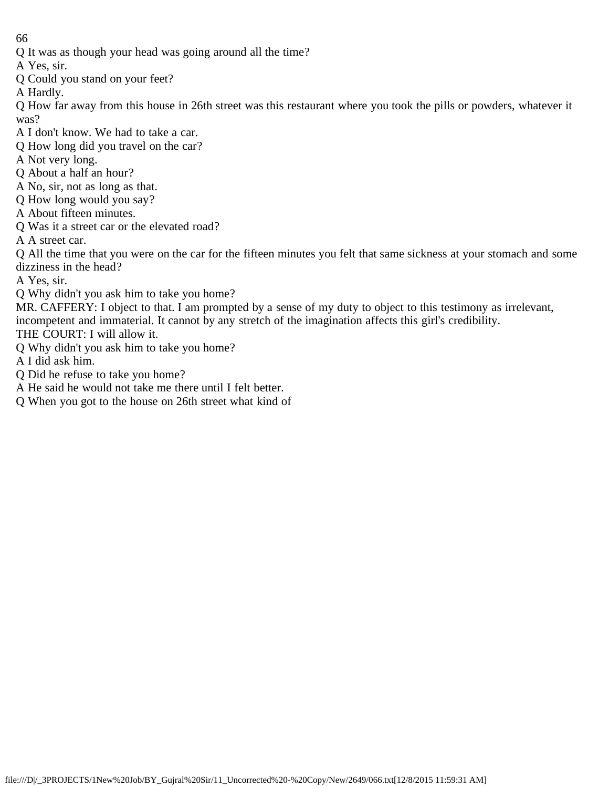Q It was as though your head was going around all the time?

A Yes, sir.

Q Could you stand on your feet?

A Hardly.

Q How far away from this house in 26th street was this restaurant where you took the pills or powders, whatever it was?

A I don't know. We had to take a car.

- Q How long did you travel on the car?
- A Not very long.
- Q About a half an hour?
- A No, sir, not as long as that.
- Q How long would you say?
- A About fifteen minutes.
- Q Was it a street car or the elevated road?

A A street car.

Q All the time that you were on the car for the fifteen minutes you felt that same sickness at your stomach and some dizziness in the head?

A Yes, sir.

- Q Why didn't you ask him to take you home?
- MR. CAFFERY: I object to that. I am prompted by a sense of my duty to object to this testimony as irrelevant, incompetent and immaterial. It cannot by any stretch of the imagination affects this girl's credibility.

THE COURT: I will allow it.

Q Why didn't you ask him to take you home?

A I did ask him.

- Q Did he refuse to take you home?
- A He said he would not take me there until I felt better.
- Q When you got to the house on 26th street what kind of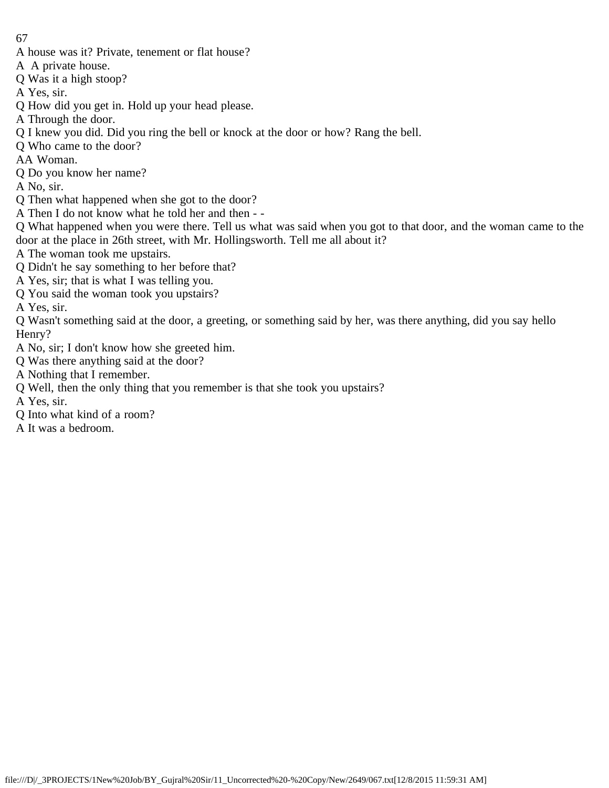- A house was it? Private, tenement or flat house?
- A A private house.
- Q Was it a high stoop?
- A Yes, sir.
- Q How did you get in. Hold up your head please.
- A Through the door.
- Q I knew you did. Did you ring the bell or knock at the door or how? Rang the bell.
- Q Who came to the door?
- AA Woman.
- Q Do you know her name?
- A No, sir.
- Q Then what happened when she got to the door?
- A Then I do not know what he told her and then -
- Q What happened when you were there. Tell us what was said when you got to that door, and the woman came to the door at the place in 26th street, with Mr. Hollingsworth. Tell me all about it?
- A The woman took me upstairs.
- Q Didn't he say something to her before that?
- A Yes, sir; that is what I was telling you.
- Q You said the woman took you upstairs?
- A Yes, sir.
- Q Wasn't something said at the door, a greeting, or something said by her, was there anything, did you say hello Henry?
- A No, sir; I don't know how she greeted him.
- Q Was there anything said at the door?
- A Nothing that I remember.
- Q Well, then the only thing that you remember is that she took you upstairs?
- A Yes, sir.
- Q Into what kind of a room?
- A It was a bedroom.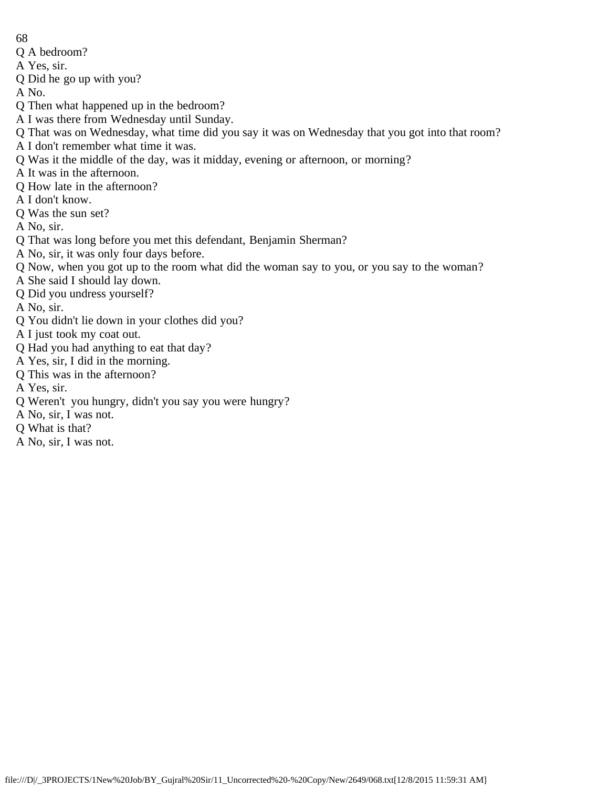- Q A bedroom?
- A Yes, sir.
- Q Did he go up with you?

A No.

- Q Then what happened up in the bedroom?
- A I was there from Wednesday until Sunday.
- Q That was on Wednesday, what time did you say it was on Wednesday that you got into that room?
- A I don't remember what time it was.
- Q Was it the middle of the day, was it midday, evening or afternoon, or morning?
- A It was in the afternoon.
- Q How late in the afternoon?
- A I don't know.
- Q Was the sun set?
- A No, sir.
- Q That was long before you met this defendant, Benjamin Sherman?
- A No, sir, it was only four days before.
- Q Now, when you got up to the room what did the woman say to you, or you say to the woman?
- A She said I should lay down.
- Q Did you undress yourself?

A No, sir.

- Q You didn't lie down in your clothes did you?
- A I just took my coat out.
- Q Had you had anything to eat that day?
- A Yes, sir, I did in the morning.
- Q This was in the afternoon?

A Yes, sir.

- Q Weren't you hungry, didn't you say you were hungry?
- A No, sir, I was not.
- Q What is that?
- A No, sir, I was not.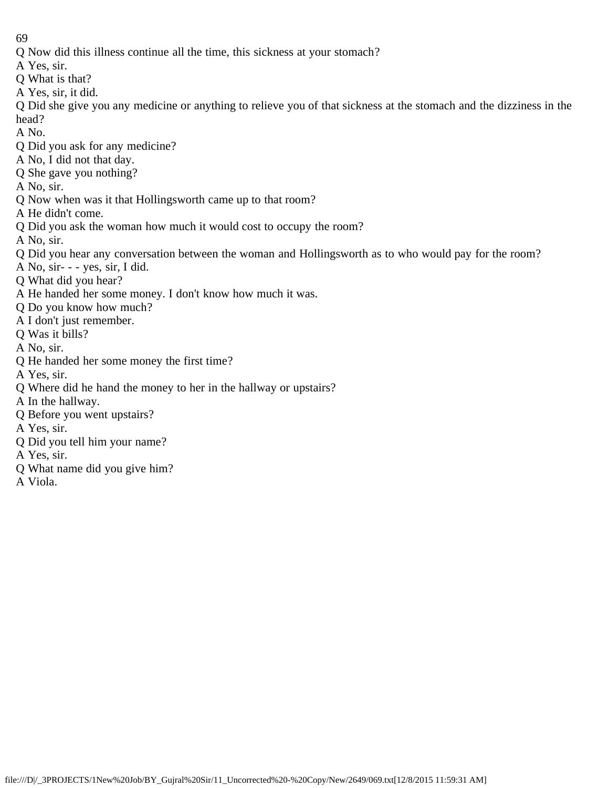- 69
- Q Now did this illness continue all the time, this sickness at your stomach?
- A Yes, sir.
- Q What is that?
- A Yes, sir, it did.

Q Did she give you any medicine or anything to relieve you of that sickness at the stomach and the dizziness in the head?

- A No.
- Q Did you ask for any medicine?
- A No, I did not that day.
- Q She gave you nothing?
- A No, sir.
- Q Now when was it that Hollingsworth came up to that room?
- A He didn't come.
- Q Did you ask the woman how much it would cost to occupy the room?
- A No, sir.
- Q Did you hear any conversation between the woman and Hollingsworth as to who would pay for the room?
- A No, sir- - yes, sir, I did.
- Q What did you hear?
- A He handed her some money. I don't know how much it was.
- Q Do you know how much?
- A I don't just remember.
- Q Was it bills?
- A No, sir.
- Q He handed her some money the first time?
- A Yes, sir.
- Q Where did he hand the money to her in the hallway or upstairs?
- A In the hallway.
- Q Before you went upstairs?
- A Yes, sir.
- Q Did you tell him your name?
- A Yes, sir.
- Q What name did you give him?
- A Viola.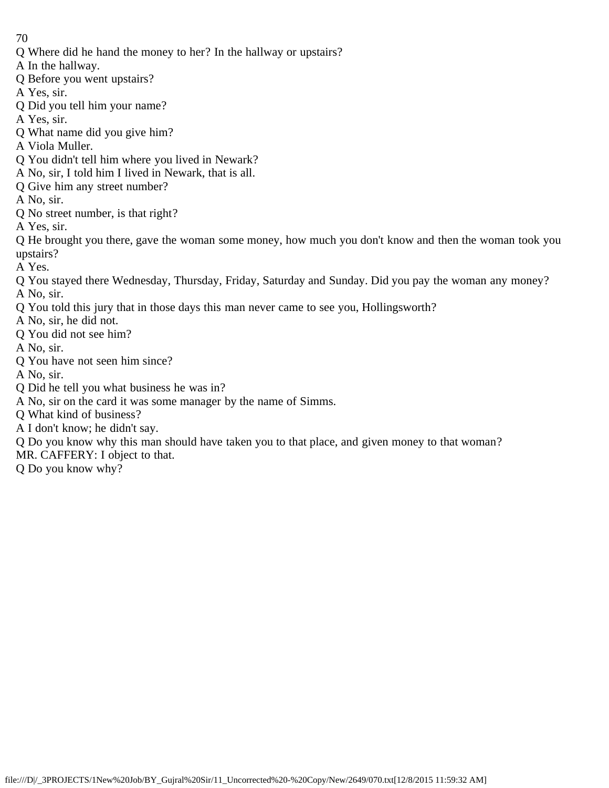- Q Where did he hand the money to her? In the hallway or upstairs?
- A In the hallway.
- Q Before you went upstairs?
- A Yes, sir.
- Q Did you tell him your name?
- A Yes, sir.
- Q What name did you give him?
- A Viola Muller.
- Q You didn't tell him where you lived in Newark?
- A No, sir, I told him I lived in Newark, that is all.
- Q Give him any street number?
- A No, sir.
- Q No street number, is that right?
- A Yes, sir.

Q He brought you there, gave the woman some money, how much you don't know and then the woman took you upstairs?

- A Yes.
- Q You stayed there Wednesday, Thursday, Friday, Saturday and Sunday. Did you pay the woman any money? A No, sir.
- Q You told this jury that in those days this man never came to see you, Hollingsworth?
- A No, sir, he did not.
- Q You did not see him?
- A No, sir.
- Q You have not seen him since?
- A No, sir.
- Q Did he tell you what business he was in?
- A No, sir on the card it was some manager by the name of Simms.
- Q What kind of business?
- A I don't know; he didn't say.
- Q Do you know why this man should have taken you to that place, and given money to that woman?
- MR. CAFFERY: I object to that.
- Q Do you know why?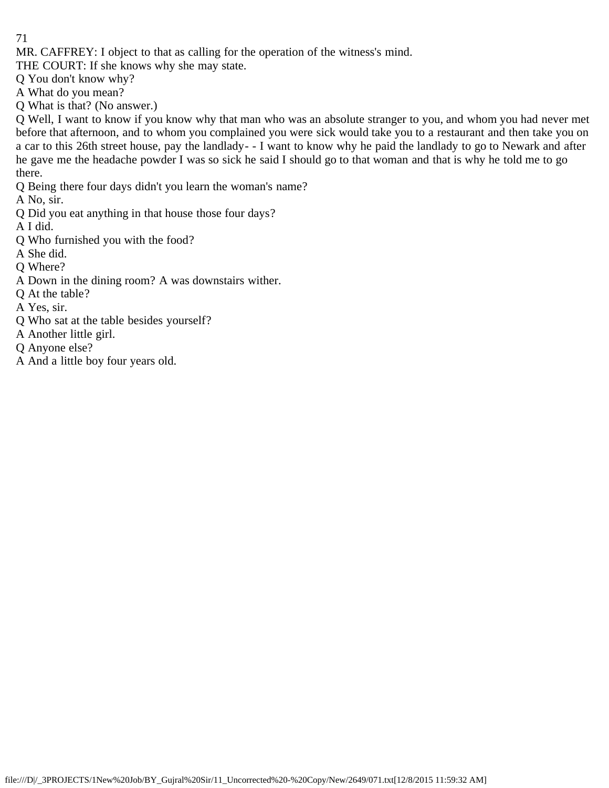MR. CAFFREY: I object to that as calling for the operation of the witness's mind.

THE COURT: If she knows why she may state.

Q You don't know why?

A What do you mean?

Q What is that? (No answer.)

Q Well, I want to know if you know why that man who was an absolute stranger to you, and whom you had never met before that afternoon, and to whom you complained you were sick would take you to a restaurant and then take you on a car to this 26th street house, pay the landlady- - I want to know why he paid the landlady to go to Newark and after he gave me the headache powder I was so sick he said I should go to that woman and that is why he told me to go there.

Q Being there four days didn't you learn the woman's name?

A No, sir.

Q Did you eat anything in that house those four days?

A I did.

Q Who furnished you with the food?

A She did.

Q Where?

- A Down in the dining room? A was downstairs wither.
- Q At the table?

A Yes, sir.

- Q Who sat at the table besides yourself?
- A Another little girl.
- Q Anyone else?
- A And a little boy four years old.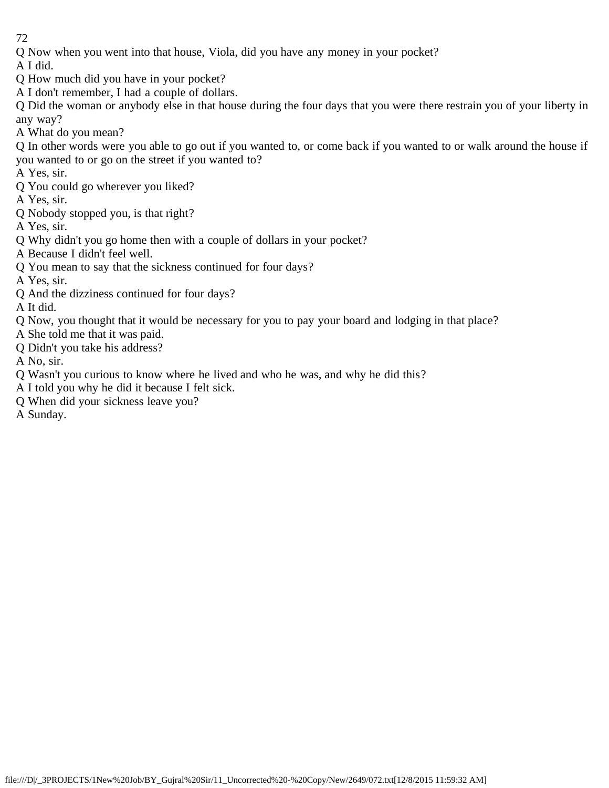Q Now when you went into that house, Viola, did you have any money in your pocket?

A I did.

- Q How much did you have in your pocket?
- A I don't remember, I had a couple of dollars.

Q Did the woman or anybody else in that house during the four days that you were there restrain you of your liberty in any way?

A What do you mean?

Q In other words were you able to go out if you wanted to, or come back if you wanted to or walk around the house if you wanted to or go on the street if you wanted to?

A Yes, sir.

Q You could go wherever you liked?

A Yes, sir.

Q Nobody stopped you, is that right?

A Yes, sir.

- Q Why didn't you go home then with a couple of dollars in your pocket?
- A Because I didn't feel well.
- Q You mean to say that the sickness continued for four days?
- A Yes, sir.
- Q And the dizziness continued for four days?

A It did.

- Q Now, you thought that it would be necessary for you to pay your board and lodging in that place?
- A She told me that it was paid.
- Q Didn't you take his address?

A No, sir.

- Q Wasn't you curious to know where he lived and who he was, and why he did this?
- A I told you why he did it because I felt sick.
- Q When did your sickness leave you?

A Sunday.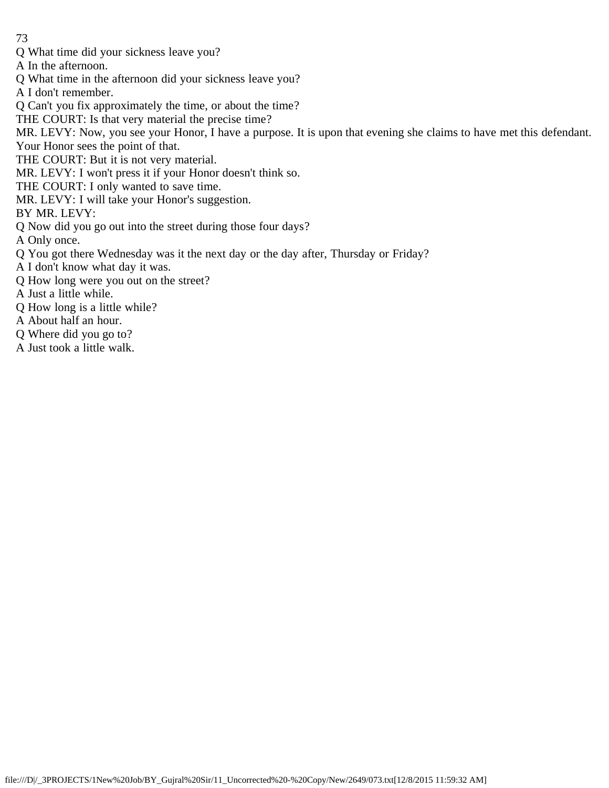Q What time did your sickness leave you?

A In the afternoon.

Q What time in the afternoon did your sickness leave you?

A I don't remember.

Q Can't you fix approximately the time, or about the time?

THE COURT: Is that very material the precise time?

MR. LEVY: Now, you see your Honor, I have a purpose. It is upon that evening she claims to have met this defendant.

Your Honor sees the point of that.

THE COURT: But it is not very material.

MR. LEVY: I won't press it if your Honor doesn't think so.

THE COURT: I only wanted to save time.

MR. LEVY: I will take your Honor's suggestion.

BY MR. LEVY:

Q Now did you go out into the street during those four days?

A Only once.

Q You got there Wednesday was it the next day or the day after, Thursday or Friday?

- A I don't know what day it was.
- Q How long were you out on the street?

A Just a little while.

Q How long is a little while?

A About half an hour.

Q Where did you go to?

A Just took a little walk.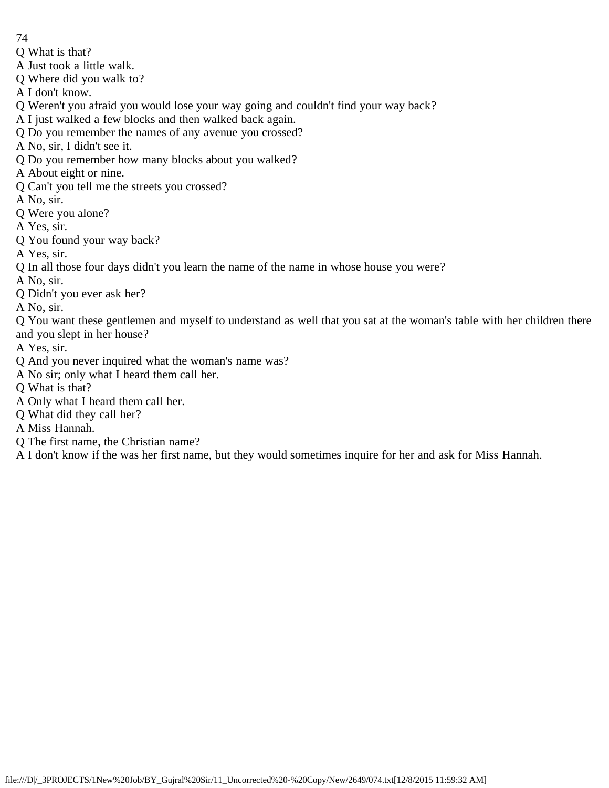- 74
- Q What is that?
- A Just took a little walk.
- Q Where did you walk to?
- A I don't know.
- Q Weren't you afraid you would lose your way going and couldn't find your way back?
- A I just walked a few blocks and then walked back again.
- Q Do you remember the names of any avenue you crossed?
- A No, sir, I didn't see it.
- Q Do you remember how many blocks about you walked?
- A About eight or nine.
- Q Can't you tell me the streets you crossed?
- A No, sir.
- Q Were you alone?
- A Yes, sir.
- Q You found your way back?
- A Yes, sir.
- Q In all those four days didn't you learn the name of the name in whose house you were?
- A No, sir.
- Q Didn't you ever ask her?
- A No, sir.
- Q You want these gentlemen and myself to understand as well that you sat at the woman's table with her children there and you slept in her house?
- A Yes, sir.
- Q And you never inquired what the woman's name was?
- A No sir; only what I heard them call her.
- Q What is that?
- A Only what I heard them call her.
- Q What did they call her?
- A Miss Hannah.
- Q The first name, the Christian name?
- A I don't know if the was her first name, but they would sometimes inquire for her and ask for Miss Hannah.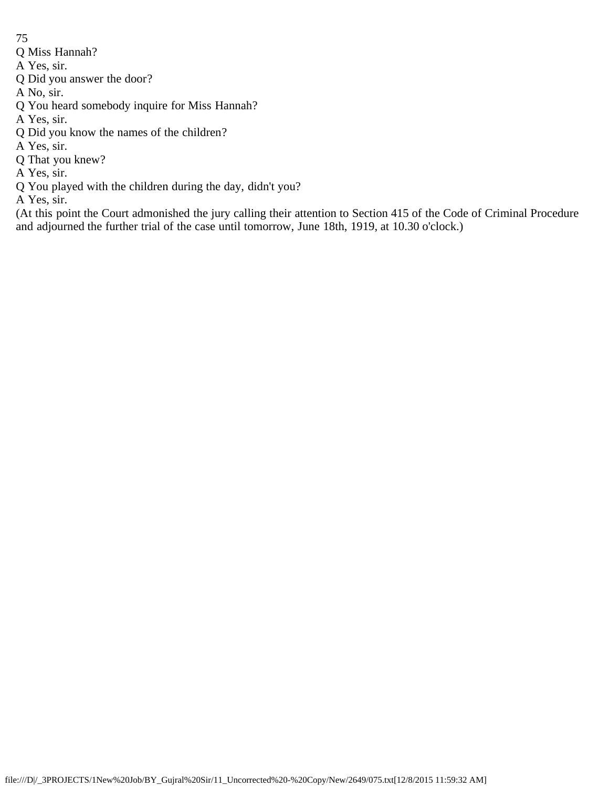- Q Miss Hannah?
- A Yes, sir.
- Q Did you answer the door?
- A No, sir.
- Q You heard somebody inquire for Miss Hannah?
- A Yes, sir.
- Q Did you know the names of the children?
- A Yes, sir.
- Q That you knew?
- A Yes, sir.
- Q You played with the children during the day, didn't you?
- A Yes, sir.

(At this point the Court admonished the jury calling their attention to Section 415 of the Code of Criminal Procedure and adjourned the further trial of the case until tomorrow, June 18th, 1919, at 10.30 o'clock.)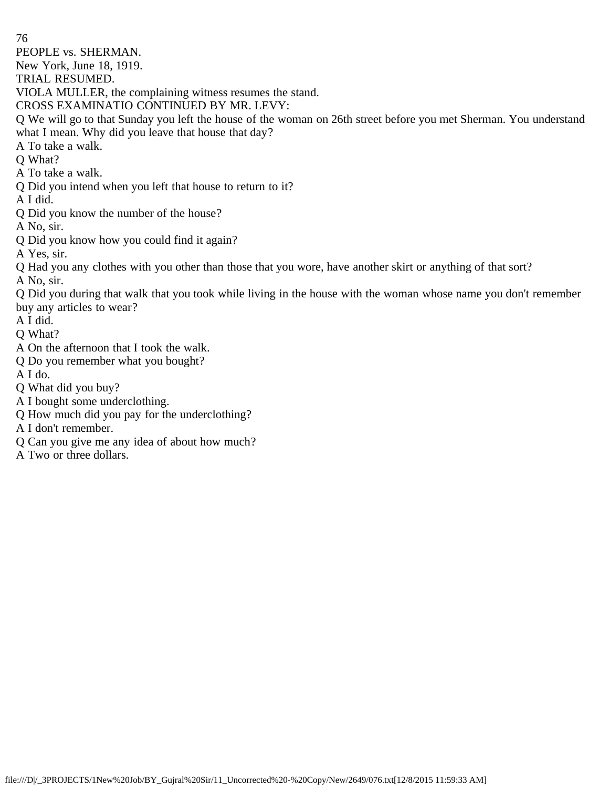76 PEOPLE vs. SHERMAN. New York, June 18, 1919. TRIAL RESUMED. VIOLA MULLER, the complaining witness resumes the stand. CROSS EXAMINATIO CONTINUED BY MR. LEVY: Q We will go to that Sunday you left the house of the woman on 26th street before you met Sherman. You understand what I mean. Why did you leave that house that day? A To take a walk. Q What? A To take a walk. Q Did you intend when you left that house to return to it? A I did. Q Did you know the number of the house? A No, sir. Q Did you know how you could find it again? A Yes, sir. Q Had you any clothes with you other than those that you wore, have another skirt or anything of that sort? A No, sir. Q Did you during that walk that you took while living in the house with the woman whose name you don't remember buy any articles to wear? A I did. Q What? A On the afternoon that I took the walk. Q Do you remember what you bought? A I do. Q What did you buy? A I bought some underclothing. Q How much did you pay for the underclothing? A I don't remember. Q Can you give me any idea of about how much?

- 
- A Two or three dollars.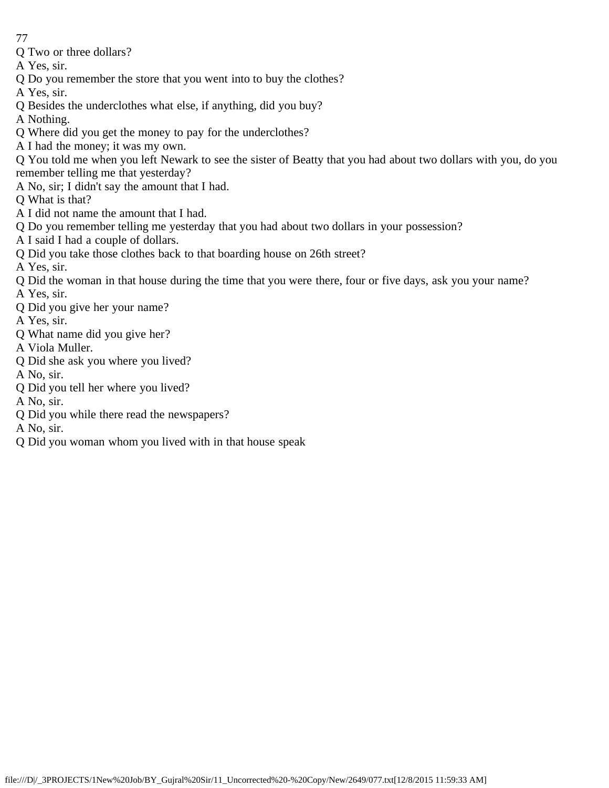- 77
- Q Two or three dollars?
- A Yes, sir.
- Q Do you remember the store that you went into to buy the clothes?
- A Yes, sir.
- Q Besides the underclothes what else, if anything, did you buy?
- A Nothing.
- Q Where did you get the money to pay for the underclothes?
- A I had the money; it was my own.
- Q You told me when you left Newark to see the sister of Beatty that you had about two dollars with you, do you
- remember telling me that yesterday?
- A No, sir; I didn't say the amount that I had.
- Q What is that?
- A I did not name the amount that I had.
- Q Do you remember telling me yesterday that you had about two dollars in your possession?
- A I said I had a couple of dollars.
- Q Did you take those clothes back to that boarding house on 26th street?
- A Yes, sir.
- Q Did the woman in that house during the time that you were there, four or five days, ask you your name? A Yes, sir.
- Q Did you give her your name?
- A Yes, sir.
- Q What name did you give her?
- A Viola Muller.
- Q Did she ask you where you lived?
- A No, sir.
- Q Did you tell her where you lived?
- A No, sir.
- Q Did you while there read the newspapers?
- A No, sir.
- Q Did you woman whom you lived with in that house speak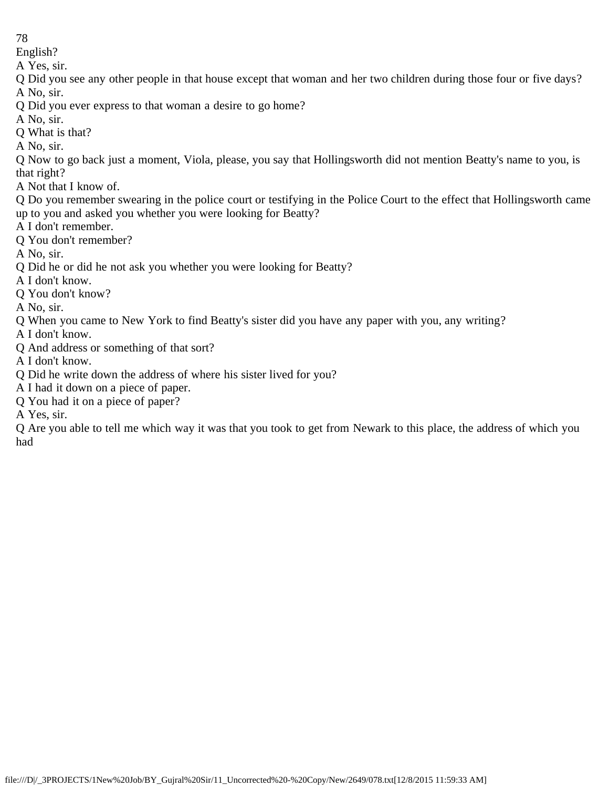English?

A Yes, sir.

Q Did you see any other people in that house except that woman and her two children during those four or five days? A No, sir.

Q Did you ever express to that woman a desire to go home?

A No, sir.

Q What is that?

A No, sir.

Q Now to go back just a moment, Viola, please, you say that Hollingsworth did not mention Beatty's name to you, is that right?

A Not that I know of.

Q Do you remember swearing in the police court or testifying in the Police Court to the effect that Hollingsworth came up to you and asked you whether you were looking for Beatty?

A I don't remember.

Q You don't remember?

A No, sir.

Q Did he or did he not ask you whether you were looking for Beatty?

A I don't know.

Q You don't know?

A No, sir.

Q When you came to New York to find Beatty's sister did you have any paper with you, any writing?

A I don't know.

Q And address or something of that sort?

A I don't know.

Q Did he write down the address of where his sister lived for you?

A I had it down on a piece of paper.

Q You had it on a piece of paper?

A Yes, sir.

Q Are you able to tell me which way it was that you took to get from Newark to this place, the address of which you had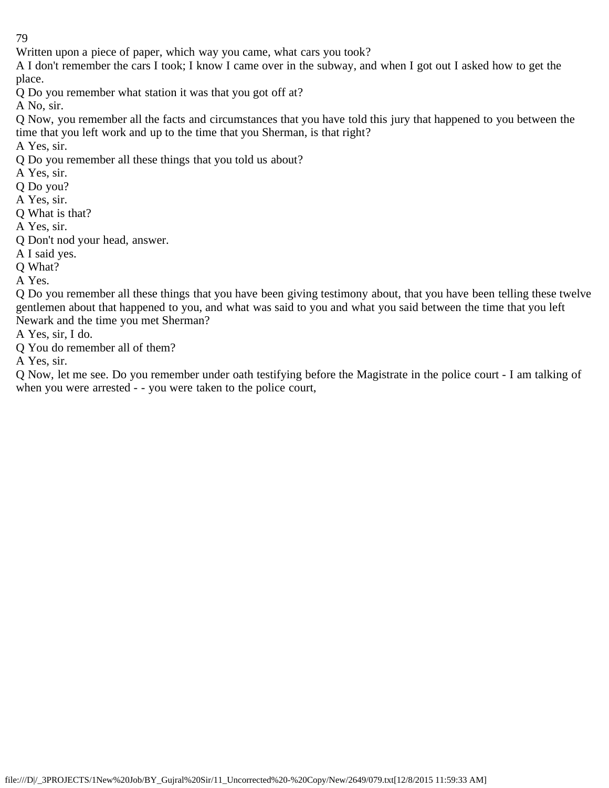Written upon a piece of paper, which way you came, what cars you took?

A I don't remember the cars I took; I know I came over in the subway, and when I got out I asked how to get the place.

Q Do you remember what station it was that you got off at?

A No, sir.

Q Now, you remember all the facts and circumstances that you have told this jury that happened to you between the time that you left work and up to the time that you Sherman, is that right?

A Yes, sir.

Q Do you remember all these things that you told us about?

A Yes, sir.

Q Do you?

A Yes, sir.

Q What is that?

A Yes, sir.

Q Don't nod your head, answer.

A I said yes.

Q What?

A Yes.

Q Do you remember all these things that you have been giving testimony about, that you have been telling these twelve gentlemen about that happened to you, and what was said to you and what you said between the time that you left Newark and the time you met Sherman?

A Yes, sir, I do.

Q You do remember all of them?

A Yes, sir.

Q Now, let me see. Do you remember under oath testifying before the Magistrate in the police court - I am talking of when you were arrested - - you were taken to the police court,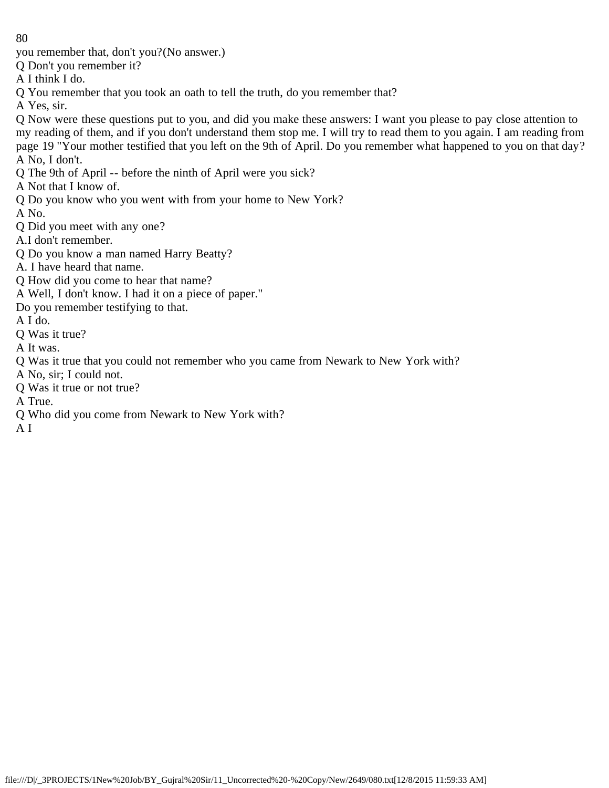you remember that, don't you?(No answer.)

Q Don't you remember it?

A I think I do.

Q You remember that you took an oath to tell the truth, do you remember that?

A Yes, sir.

Q Now were these questions put to you, and did you make these answers: I want you please to pay close attention to my reading of them, and if you don't understand them stop me. I will try to read them to you again. I am reading from page 19 "Your mother testified that you left on the 9th of April. Do you remember what happened to you on that day? A No, I don't.

Q The 9th of April -- before the ninth of April were you sick?

A Not that I know of.

Q Do you know who you went with from your home to New York?

A No.

Q Did you meet with any one?

A.I don't remember.

Q Do you know a man named Harry Beatty?

A. I have heard that name.

Q How did you come to hear that name?

A Well, I don't know. I had it on a piece of paper."

Do you remember testifying to that.

A I do.

Q Was it true?

A It was.

Q Was it true that you could not remember who you came from Newark to New York with?

A No, sir; I could not.

Q Was it true or not true?

A True.

Q Who did you come from Newark to New York with?

A I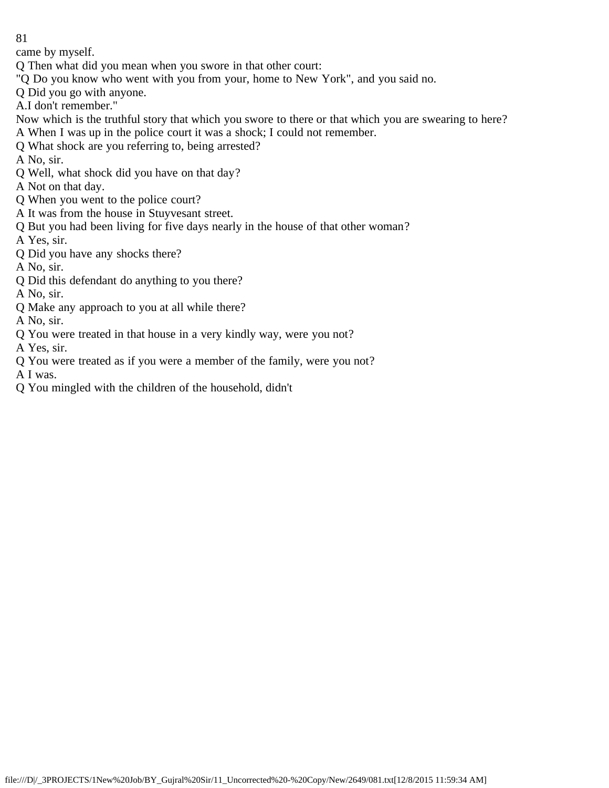came by myself.

- Q Then what did you mean when you swore in that other court:
- "Q Do you know who went with you from your, home to New York", and you said no.
- Q Did you go with anyone.
- A.I don't remember."
- Now which is the truthful story that which you swore to there or that which you are swearing to here?
- A When I was up in the police court it was a shock; I could not remember.
- Q What shock are you referring to, being arrested?
- A No, sir.
- Q Well, what shock did you have on that day?
- A Not on that day.
- Q When you went to the police court?
- A It was from the house in Stuyvesant street.
- Q But you had been living for five days nearly in the house of that other woman?
- A Yes, sir.
- Q Did you have any shocks there?
- A No, sir.
- Q Did this defendant do anything to you there?
- A No, sir.
- Q Make any approach to you at all while there?
- A No, sir.
- Q You were treated in that house in a very kindly way, were you not?
- A Yes, sir.
- Q You were treated as if you were a member of the family, were you not?
- A I was.
- Q You mingled with the children of the household, didn't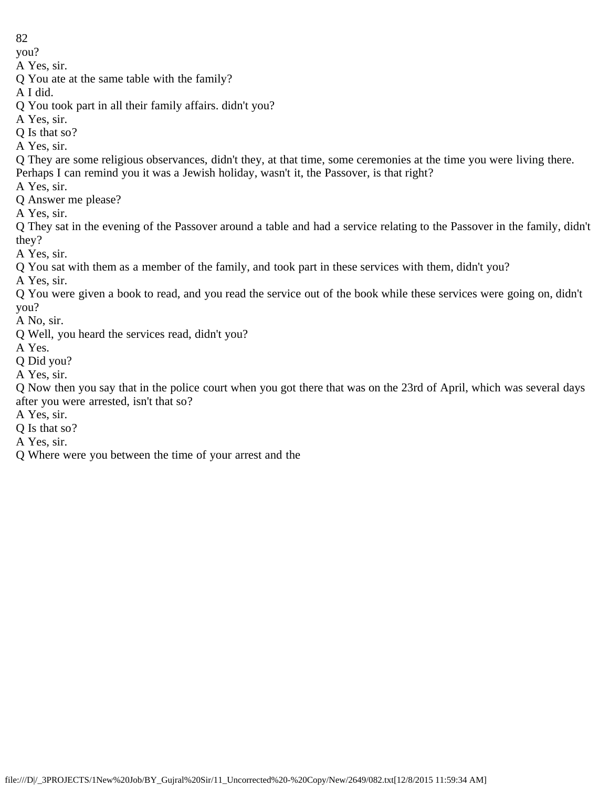you?

A Yes, sir.

Q You ate at the same table with the family?

A I did.

Q You took part in all their family affairs. didn't you?

A Yes, sir.

Q Is that so?

A Yes, sir.

Q They are some religious observances, didn't they, at that time, some ceremonies at the time you were living there. Perhaps I can remind you it was a Jewish holiday, wasn't it, the Passover, is that right?

A Yes, sir.

Q Answer me please?

A Yes, sir.

Q They sat in the evening of the Passover around a table and had a service relating to the Passover in the family, didn't they?

A Yes, sir.

Q You sat with them as a member of the family, and took part in these services with them, didn't you?

A Yes, sir.

Q You were given a book to read, and you read the service out of the book while these services were going on, didn't you?

A No, sir.

Q Well, you heard the services read, didn't you?

A Yes.

Q Did you?

A Yes, sir.

Q Now then you say that in the police court when you got there that was on the 23rd of April, which was several days after you were arrested, isn't that so?

A Yes, sir.

Q Is that so?

A Yes, sir.

Q Where were you between the time of your arrest and the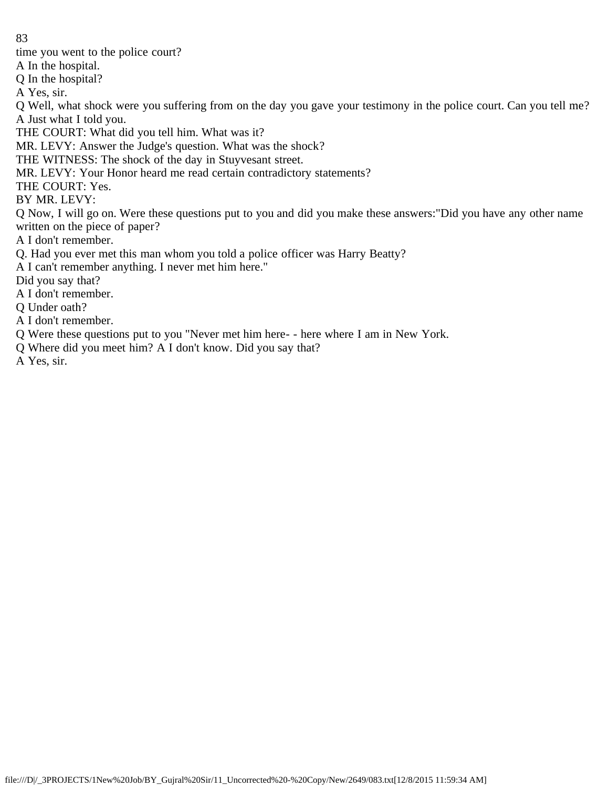time you went to the police court?

A In the hospital.

Q In the hospital?

A Yes, sir.

Q Well, what shock were you suffering from on the day you gave your testimony in the police court. Can you tell me? A Just what I told you.

THE COURT: What did you tell him. What was it?

MR. LEVY: Answer the Judge's question. What was the shock?

THE WITNESS: The shock of the day in Stuyvesant street.

MR. LEVY: Your Honor heard me read certain contradictory statements?

THE COURT: Yes.

BY MR. LEVY:

Q Now, I will go on. Were these questions put to you and did you make these answers:"Did you have any other name written on the piece of paper?

A I don't remember.

Q. Had you ever met this man whom you told a police officer was Harry Beatty?

A I can't remember anything. I never met him here."

Did you say that?

A I don't remember.

Q Under oath?

A I don't remember.

Q Were these questions put to you "Never met him here- - here where I am in New York.

Q Where did you meet him? A I don't know. Did you say that?

A Yes, sir.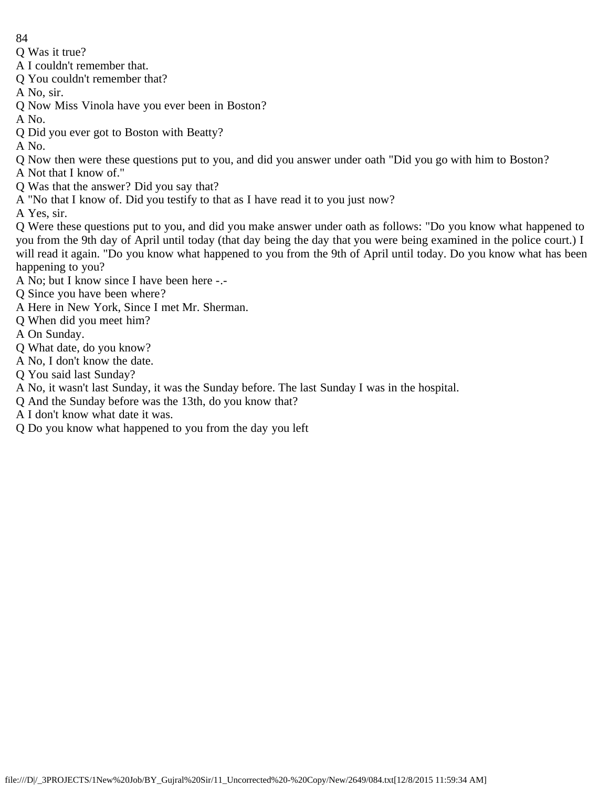Q Was it true?

A I couldn't remember that.

Q You couldn't remember that?

A No, sir.

Q Now Miss Vinola have you ever been in Boston?

A No.

Q Did you ever got to Boston with Beatty?

A No.

Q Now then were these questions put to you, and did you answer under oath "Did you go with him to Boston?

A Not that I know of."

- Q Was that the answer? Did you say that?
- A "No that I know of. Did you testify to that as I have read it to you just now?

A Yes, sir.

Q Were these questions put to you, and did you make answer under oath as follows: "Do you know what happened to you from the 9th day of April until today (that day being the day that you were being examined in the police court.) I will read it again. "Do you know what happened to you from the 9th of April until today. Do you know what has been happening to you?

- A No; but I know since I have been here -.-
- Q Since you have been where?
- A Here in New York, Since I met Mr. Sherman.
- Q When did you meet him?
- A On Sunday.
- Q What date, do you know?
- A No, I don't know the date.
- Q You said last Sunday?
- A No, it wasn't last Sunday, it was the Sunday before. The last Sunday I was in the hospital.
- Q And the Sunday before was the 13th, do you know that?
- A I don't know what date it was.
- Q Do you know what happened to you from the day you left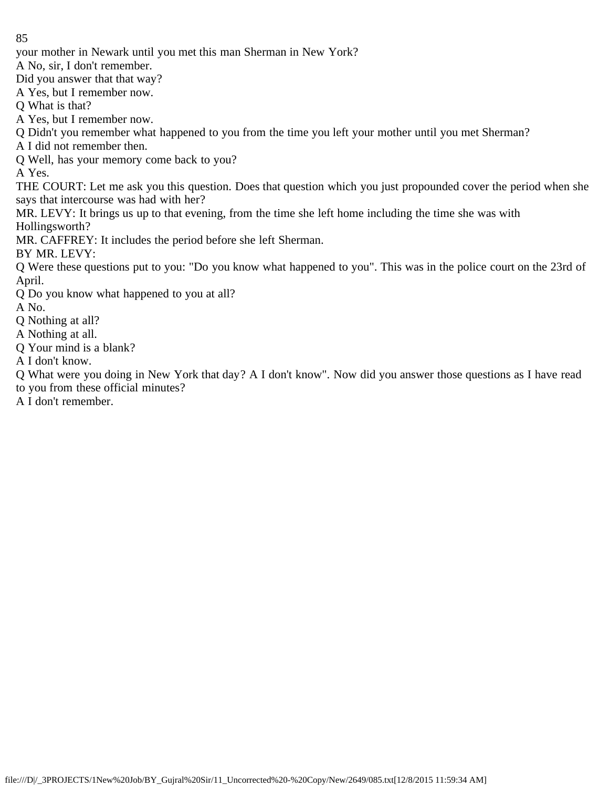your mother in Newark until you met this man Sherman in New York?

A No, sir, I don't remember.

Did you answer that that way?

A Yes, but I remember now.

Q What is that?

A Yes, but I remember now.

Q Didn't you remember what happened to you from the time you left your mother until you met Sherman?

A I did not remember then.

Q Well, has your memory come back to you?

A Yes.

THE COURT: Let me ask you this question. Does that question which you just propounded cover the period when she says that intercourse was had with her?

MR. LEVY: It brings us up to that evening, from the time she left home including the time she was with Hollingsworth?

MR. CAFFREY: It includes the period before she left Sherman.

BY MR. LEVY:

Q Were these questions put to you: "Do you know what happened to you". This was in the police court on the 23rd of April.

Q Do you know what happened to you at all?

A No.

Q Nothing at all?

A Nothing at all.

Q Your mind is a blank?

A I don't know.

Q What were you doing in New York that day? A I don't know". Now did you answer those questions as I have read to you from these official minutes?

A I don't remember.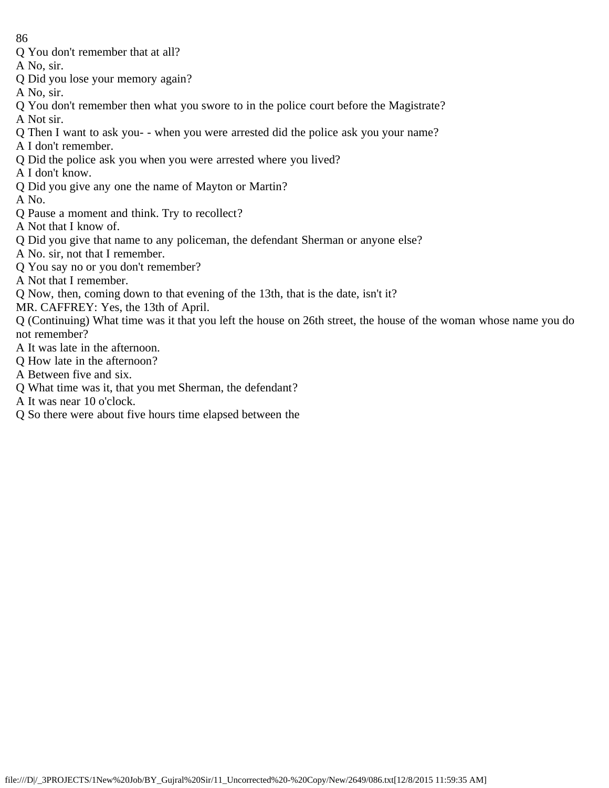Q You don't remember that at all?

A No, sir.

- Q Did you lose your memory again?
- A No, sir.
- Q You don't remember then what you swore to in the police court before the Magistrate?
- A Not sir.
- Q Then I want to ask you- when you were arrested did the police ask you your name?
- A I don't remember.
- Q Did the police ask you when you were arrested where you lived?
- A I don't know.
- Q Did you give any one the name of Mayton or Martin?

A No.

- Q Pause a moment and think. Try to recollect?
- A Not that I know of.
- Q Did you give that name to any policeman, the defendant Sherman or anyone else?
- A No. sir, not that I remember.
- Q You say no or you don't remember?
- A Not that I remember.
- Q Now, then, coming down to that evening of the 13th, that is the date, isn't it?
- MR. CAFFREY: Yes, the 13th of April.

Q (Continuing) What time was it that you left the house on 26th street, the house of the woman whose name you do not remember?

- A It was late in the afternoon.
- Q How late in the afternoon?
- A Between five and six.
- Q What time was it, that you met Sherman, the defendant?
- A It was near 10 o'clock.
- Q So there were about five hours time elapsed between the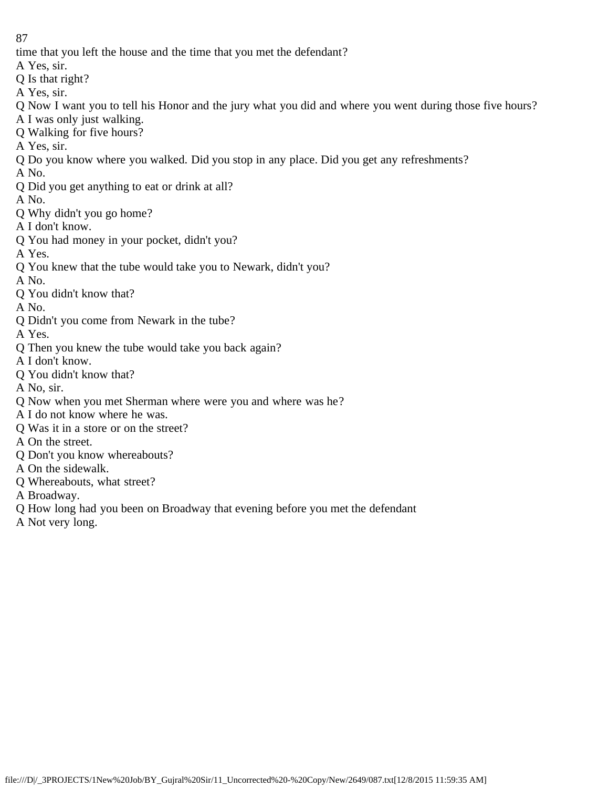time that you left the house and the time that you met the defendant?

- A Yes, sir.
- Q Is that right?
- A Yes, sir.
- Q Now I want you to tell his Honor and the jury what you did and where you went during those five hours?
- A I was only just walking.
- Q Walking for five hours?
- A Yes, sir.
- Q Do you know where you walked. Did you stop in any place. Did you get any refreshments?
- A No.
- Q Did you get anything to eat or drink at all?
- A No.
- Q Why didn't you go home?
- A I don't know.
- Q You had money in your pocket, didn't you?
- A Yes.
- Q You knew that the tube would take you to Newark, didn't you?
- A No.
- Q You didn't know that?
- A No.
- Q Didn't you come from Newark in the tube?
- A Yes.
- Q Then you knew the tube would take you back again?
- A I don't know.
- Q You didn't know that?
- A No, sir.
- Q Now when you met Sherman where were you and where was he?
- A I do not know where he was.
- Q Was it in a store or on the street?
- A On the street.
- Q Don't you know whereabouts?
- A On the sidewalk.
- Q Whereabouts, what street?
- A Broadway.
- Q How long had you been on Broadway that evening before you met the defendant
- A Not very long.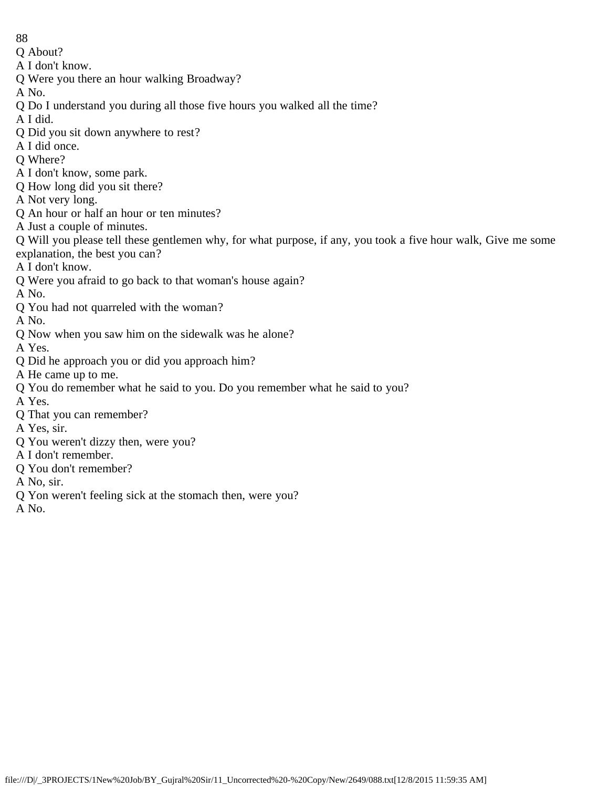- 88
- Q About?
- A I don't know.
- Q Were you there an hour walking Broadway?
- A No.
- Q Do I understand you during all those five hours you walked all the time?
- A I did.
- Q Did you sit down anywhere to rest?
- A I did once.
- Q Where?
- A I don't know, some park.
- Q How long did you sit there?
- A Not very long.
- Q An hour or half an hour or ten minutes?
- A Just a couple of minutes.
- Q Will you please tell these gentlemen why, for what purpose, if any, you took a five hour walk, Give me some explanation, the best you can?
- A I don't know.
- Q Were you afraid to go back to that woman's house again?
- A No.
- Q You had not quarreled with the woman?
- A No.
- Q Now when you saw him on the sidewalk was he alone?
- A Yes.
- Q Did he approach you or did you approach him?
- A He came up to me.
- Q You do remember what he said to you. Do you remember what he said to you?
- A Yes.
- Q That you can remember?
- A Yes, sir.
- Q You weren't dizzy then, were you?
- A I don't remember.
- Q You don't remember?
- A No, sir.
- Q Yon weren't feeling sick at the stomach then, were you?
- A No.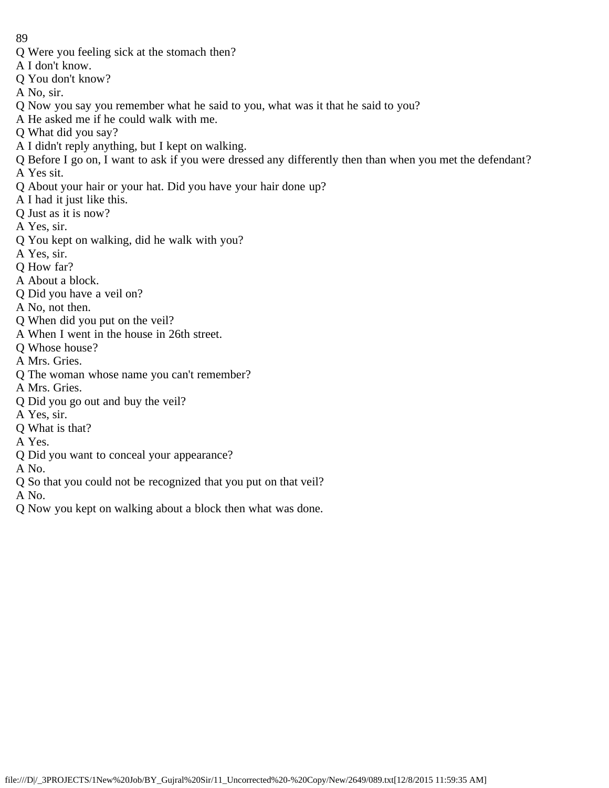- Q Were you feeling sick at the stomach then?
- A I don't know.
- Q You don't know?
- A No, sir.
- Q Now you say you remember what he said to you, what was it that he said to you?
- A He asked me if he could walk with me.
- Q What did you say?
- A I didn't reply anything, but I kept on walking.
- Q Before I go on, I want to ask if you were dressed any differently then than when you met the defendant? A Yes sit.
- Q About your hair or your hat. Did you have your hair done up?
- A I had it just like this.
- Q Just as it is now?
- A Yes, sir.
- Q You kept on walking, did he walk with you?
- A Yes, sir.
- Q How far?
- A About a block.
- Q Did you have a veil on?
- A No, not then.
- Q When did you put on the veil?
- A When I went in the house in 26th street.
- Q Whose house?
- A Mrs. Gries.
- Q The woman whose name you can't remember?
- A Mrs. Gries.
- Q Did you go out and buy the veil?
- A Yes, sir.
- Q What is that?
- A Yes.
- Q Did you want to conceal your appearance?
- A No.
- Q So that you could not be recognized that you put on that veil?

A No.

Q Now you kept on walking about a block then what was done.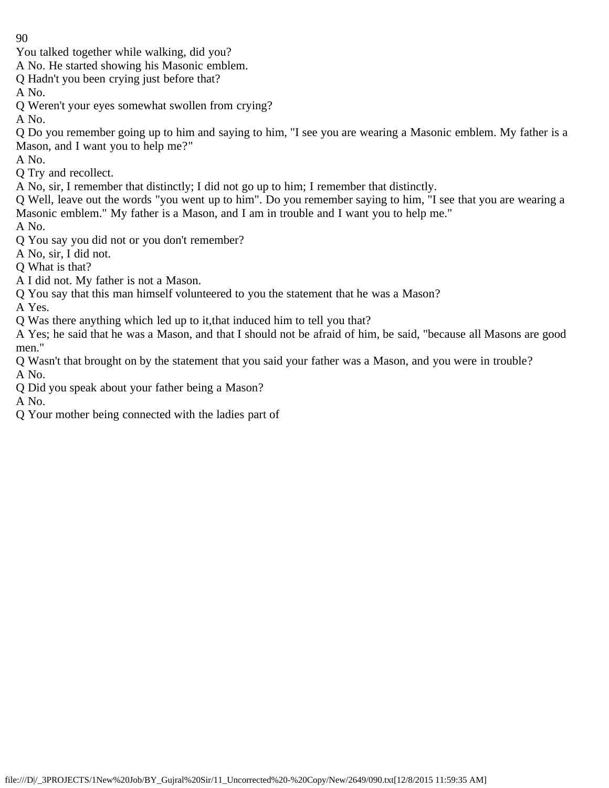You talked together while walking, did you?

- A No. He started showing his Masonic emblem.
- Q Hadn't you been crying just before that?
- A No.
- Q Weren't your eyes somewhat swollen from crying?
- A No.

Q Do you remember going up to him and saying to him, "I see you are wearing a Masonic emblem. My father is a Mason, and I want you to help me?"

A No.

Q Try and recollect.

A No, sir, I remember that distinctly; I did not go up to him; I remember that distinctly.

Q Well, leave out the words "you went up to him". Do you remember saying to him, "I see that you are wearing a Masonic emblem." My father is a Mason, and I am in trouble and I want you to help me."

A No.

- Q You say you did not or you don't remember?
- A No, sir, I did not.
- Q What is that?
- A I did not. My father is not a Mason.
- Q You say that this man himself volunteered to you the statement that he was a Mason?

A Yes.

Q Was there anything which led up to it,that induced him to tell you that?

A Yes; he said that he was a Mason, and that I should not be afraid of him, be said, "because all Masons are good men."

Q Wasn't that brought on by the statement that you said your father was a Mason, and you were in trouble? A No.

Q Did you speak about your father being a Mason?

A No.

Q Your mother being connected with the ladies part of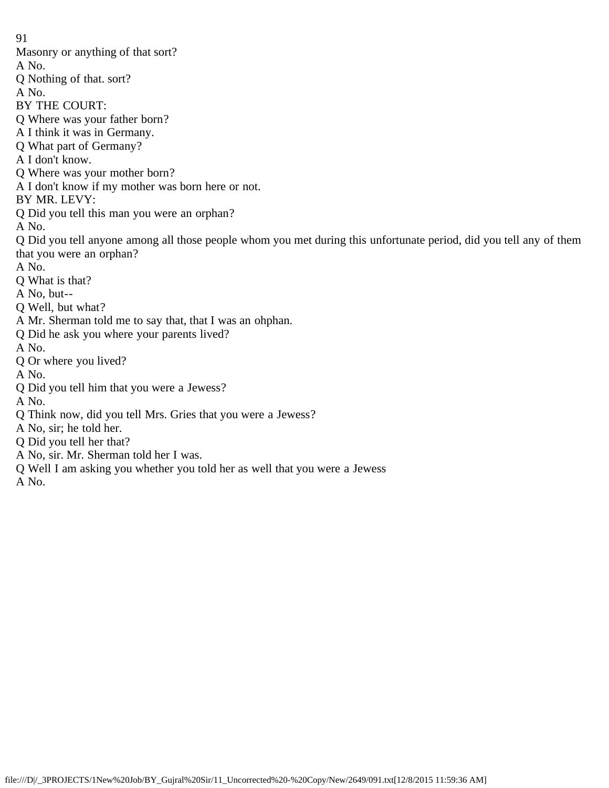91 Masonry or anything of that sort? A No. Q Nothing of that. sort? A No. BY THE COURT: Q Where was your father born? A I think it was in Germany. Q What part of Germany? A I don't know. Q Where was your mother born? A I don't know if my mother was born here or not. BY MR. LEVY: Q Did you tell this man you were an orphan? A No. Q Did you tell anyone among all those people whom you met during this unfortunate period, did you tell any of them that you were an orphan? A No. Q What is that? A No, but-- Q Well, but what? A Mr. Sherman told me to say that, that I was an ohphan. Q Did he ask you where your parents lived? A No. Q Or where you lived? A No. Q Did you tell him that you were a Jewess? A No. Q Think now, did you tell Mrs. Gries that you were a Jewess? A No, sir; he told her. Q Did you tell her that? A No, sir. Mr. Sherman told her I was.

Q Well I am asking you whether you told her as well that you were a Jewess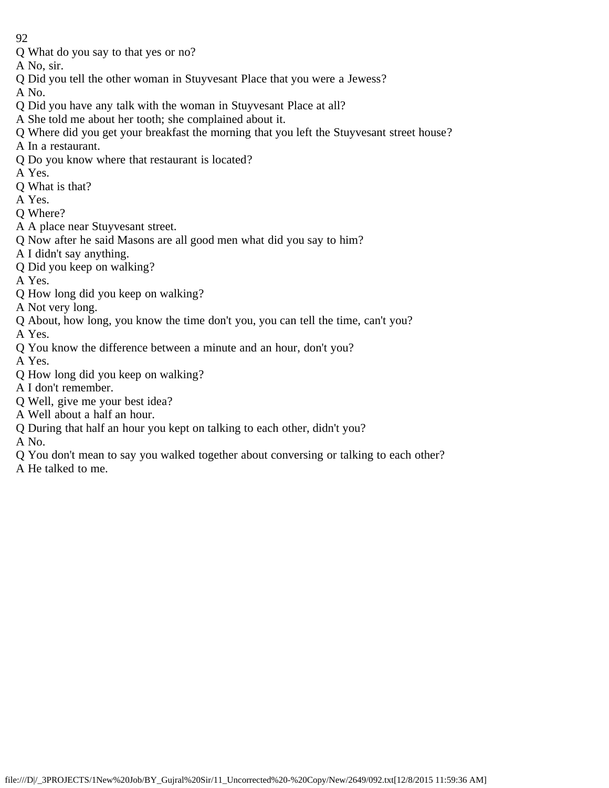Q What do you say to that yes or no?

A No, sir.

Q Did you tell the other woman in Stuyvesant Place that you were a Jewess?

A No.

- Q Did you have any talk with the woman in Stuyvesant Place at all?
- A She told me about her tooth; she complained about it.
- Q Where did you get your breakfast the morning that you left the Stuyvesant street house?
- A In a restaurant.
- Q Do you know where that restaurant is located?

A Yes.

- Q What is that?
- A Yes.
- Q Where?
- A A place near Stuyvesant street.
- Q Now after he said Masons are all good men what did you say to him?
- A I didn't say anything.
- Q Did you keep on walking?

A Yes.

Q How long did you keep on walking?

A Not very long.

Q About, how long, you know the time don't you, you can tell the time, can't you?

A Yes.

Q You know the difference between a minute and an hour, don't you?

A Yes.

- Q How long did you keep on walking?
- A I don't remember.

Q Well, give me your best idea?

- A Well about a half an hour.
- Q During that half an hour you kept on talking to each other, didn't you?

- Q You don't mean to say you walked together about conversing or talking to each other?
- A He talked to me.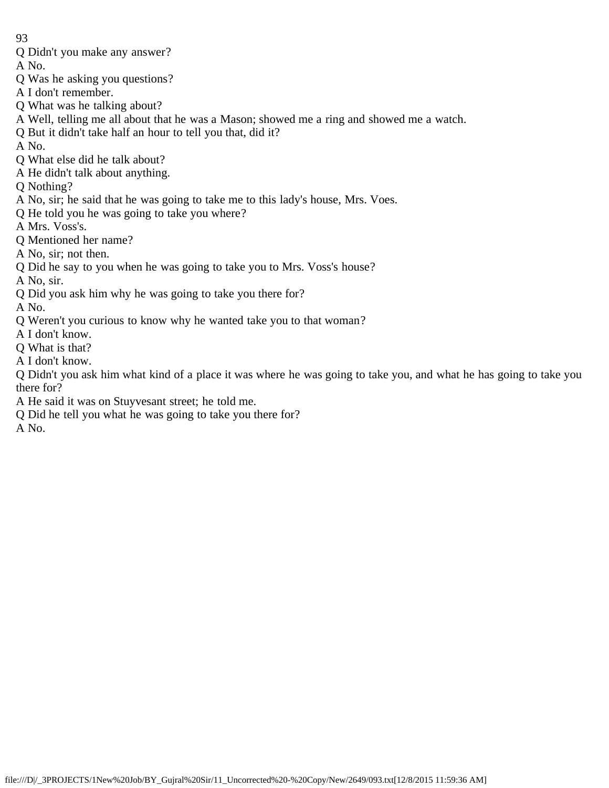Q Didn't you make any answer?

A No.

- Q Was he asking you questions?
- A I don't remember.
- Q What was he talking about?
- A Well, telling me all about that he was a Mason; showed me a ring and showed me a watch.
- Q But it didn't take half an hour to tell you that, did it?
- A No.
- Q What else did he talk about?
- A He didn't talk about anything.
- Q Nothing?
- A No, sir; he said that he was going to take me to this lady's house, Mrs. Voes.
- Q He told you he was going to take you where?
- A Mrs. Voss's.
- Q Mentioned her name?
- A No, sir; not then.
- Q Did he say to you when he was going to take you to Mrs. Voss's house?
- A No, sir.
- Q Did you ask him why he was going to take you there for?

A No.

- Q Weren't you curious to know why he wanted take you to that woman?
- A I don't know.
- Q What is that?
- A I don't know.

Q Didn't you ask him what kind of a place it was where he was going to take you, and what he has going to take you there for?

- A He said it was on Stuyvesant street; he told me.
- Q Did he tell you what he was going to take you there for?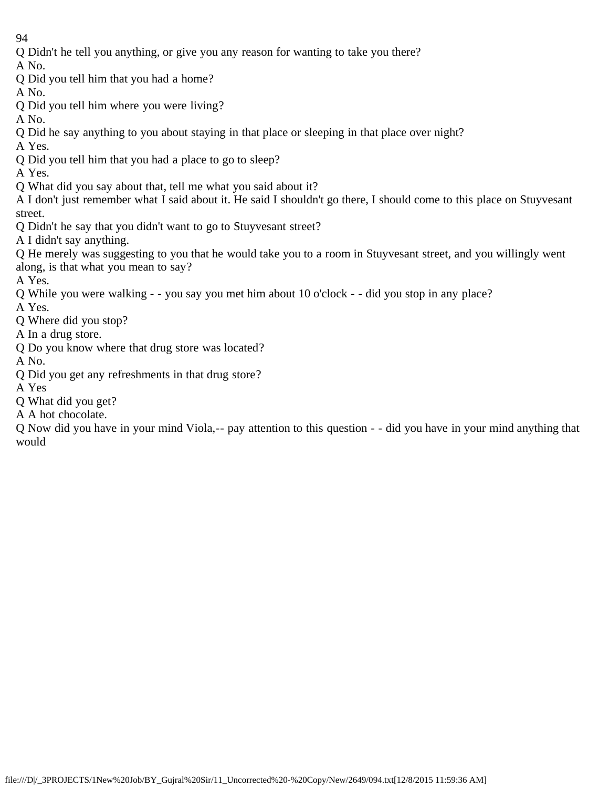Q Didn't he tell you anything, or give you any reason for wanting to take you there?

A No.

Q Did you tell him that you had a home?

A No.

- Q Did you tell him where you were living?
- A No.
- Q Did he say anything to you about staying in that place or sleeping in that place over night?
- A Yes.
- Q Did you tell him that you had a place to go to sleep?
- A Yes.
- Q What did you say about that, tell me what you said about it?
- A I don't just remember what I said about it. He said I shouldn't go there, I should come to this place on Stuyvesant street.
- Q Didn't he say that you didn't want to go to Stuyvesant street?
- A I didn't say anything.
- Q He merely was suggesting to you that he would take you to a room in Stuyvesant street, and you willingly went along, is that what you mean to say?
- A Yes.
- Q While you were walking - you say you met him about 10 o'clock - did you stop in any place?
- A Yes.
- Q Where did you stop?
- A In a drug store.
- Q Do you know where that drug store was located?
- A No.
- Q Did you get any refreshments in that drug store?
- A Yes
- Q What did you get?
- A A hot chocolate.

Q Now did you have in your mind Viola,-- pay attention to this question - - did you have in your mind anything that would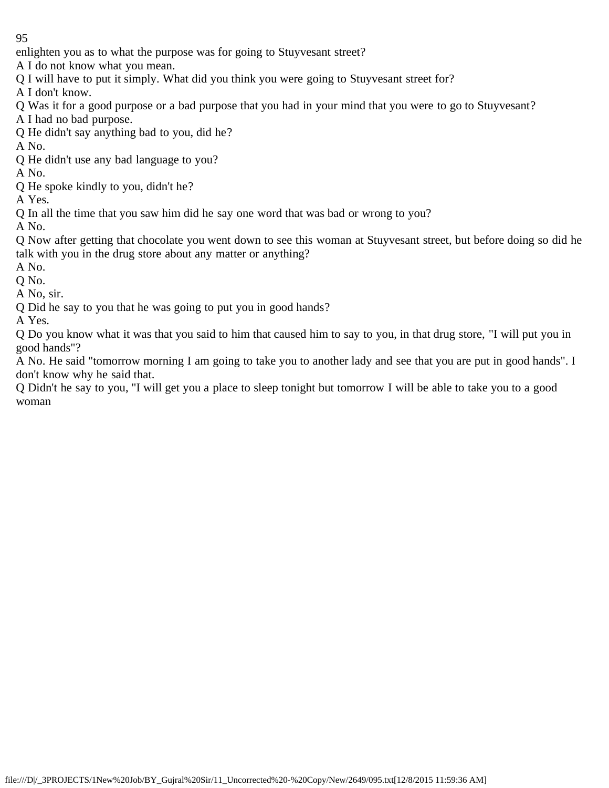enlighten you as to what the purpose was for going to Stuyvesant street?

A I do not know what you mean.

Q I will have to put it simply. What did you think you were going to Stuyvesant street for?

A I don't know.

Q Was it for a good purpose or a bad purpose that you had in your mind that you were to go to Stuyvesant?

A I had no bad purpose.

Q He didn't say anything bad to you, did he?

A No.

Q He didn't use any bad language to you?

A No.

Q He spoke kindly to you, didn't he?

A Yes.

Q In all the time that you saw him did he say one word that was bad or wrong to you?

A No.

Q Now after getting that chocolate you went down to see this woman at Stuyvesant street, but before doing so did he talk with you in the drug store about any matter or anything?

A No.

Q No.

A No, sir.

Q Did he say to you that he was going to put you in good hands?

A Yes.

Q Do you know what it was that you said to him that caused him to say to you, in that drug store, "I will put you in good hands"?

A No. He said "tomorrow morning I am going to take you to another lady and see that you are put in good hands". I don't know why he said that.

Q Didn't he say to you, "I will get you a place to sleep tonight but tomorrow I will be able to take you to a good woman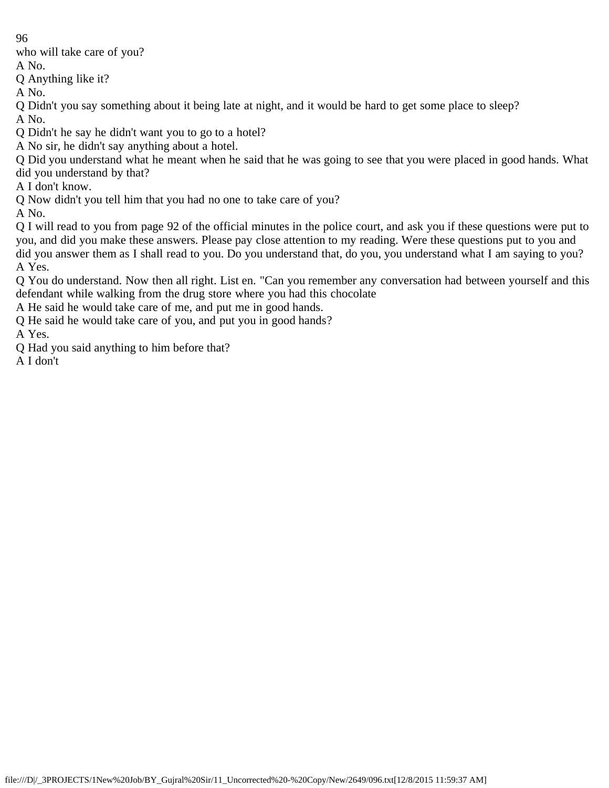who will take care of you?

A No.

Q Anything like it?

A No.

Q Didn't you say something about it being late at night, and it would be hard to get some place to sleep? A No.

Q Didn't he say he didn't want you to go to a hotel?

A No sir, he didn't say anything about a hotel.

Q Did you understand what he meant when he said that he was going to see that you were placed in good hands. What did you understand by that?

A I don't know.

Q Now didn't you tell him that you had no one to take care of you?

A No.

Q I will read to you from page 92 of the official minutes in the police court, and ask you if these questions were put to you, and did you make these answers. Please pay close attention to my reading. Were these questions put to you and did you answer them as I shall read to you. Do you understand that, do you, you understand what I am saying to you? A Yes.

Q You do understand. Now then all right. List en. "Can you remember any conversation had between yourself and this defendant while walking from the drug store where you had this chocolate

A He said he would take care of me, and put me in good hands.

Q He said he would take care of you, and put you in good hands?

A Yes.

Q Had you said anything to him before that?

A I don't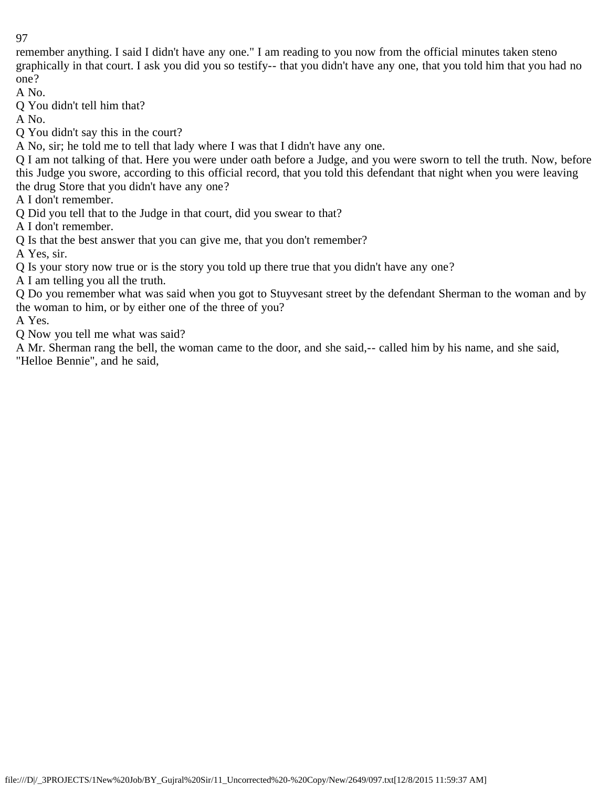remember anything. I said I didn't have any one." I am reading to you now from the official minutes taken steno graphically in that court. I ask you did you so testify-- that you didn't have any one, that you told him that you had no one?

A No.

Q You didn't tell him that?

A No.

Q You didn't say this in the court?

A No, sir; he told me to tell that lady where I was that I didn't have any one.

Q I am not talking of that. Here you were under oath before a Judge, and you were sworn to tell the truth. Now, before this Judge you swore, according to this official record, that you told this defendant that night when you were leaving the drug Store that you didn't have any one?

A I don't remember.

Q Did you tell that to the Judge in that court, did you swear to that?

A I don't remember.

Q Is that the best answer that you can give me, that you don't remember?

A Yes, sir.

Q Is your story now true or is the story you told up there true that you didn't have any one?

A I am telling you all the truth.

Q Do you remember what was said when you got to Stuyvesant street by the defendant Sherman to the woman and by the woman to him, or by either one of the three of you?

A Yes.

Q Now you tell me what was said?

A Mr. Sherman rang the bell, the woman came to the door, and she said,-- called him by his name, and she said, "Helloe Bennie", and he said,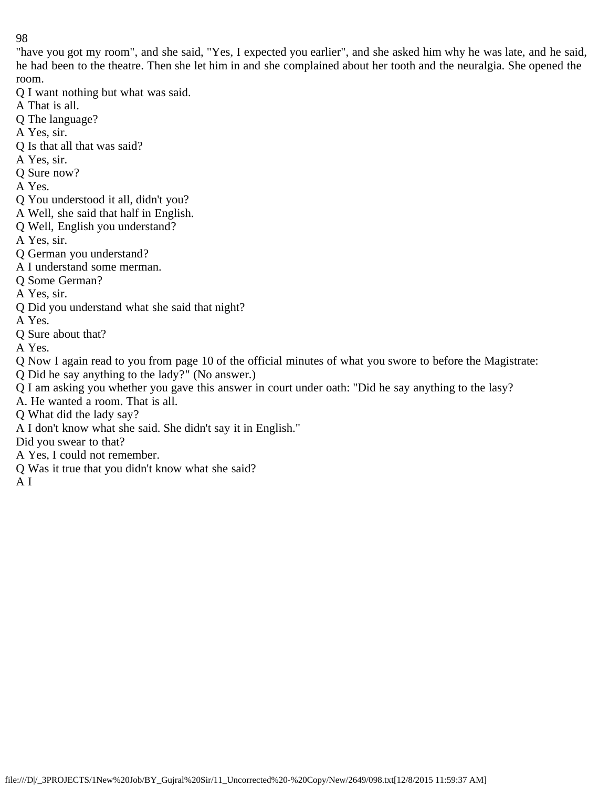"have you got my room", and she said, "Yes, I expected you earlier", and she asked him why he was late, and he said, he had been to the theatre. Then she let him in and she complained about her tooth and the neuralgia. She opened the room.

- Q I want nothing but what was said.
- A That is all.
- Q The language?
- A Yes, sir.
- Q Is that all that was said?
- A Yes, sir.
- Q Sure now?
- A Yes.
- Q You understood it all, didn't you?
- A Well, she said that half in English.
- Q Well, English you understand?
- A Yes, sir.
- Q German you understand?
- A I understand some merman.
- Q Some German?
- A Yes, sir.
- Q Did you understand what she said that night?
- A Yes.
- Q Sure about that?
- A Yes.

Q Now I again read to you from page 10 of the official minutes of what you swore to before the Magistrate:

- Q Did he say anything to the lady?" (No answer.)
- Q I am asking you whether you gave this answer in court under oath: "Did he say anything to the lasy?
- A. He wanted a room. That is all.
- Q What did the lady say?
- A I don't know what she said. She didn't say it in English."
- Did you swear to that?
- A Yes, I could not remember.
- Q Was it true that you didn't know what she said?
- A I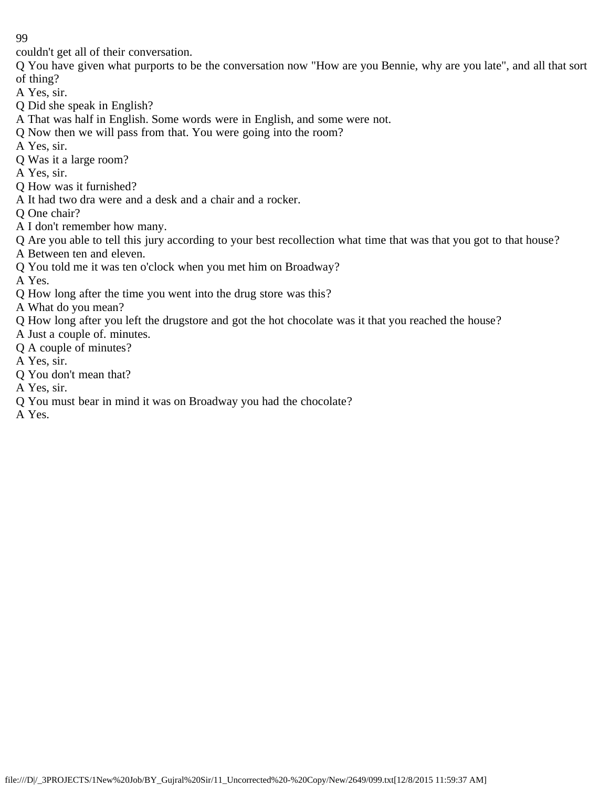couldn't get all of their conversation.

Q You have given what purports to be the conversation now "How are you Bennie, why are you late", and all that sort of thing?

A Yes, sir.

- Q Did she speak in English?
- A That was half in English. Some words were in English, and some were not.
- Q Now then we will pass from that. You were going into the room?
- A Yes, sir.
- Q Was it a large room?
- A Yes, sir.
- Q How was it furnished?
- A It had two dra were and a desk and a chair and a rocker.
- Q One chair?
- A I don't remember how many.
- Q Are you able to tell this jury according to your best recollection what time that was that you got to that house?
- A Between ten and eleven.
- Q You told me it was ten o'clock when you met him on Broadway?
- A Yes.
- Q How long after the time you went into the drug store was this?
- A What do you mean?
- Q How long after you left the drugstore and got the hot chocolate was it that you reached the house?
- A Just a couple of. minutes.
- Q A couple of minutes?
- A Yes, sir.
- Q You don't mean that?
- A Yes, sir.
- Q You must bear in mind it was on Broadway you had the chocolate?
- A Yes.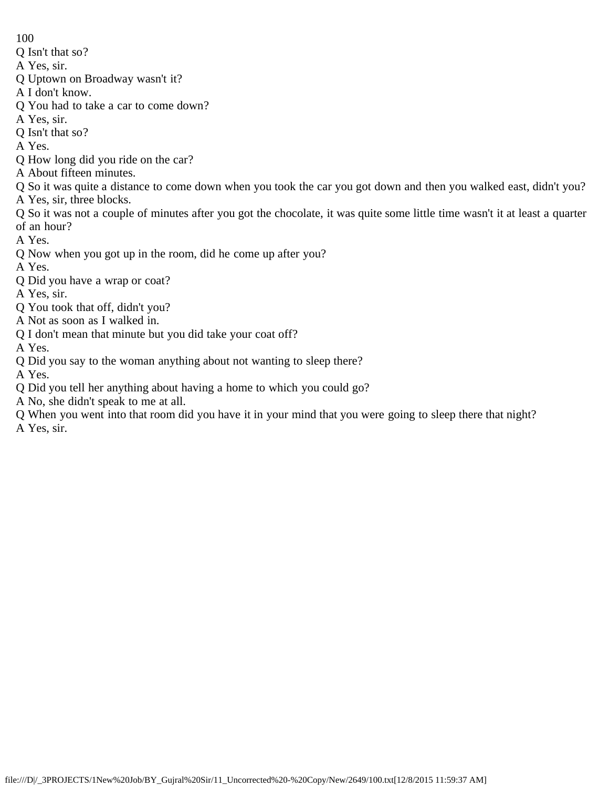Q Isn't that so?

A Yes, sir.

- Q Uptown on Broadway wasn't it?
- A I don't know.
- Q You had to take a car to come down?
- A Yes, sir.
- Q Isn't that so?

A Yes.

- Q How long did you ride on the car?
- A About fifteen minutes.
- Q So it was quite a distance to come down when you took the car you got down and then you walked east, didn't you?
- A Yes, sir, three blocks.
- Q So it was not a couple of minutes after you got the chocolate, it was quite some little time wasn't it at least a quarter of an hour?

A Yes.

- Q Now when you got up in the room, did he come up after you?
- A Yes.
- Q Did you have a wrap or coat?
- A Yes, sir.
- Q You took that off, didn't you?
- A Not as soon as I walked in.
- Q I don't mean that minute but you did take your coat off?
- A Yes.
- Q Did you say to the woman anything about not wanting to sleep there?

A Yes.

- Q Did you tell her anything about having a home to which you could go?
- A No, she didn't speak to me at all.
- Q When you went into that room did you have it in your mind that you were going to sleep there that night?

A Yes, sir.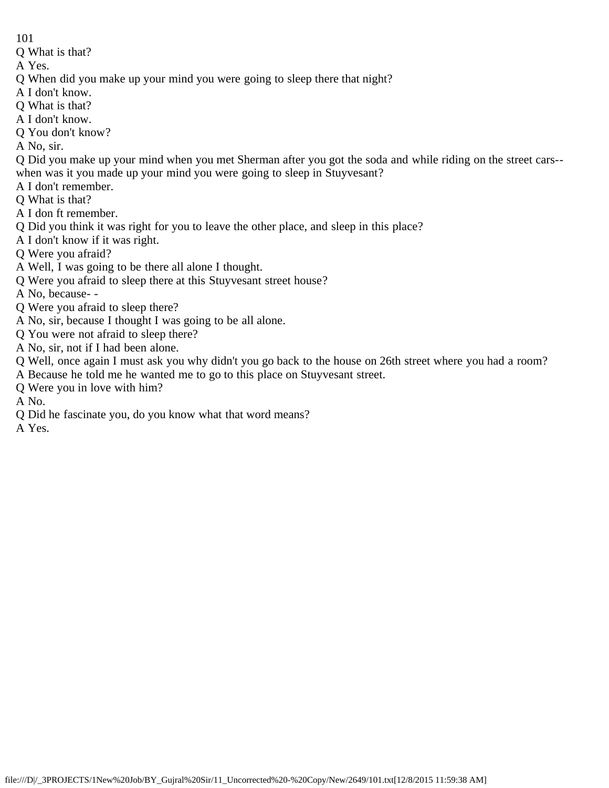Q What is that?

A Yes.

- Q When did you make up your mind you were going to sleep there that night?
- A I don't know.
- Q What is that?
- A I don't know.
- Q You don't know?

A No, sir.

- Q Did you make up your mind when you met Sherman after you got the soda and while riding on the street cars- when was it you made up your mind you were going to sleep in Stuyvesant?
- A I don't remember.
- Q What is that?
- A I don ft remember.
- Q Did you think it was right for you to leave the other place, and sleep in this place?
- A I don't know if it was right.
- Q Were you afraid?
- A Well, I was going to be there all alone I thought.
- Q Were you afraid to sleep there at this Stuyvesant street house?
- A No, because- -
- Q Were you afraid to sleep there?
- A No, sir, because I thought I was going to be all alone.
- Q You were not afraid to sleep there?
- A No, sir, not if I had been alone.
- Q Well, once again I must ask you why didn't you go back to the house on 26th street where you had a room?
- A Because he told me he wanted me to go to this place on Stuyvesant street.
- Q Were you in love with him?
- A No.
- Q Did he fascinate you, do you know what that word means?

A Yes.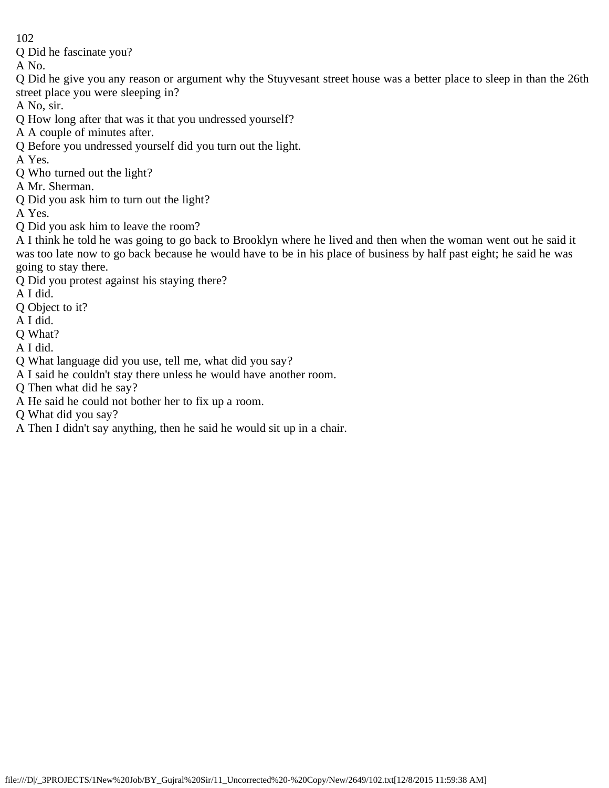Q Did he fascinate you?

A No.

Q Did he give you any reason or argument why the Stuyvesant street house was a better place to sleep in than the 26th street place you were sleeping in?

A No, sir.

- Q How long after that was it that you undressed yourself?
- A A couple of minutes after.
- Q Before you undressed yourself did you turn out the light.
- A Yes.
- Q Who turned out the light?
- A Mr. Sherman.
- Q Did you ask him to turn out the light?

A Yes.

Q Did you ask him to leave the room?

A I think he told he was going to go back to Brooklyn where he lived and then when the woman went out he said it was too late now to go back because he would have to be in his place of business by half past eight; he said he was going to stay there.

- Q Did you protest against his staying there?
- A I did.
- Q Object to it?
- A I did.
- Q What?
- A I did.
- Q What language did you use, tell me, what did you say?
- A I said he couldn't stay there unless he would have another room.
- Q Then what did he say?
- A He said he could not bother her to fix up a room.

Q What did you say?

A Then I didn't say anything, then he said he would sit up in a chair.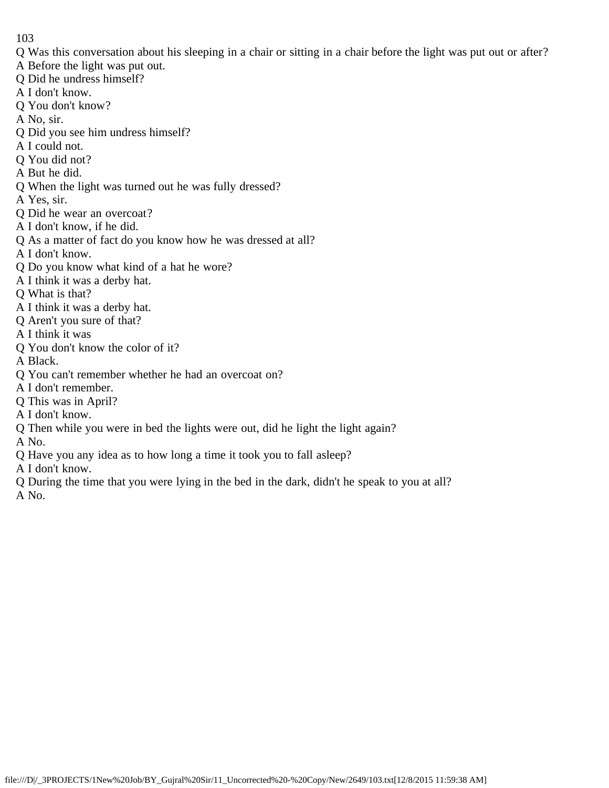- Q Was this conversation about his sleeping in a chair or sitting in a chair before the light was put out or after?
- A Before the light was put out.
- Q Did he undress himself?
- A I don't know.
- Q You don't know?
- A No, sir.
- Q Did you see him undress himself?
- A I could not.
- Q You did not?
- A But he did.
- Q When the light was turned out he was fully dressed?
- A Yes, sir.
- Q Did he wear an overcoat?
- A I don't know, if he did.
- Q As a matter of fact do you know how he was dressed at all?
- A I don't know.
- Q Do you know what kind of a hat he wore?
- A I think it was a derby hat.
- Q What is that?
- A I think it was a derby hat.
- Q Aren't you sure of that?
- A I think it was
- Q You don't know the color of it?
- A Black.
- Q You can't remember whether he had an overcoat on?
- A I don't remember.
- Q This was in April?
- A I don't know.
- Q Then while you were in bed the lights were out, did he light the light again?
- A No.
- Q Have you any idea as to how long a time it took you to fall asleep?
- A I don't know.
- Q During the time that you were lying in the bed in the dark, didn't he speak to you at all?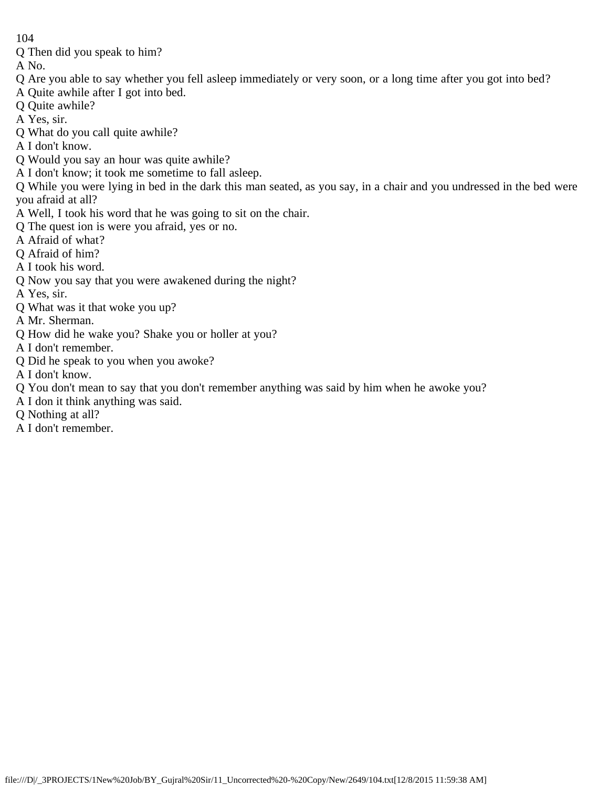Q Then did you speak to him?

- Q Are you able to say whether you fell asleep immediately or very soon, or a long time after you got into bed?
- A Quite awhile after I got into bed.
- Q Quite awhile?
- A Yes, sir.
- Q What do you call quite awhile?
- A I don't know.
- Q Would you say an hour was quite awhile?
- A I don't know; it took me sometime to fall asleep.
- Q While you were lying in bed in the dark this man seated, as you say, in a chair and you undressed in the bed were you afraid at all?
- A Well, I took his word that he was going to sit on the chair.
- Q The quest ion is were you afraid, yes or no.
- A Afraid of what?
- Q Afraid of him?
- A I took his word.
- Q Now you say that you were awakened during the night?
- A Yes, sir.
- Q What was it that woke you up?
- A Mr. Sherman.
- Q How did he wake you? Shake you or holler at you?
- A I don't remember.
- Q Did he speak to you when you awoke?
- A I don't know.
- Q You don't mean to say that you don't remember anything was said by him when he awoke you?
- A I don it think anything was said.
- Q Nothing at all?
- A I don't remember.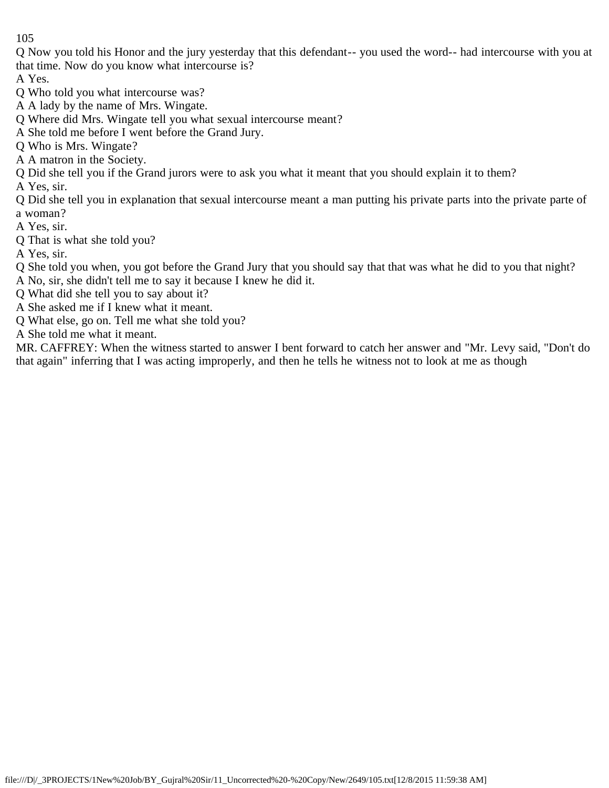Q Now you told his Honor and the jury yesterday that this defendant-- you used the word-- had intercourse with you at that time. Now do you know what intercourse is?

A Yes.

Q Who told you what intercourse was?

A A lady by the name of Mrs. Wingate.

Q Where did Mrs. Wingate tell you what sexual intercourse meant?

A She told me before I went before the Grand Jury.

Q Who is Mrs. Wingate?

A A matron in the Society.

Q Did she tell you if the Grand jurors were to ask you what it meant that you should explain it to them?

A Yes, sir.

Q Did she tell you in explanation that sexual intercourse meant a man putting his private parts into the private parte of a woman?

A Yes, sir.

Q That is what she told you?

A Yes, sir.

Q She told you when, you got before the Grand Jury that you should say that that was what he did to you that night? A No, sir, she didn't tell me to say it because I knew he did it.

Q What did she tell you to say about it?

A She asked me if I knew what it meant.

Q What else, go on. Tell me what she told you?

A She told me what it meant.

MR. CAFFREY: When the witness started to answer I bent forward to catch her answer and "Mr. Levy said, "Don't do that again" inferring that I was acting improperly, and then he tells he witness not to look at me as though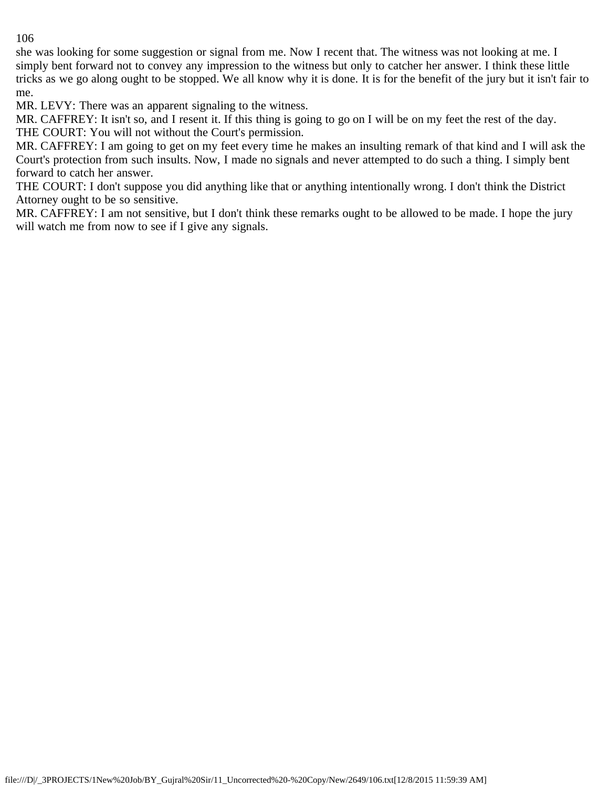she was looking for some suggestion or signal from me. Now I recent that. The witness was not looking at me. I simply bent forward not to convey any impression to the witness but only to catcher her answer. I think these little tricks as we go along ought to be stopped. We all know why it is done. It is for the benefit of the jury but it isn't fair to me.

MR. LEVY: There was an apparent signaling to the witness.

MR. CAFFREY: It isn't so, and I resent it. If this thing is going to go on I will be on my feet the rest of the day. THE COURT: You will not without the Court's permission.

MR. CAFFREY: I am going to get on my feet every time he makes an insulting remark of that kind and I will ask the Court's protection from such insults. Now, I made no signals and never attempted to do such a thing. I simply bent forward to catch her answer.

THE COURT: I don't suppose you did anything like that or anything intentionally wrong. I don't think the District Attorney ought to be so sensitive.

MR. CAFFREY: I am not sensitive, but I don't think these remarks ought to be allowed to be made. I hope the jury will watch me from now to see if I give any signals.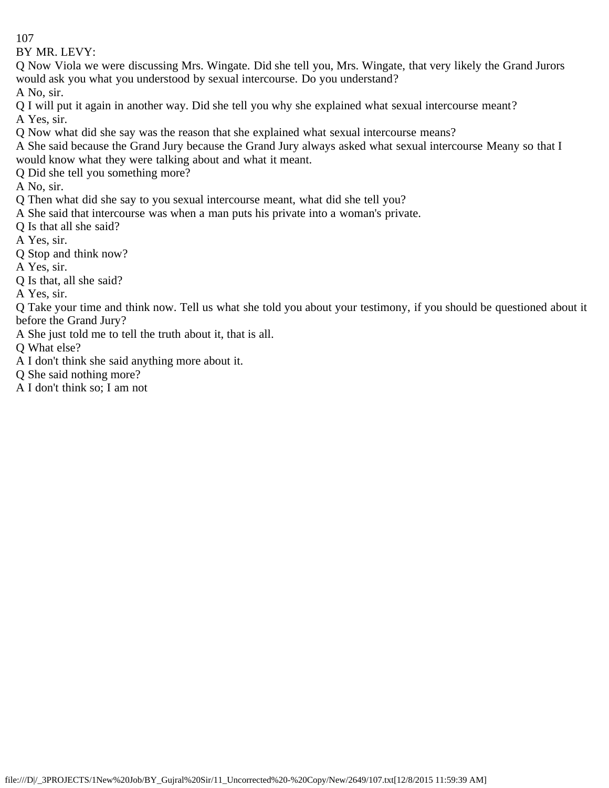BY MR. LEVY:

Q Now Viola we were discussing Mrs. Wingate. Did she tell you, Mrs. Wingate, that very likely the Grand Jurors would ask you what you understood by sexual intercourse. Do you understand?

A No, sir.

Q I will put it again in another way. Did she tell you why she explained what sexual intercourse meant? A Yes, sir.

Q Now what did she say was the reason that she explained what sexual intercourse means?

A She said because the Grand Jury because the Grand Jury always asked what sexual intercourse Meany so that I would know what they were talking about and what it meant.

Q Did she tell you something more?

A No, sir.

Q Then what did she say to you sexual intercourse meant, what did she tell you?

A She said that intercourse was when a man puts his private into a woman's private.

Q Is that all she said?

A Yes, sir.

Q Stop and think now?

A Yes, sir.

Q Is that, all she said?

A Yes, sir.

Q Take your time and think now. Tell us what she told you about your testimony, if you should be questioned about it before the Grand Jury?

A She just told me to tell the truth about it, that is all.

Q What else?

A I don't think she said anything more about it.

Q She said nothing more?

A I don't think so; I am not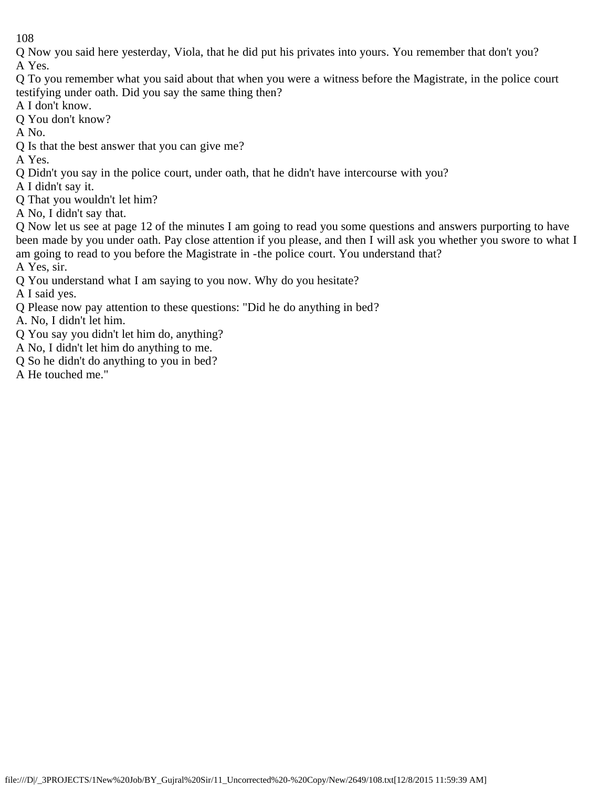Q Now you said here yesterday, Viola, that he did put his privates into yours. You remember that don't you? A Yes.

- Q To you remember what you said about that when you were a witness before the Magistrate, in the police court testifying under oath. Did you say the same thing then?
- A I don't know.
- Q You don't know?
- A No.
- Q Is that the best answer that you can give me?
- A Yes.
- Q Didn't you say in the police court, under oath, that he didn't have intercourse with you?
- A I didn't say it.
- Q That you wouldn't let him?
- A No, I didn't say that.

Q Now let us see at page 12 of the minutes I am going to read you some questions and answers purporting to have been made by you under oath. Pay close attention if you please, and then I will ask you whether you swore to what I am going to read to you before the Magistrate in -the police court. You understand that?

- A Yes, sir.
- Q You understand what I am saying to you now. Why do you hesitate?
- A I said yes.
- Q Please now pay attention to these questions: "Did he do anything in bed?
- A. No, I didn't let him.
- Q You say you didn't let him do, anything?
- A No, I didn't let him do anything to me.
- Q So he didn't do anything to you in bed?
- A He touched me."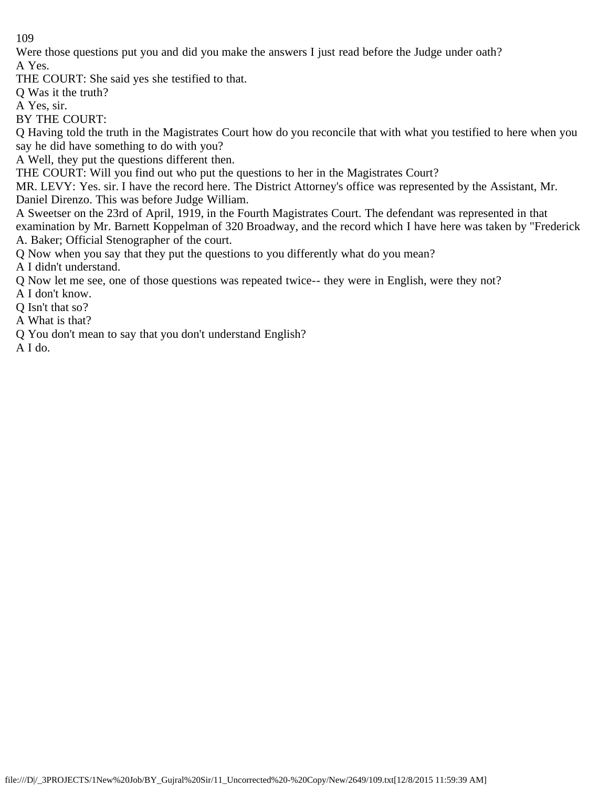Were those questions put you and did you make the answers I just read before the Judge under oath?

A Yes.

THE COURT: She said yes she testified to that.

Q Was it the truth?

A Yes, sir.

BY THE COURT:

Q Having told the truth in the Magistrates Court how do you reconcile that with what you testified to here when you say he did have something to do with you?

A Well, they put the questions different then.

THE COURT: Will you find out who put the questions to her in the Magistrates Court?

MR. LEVY: Yes. sir. I have the record here. The District Attorney's office was represented by the Assistant, Mr. Daniel Direnzo. This was before Judge William.

A Sweetser on the 23rd of April, 1919, in the Fourth Magistrates Court. The defendant was represented in that examination by Mr. Barnett Koppelman of 320 Broadway, and the record which I have here was taken by "Frederick A. Baker; Official Stenographer of the court.

Q Now when you say that they put the questions to you differently what do you mean?

A I didn't understand.

Q Now let me see, one of those questions was repeated twice-- they were in English, were they not?

A I don't know.

Q Isn't that so?

A What is that?

Q You don't mean to say that you don't understand English?

A I do.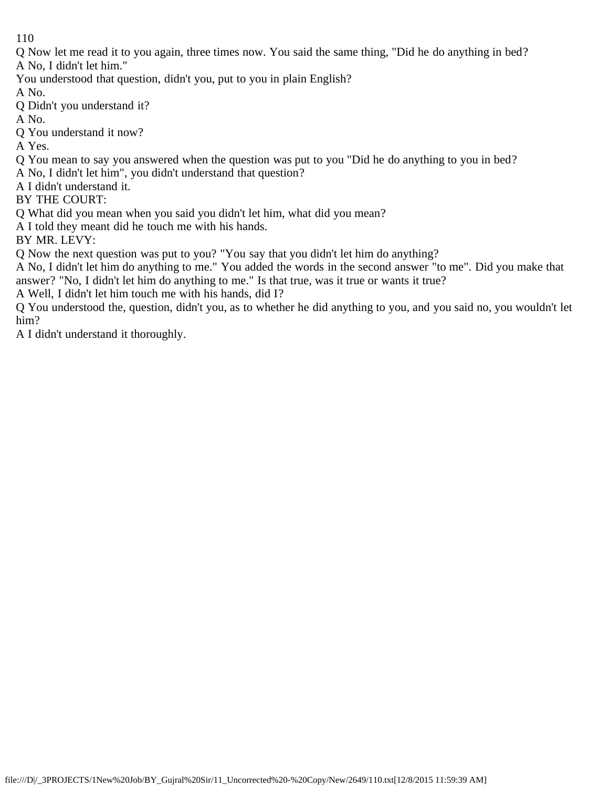Q Now let me read it to you again, three times now. You said the same thing, "Did he do anything in bed? A No, I didn't let him."

You understood that question, didn't you, put to you in plain English?

A No.

Q Didn't you understand it?

A No.

Q You understand it now?

A Yes.

Q You mean to say you answered when the question was put to you "Did he do anything to you in bed?

A No, I didn't let him", you didn't understand that question?

A I didn't understand it.

BY THE COURT:

Q What did you mean when you said you didn't let him, what did you mean?

A I told they meant did he touch me with his hands.

BY MR. LEVY:

Q Now the next question was put to you? "You say that you didn't let him do anything?

A No, I didn't let him do anything to me." You added the words in the second answer "to me". Did you make that answer? "No, I didn't let him do anything to me." Is that true, was it true or wants it true?

A Well, I didn't let him touch me with his hands, did I?

Q You understood the, question, didn't you, as to whether he did anything to you, and you said no, you wouldn't let him?

A I didn't understand it thoroughly.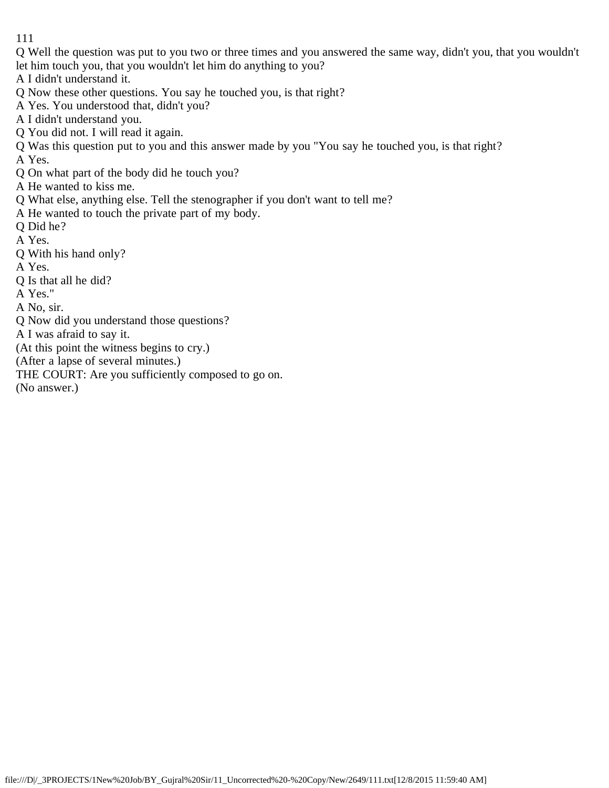Q Well the question was put to you two or three times and you answered the same way, didn't you, that you wouldn't let him touch you, that you wouldn't let him do anything to you?

A I didn't understand it.

Q Now these other questions. You say he touched you, is that right?

A Yes. You understood that, didn't you?

A I didn't understand you.

Q You did not. I will read it again.

Q Was this question put to you and this answer made by you "You say he touched you, is that right? A Yes.

Q On what part of the body did he touch you?

A He wanted to kiss me.

Q What else, anything else. Tell the stenographer if you don't want to tell me?

A He wanted to touch the private part of my body.

Q Did he?

A Yes.

Q With his hand only?

A Yes.

Q Is that all he did?

A Yes."

A No, sir.

Q Now did you understand those questions?

A I was afraid to say it.

(At this point the witness begins to cry.)

(After a lapse of several minutes.)

THE COURT: Are you sufficiently composed to go on.

(No answer.)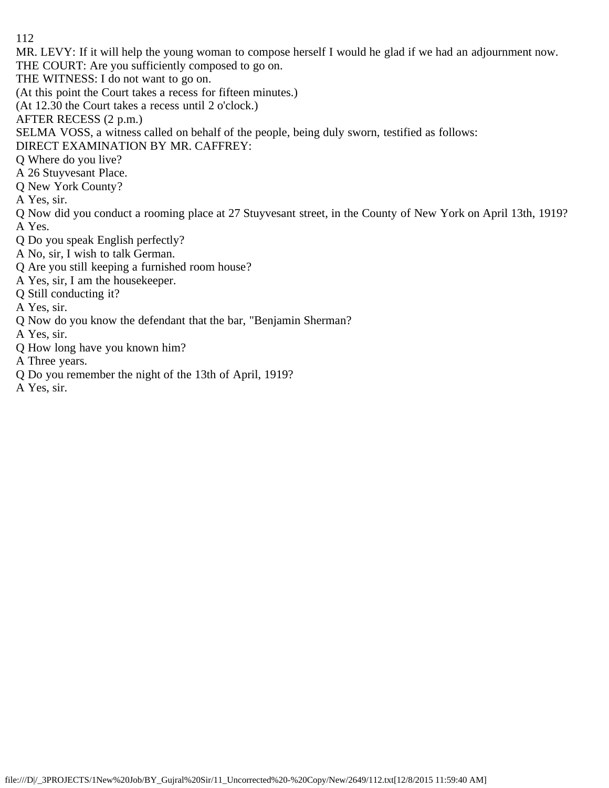MR. LEVY: If it will help the young woman to compose herself I would he glad if we had an adjournment now.

THE COURT: Are you sufficiently composed to go on.

THE WITNESS: I do not want to go on.

(At this point the Court takes a recess for fifteen minutes.)

(At 12.30 the Court takes a recess until 2 o'clock.)

AFTER RECESS (2 p.m.)

SELMA VOSS, a witness called on behalf of the people, being duly sworn, testified as follows:

DIRECT EXAMINATION BY MR. CAFFREY:

Q Where do you live?

A 26 Stuyvesant Place.

Q New York County?

A Yes, sir.

Q Now did you conduct a rooming place at 27 Stuyvesant street, in the County of New York on April 13th, 1919? A Yes.

Q Do you speak English perfectly?

A No, sir, I wish to talk German.

Q Are you still keeping a furnished room house?

A Yes, sir, I am the housekeeper.

Q Still conducting it?

A Yes, sir.

Q Now do you know the defendant that the bar, "Benjamin Sherman?

A Yes, sir.

Q How long have you known him?

A Three years.

Q Do you remember the night of the 13th of April, 1919?

A Yes, sir.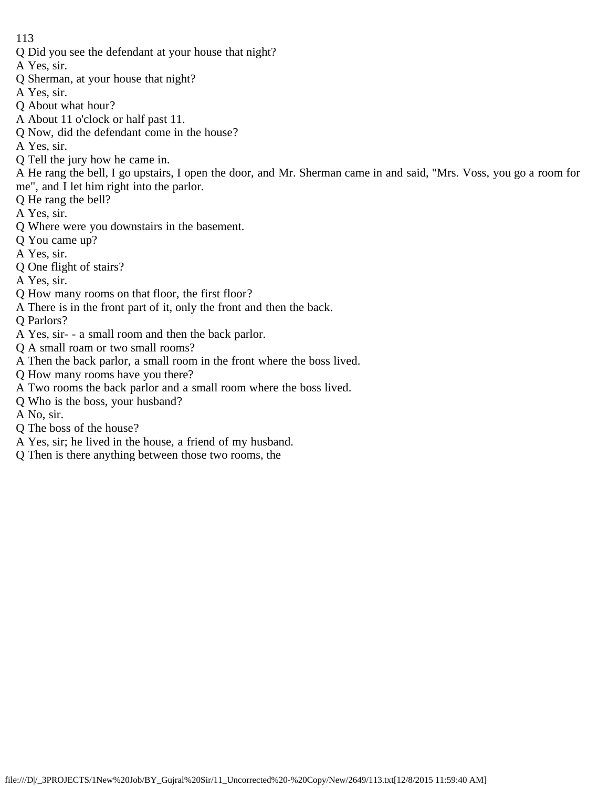Q Did you see the defendant at your house that night?

A Yes, sir.

- Q Sherman, at your house that night?
- A Yes, sir.
- Q About what hour?
- A About 11 o'clock or half past 11.
- Q Now, did the defendant come in the house?

A Yes, sir.

- Q Tell the jury how he came in.
- A He rang the bell, I go upstairs, I open the door, and Mr. Sherman came in and said, "Mrs. Voss, you go a room for me", and I let him right into the parlor.
- Q He rang the bell?
- A Yes, sir.
- Q Where were you downstairs in the basement.
- Q You came up?
- A Yes, sir.
- Q One flight of stairs?
- A Yes, sir.
- Q How many rooms on that floor, the first floor?
- A There is in the front part of it, only the front and then the back.
- Q Parlors?
- A Yes, sir- a small room and then the back parlor.
- Q A small roam or two small rooms?
- A Then the back parlor, a small room in the front where the boss lived.
- Q How many rooms have you there?
- A Two rooms the back parlor and a small room where the boss lived.
- Q Who is the boss, your husband?
- A No, sir.
- Q The boss of the house?
- A Yes, sir; he lived in the house, a friend of my husband.
- Q Then is there anything between those two rooms, the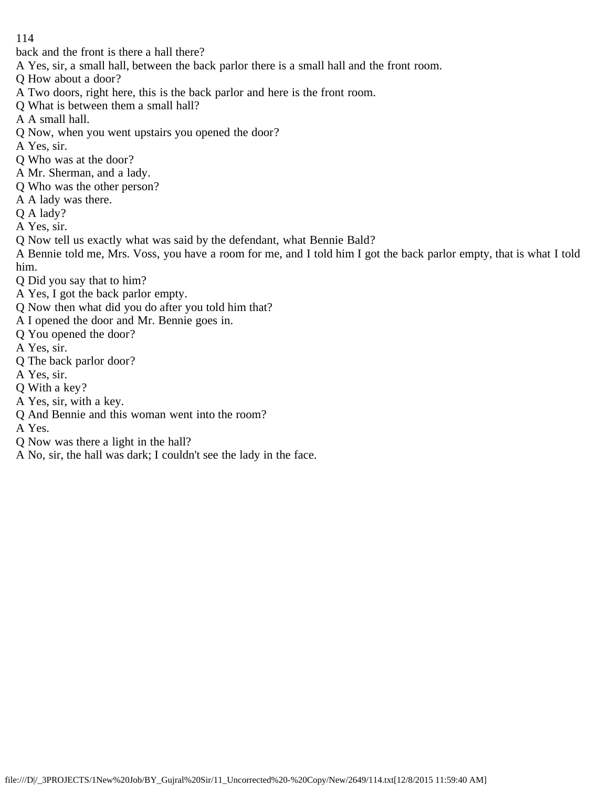back and the front is there a hall there?

A Yes, sir, a small hall, between the back parlor there is a small hall and the front room.

Q How about a door?

- A Two doors, right here, this is the back parlor and here is the front room.
- Q What is between them a small hall?
- A A small hall.
- Q Now, when you went upstairs you opened the door?
- A Yes, sir.
- Q Who was at the door?
- A Mr. Sherman, and a lady.
- Q Who was the other person?
- A A lady was there.
- Q A lady?
- A Yes, sir.
- Q Now tell us exactly what was said by the defendant, what Bennie Bald?

A Bennie told me, Mrs. Voss, you have a room for me, and I told him I got the back parlor empty, that is what I told him.

- Q Did you say that to him?
- A Yes, I got the back parlor empty.
- Q Now then what did you do after you told him that?
- A I opened the door and Mr. Bennie goes in.
- Q You opened the door?
- A Yes, sir.
- Q The back parlor door?
- A Yes, sir.
- Q With a key?
- A Yes, sir, with a key.
- Q And Bennie and this woman went into the room?
- A Yes.
- Q Now was there a light in the hall?
- A No, sir, the hall was dark; I couldn't see the lady in the face.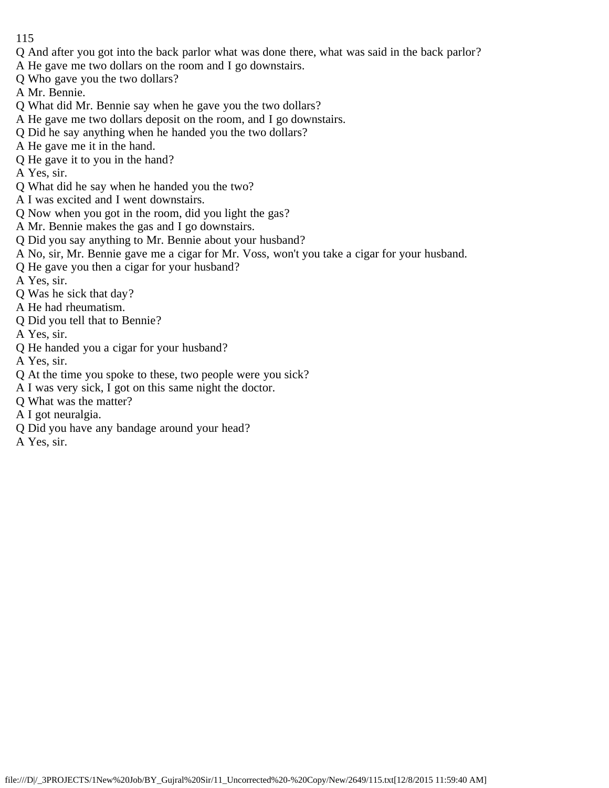- 115
- Q And after you got into the back parlor what was done there, what was said in the back parlor?
- A He gave me two dollars on the room and I go downstairs.
- Q Who gave you the two dollars?
- A Mr. Bennie.
- Q What did Mr. Bennie say when he gave you the two dollars?
- A He gave me two dollars deposit on the room, and I go downstairs.
- Q Did he say anything when he handed you the two dollars?
- A He gave me it in the hand.
- Q He gave it to you in the hand?
- A Yes, sir.
- Q What did he say when he handed you the two?
- A I was excited and I went downstairs.
- Q Now when you got in the room, did you light the gas?
- A Mr. Bennie makes the gas and I go downstairs.
- Q Did you say anything to Mr. Bennie about your husband?
- A No, sir, Mr. Bennie gave me a cigar for Mr. Voss, won't you take a cigar for your husband.
- Q He gave you then a cigar for your husband?
- A Yes, sir.
- Q Was he sick that day?
- A He had rheumatism.
- Q Did you tell that to Bennie?
- A Yes, sir.
- Q He handed you a cigar for your husband?
- A Yes, sir.
- Q At the time you spoke to these, two people were you sick?
- A I was very sick, I got on this same night the doctor.
- Q What was the matter?
- A I got neuralgia.
- Q Did you have any bandage around your head?
- A Yes, sir.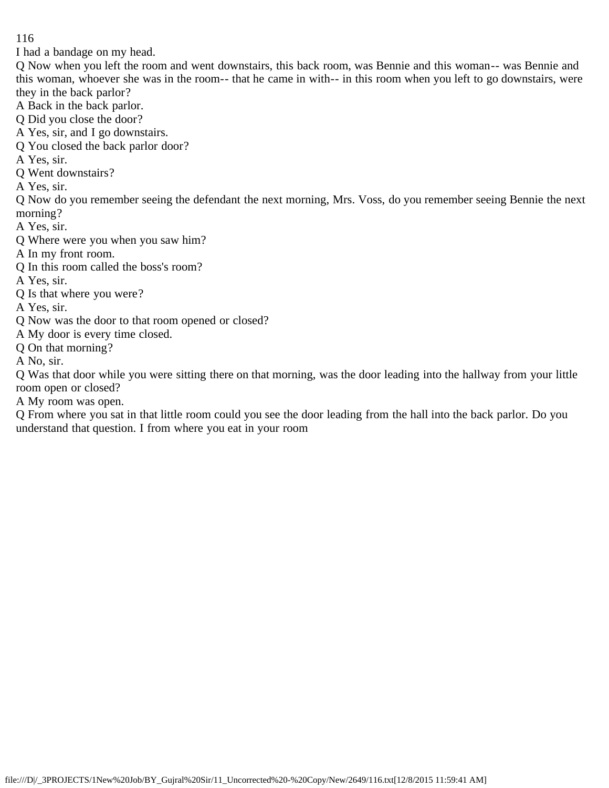I had a bandage on my head.

Q Now when you left the room and went downstairs, this back room, was Bennie and this woman-- was Bennie and this woman, whoever she was in the room-- that he came in with-- in this room when you left to go downstairs, were they in the back parlor?

- A Back in the back parlor.
- Q Did you close the door?
- A Yes, sir, and I go downstairs.
- Q You closed the back parlor door?
- A Yes, sir.
- Q Went downstairs?
- A Yes, sir.

Q Now do you remember seeing the defendant the next morning, Mrs. Voss, do you remember seeing Bennie the next morning?

- A Yes, sir.
- Q Where were you when you saw him?
- A In my front room.
- Q In this room called the boss's room?
- A Yes, sir.
- Q Is that where you were?
- A Yes, sir.
- Q Now was the door to that room opened or closed?
- A My door is every time closed.
- Q On that morning?
- A No, sir.

Q Was that door while you were sitting there on that morning, was the door leading into the hallway from your little room open or closed?

A My room was open.

Q From where you sat in that little room could you see the door leading from the hall into the back parlor. Do you understand that question. I from where you eat in your room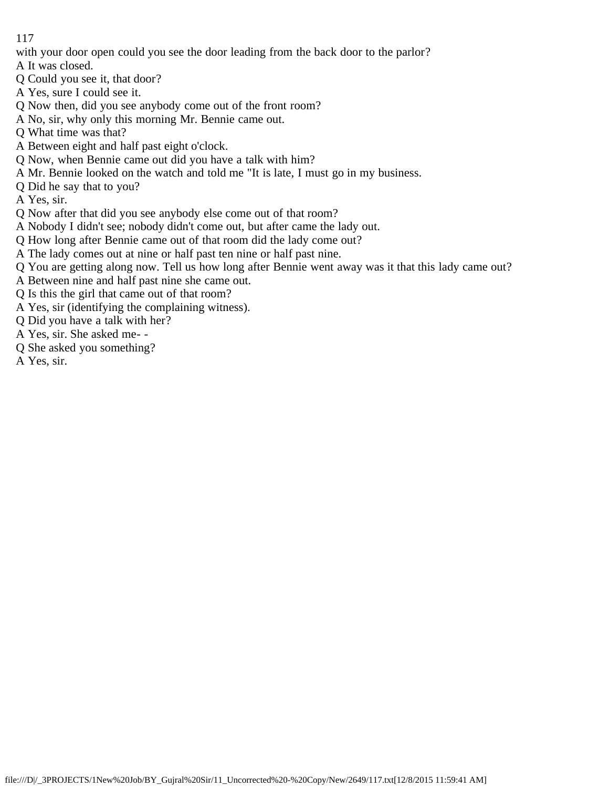with your door open could you see the door leading from the back door to the parlor?

A It was closed.

- Q Could you see it, that door?
- A Yes, sure I could see it.
- Q Now then, did you see anybody come out of the front room?
- A No, sir, why only this morning Mr. Bennie came out.
- Q What time was that?
- A Between eight and half past eight o'clock.
- Q Now, when Bennie came out did you have a talk with him?
- A Mr. Bennie looked on the watch and told me "It is late, I must go in my business.
- Q Did he say that to you?
- A Yes, sir.
- Q Now after that did you see anybody else come out of that room?
- A Nobody I didn't see; nobody didn't come out, but after came the lady out.
- Q How long after Bennie came out of that room did the lady come out?
- A The lady comes out at nine or half past ten nine or half past nine.
- Q You are getting along now. Tell us how long after Bennie went away was it that this lady came out?
- A Between nine and half past nine she came out.
- Q Is this the girl that came out of that room?
- A Yes, sir (identifying the complaining witness).
- Q Did you have a talk with her?
- A Yes, sir. She asked me- -
- Q She asked you something?
- A Yes, sir.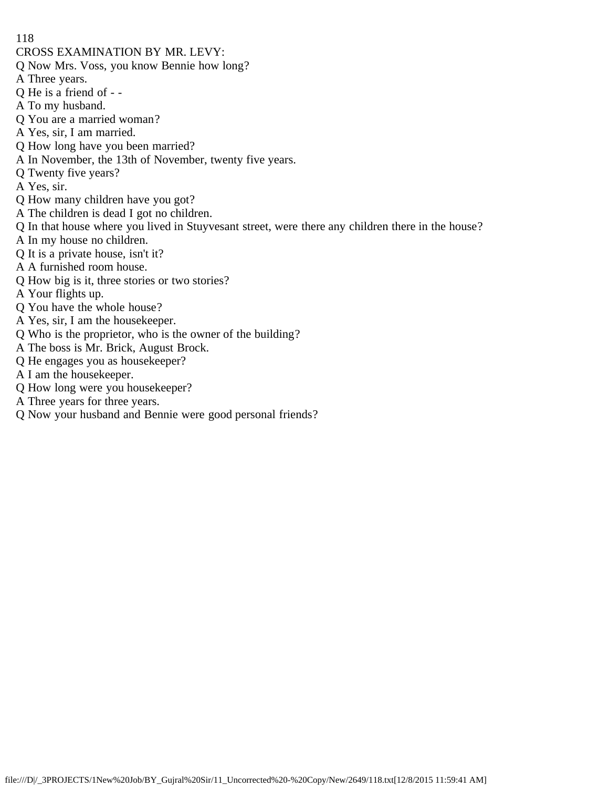- CROSS EXAMINATION BY MR. LEVY:
- Q Now Mrs. Voss, you know Bennie how long?
- A Three years.
- Q He is a friend of -
- A To my husband.
- Q You are a married woman?
- A Yes, sir, I am married.
- Q How long have you been married?
- A In November, the 13th of November, twenty five years.
- Q Twenty five years?
- A Yes, sir.
- Q How many children have you got?
- A The children is dead I got no children.
- Q In that house where you lived in Stuyvesant street, were there any children there in the house?
- A In my house no children.
- Q It is a private house, isn't it?
- A A furnished room house.
- Q How big is it, three stories or two stories?
- A Your flights up.
- Q You have the whole house?
- A Yes, sir, I am the housekeeper.
- Q Who is the proprietor, who is the owner of the building?
- A The boss is Mr. Brick, August Brock.
- Q He engages you as housekeeper?
- A I am the housekeeper.
- Q How long were you housekeeper?
- A Three years for three years.
- Q Now your husband and Bennie were good personal friends?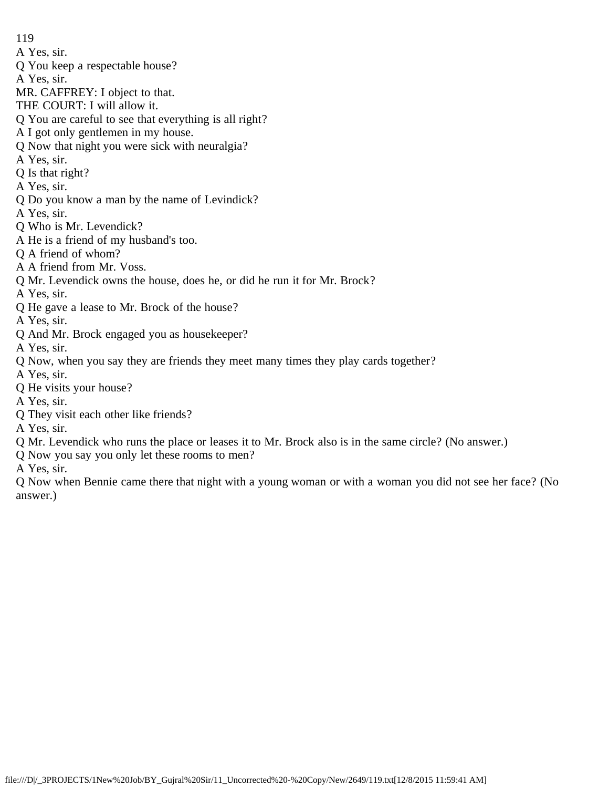- A Yes, sir.
- Q You keep a respectable house?
- A Yes, sir.
- MR. CAFFREY: I object to that.
- THE COURT: I will allow it.
- Q You are careful to see that everything is all right?
- A I got only gentlemen in my house.
- Q Now that night you were sick with neuralgia?
- A Yes, sir.
- Q Is that right?
- A Yes, sir.
- Q Do you know a man by the name of Levindick?
- A Yes, sir.
- Q Who is Mr. Levendick?
- A He is a friend of my husband's too.
- Q A friend of whom?
- A A friend from Mr. Voss.
- Q Mr. Levendick owns the house, does he, or did he run it for Mr. Brock?
- A Yes, sir.
- Q He gave a lease to Mr. Brock of the house?
- A Yes, sir.
- Q And Mr. Brock engaged you as housekeeper?
- A Yes, sir.
- Q Now, when you say they are friends they meet many times they play cards together?
- A Yes, sir.
- Q He visits your house?
- A Yes, sir.
- Q They visit each other like friends?
- A Yes, sir.
- Q Mr. Levendick who runs the place or leases it to Mr. Brock also is in the same circle? (No answer.)
- Q Now you say you only let these rooms to men?
- A Yes, sir.

Q Now when Bennie came there that night with a young woman or with a woman you did not see her face? (No answer.)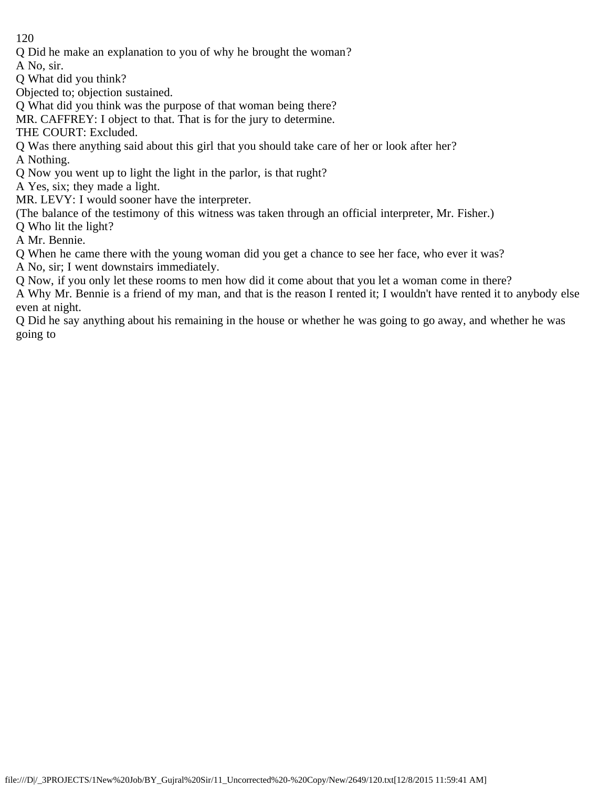Q Did he make an explanation to you of why he brought the woman?

A No, sir.

Q What did you think?

Objected to; objection sustained.

Q What did you think was the purpose of that woman being there?

MR. CAFFREY: I object to that. That is for the jury to determine.

THE COURT: Excluded.

Q Was there anything said about this girl that you should take care of her or look after her?

A Nothing.

Q Now you went up to light the light in the parlor, is that rught?

A Yes, six; they made a light.

MR. LEVY: I would sooner have the interpreter.

(The balance of the testimony of this witness was taken through an official interpreter, Mr. Fisher.)

Q Who lit the light?

A Mr. Bennie.

Q When he came there with the young woman did you get a chance to see her face, who ever it was?

A No, sir; I went downstairs immediately.

Q Now, if you only let these rooms to men how did it come about that you let a woman come in there?

A Why Mr. Bennie is a friend of my man, and that is the reason I rented it; I wouldn't have rented it to anybody else even at night.

Q Did he say anything about his remaining in the house or whether he was going to go away, and whether he was going to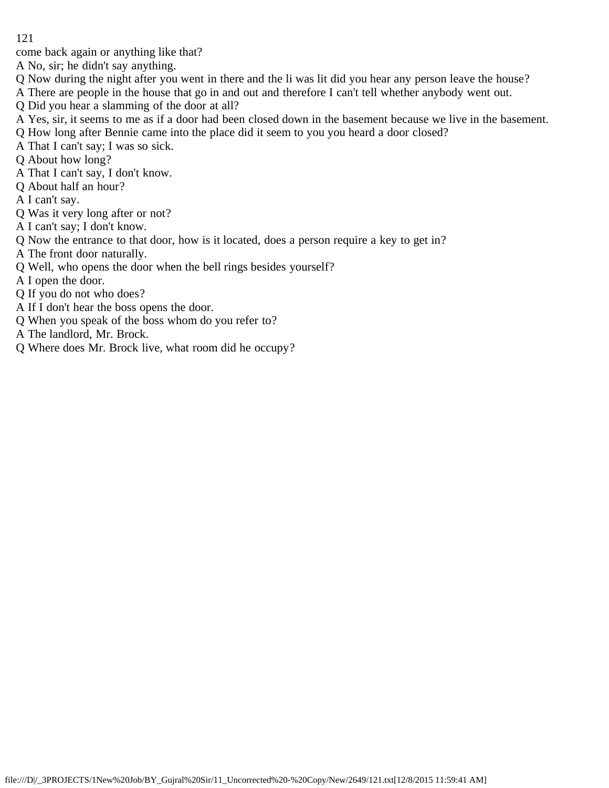come back again or anything like that?

A No, sir; he didn't say anything.

- Q Now during the night after you went in there and the li was lit did you hear any person leave the house?
- A There are people in the house that go in and out and therefore I can't tell whether anybody went out.
- Q Did you hear a slamming of the door at all?
- A Yes, sir, it seems to me as if a door had been closed down in the basement because we live in the basement.
- Q How long after Bennie came into the place did it seem to you you heard a door closed?
- A That I can't say; I was so sick.
- Q About how long?
- A That I can't say, I don't know.
- Q About half an hour?
- A I can't say.
- Q Was it very long after or not?
- A I can't say; I don't know.
- Q Now the entrance to that door, how is it located, does a person require a key to get in?
- A The front door naturally.
- Q Well, who opens the door when the bell rings besides yourself?
- A I open the door.
- Q If you do not who does?
- A If I don't hear the boss opens the door.
- Q When you speak of the boss whom do you refer to?
- A The landlord, Mr. Brock.
- Q Where does Mr. Brock live, what room did he occupy?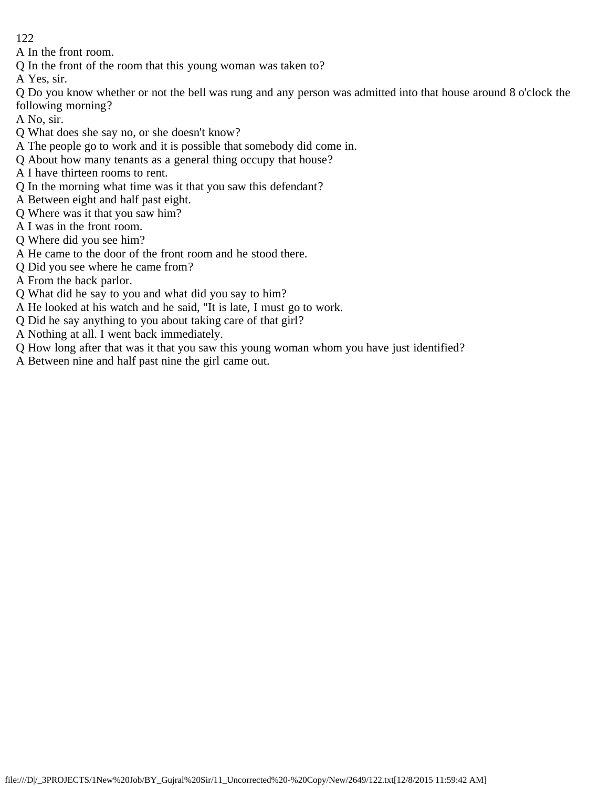A In the front room.

Q In the front of the room that this young woman was taken to?

A Yes, sir.

Q Do you know whether or not the bell was rung and any person was admitted into that house around 8 o'clock the following morning?

A No, sir.

- Q What does she say no, or she doesn't know?
- A The people go to work and it is possible that somebody did come in.
- Q About how many tenants as a general thing occupy that house?
- A I have thirteen rooms to rent.
- Q In the morning what time was it that you saw this defendant?
- A Between eight and half past eight.
- Q Where was it that you saw him?
- A I was in the front room.
- Q Where did you see him?
- A He came to the door of the front room and he stood there.
- Q Did you see where he came from?
- A From the back parlor.
- Q What did he say to you and what did you say to him?
- A He looked at his watch and he said, "It is late, I must go to work.
- Q Did he say anything to you about taking care of that girl?
- A Nothing at all. I went back immediately.
- Q How long after that was it that you saw this young woman whom you have just identified?
- A Between nine and half past nine the girl came out.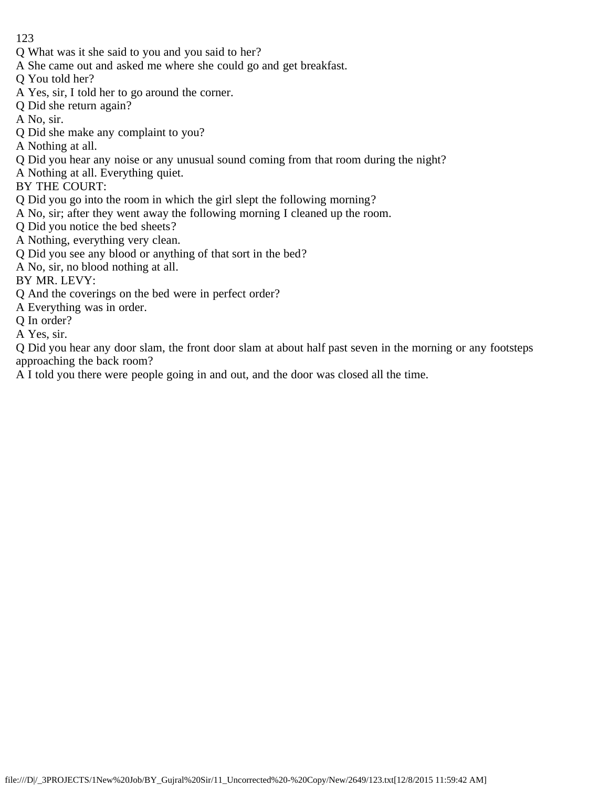- Q What was it she said to you and you said to her?
- A She came out and asked me where she could go and get breakfast.
- Q You told her?
- A Yes, sir, I told her to go around the corner.
- Q Did she return again?
- A No, sir.
- Q Did she make any complaint to you?
- A Nothing at all.
- Q Did you hear any noise or any unusual sound coming from that room during the night?
- A Nothing at all. Everything quiet.
- BY THE COURT:
- Q Did you go into the room in which the girl slept the following morning?
- A No, sir; after they went away the following morning I cleaned up the room.
- Q Did you notice the bed sheets?
- A Nothing, everything very clean.
- Q Did you see any blood or anything of that sort in the bed?
- A No, sir, no blood nothing at all.
- BY MR. LEVY:
- Q And the coverings on the bed were in perfect order?
- A Everything was in order.
- Q In order?
- A Yes, sir.

Q Did you hear any door slam, the front door slam at about half past seven in the morning or any footsteps approaching the back room?

A I told you there were people going in and out, and the door was closed all the time.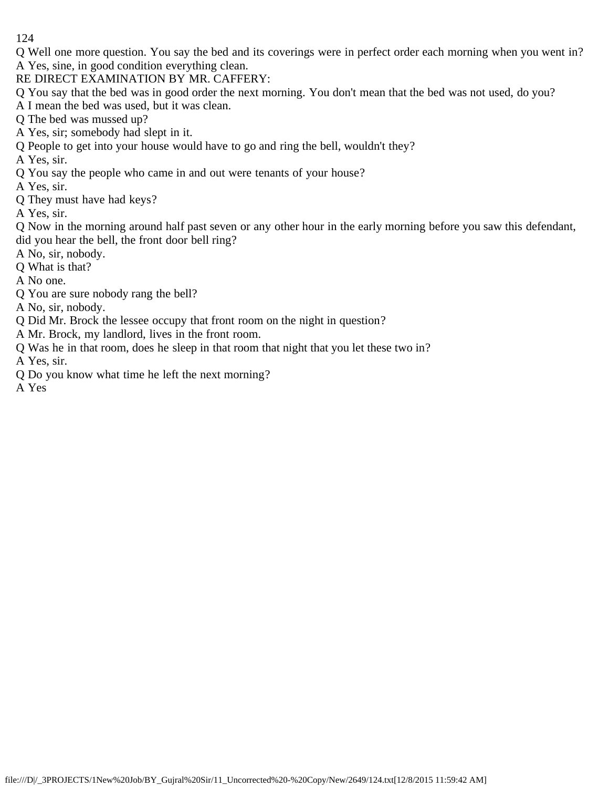Q Well one more question. You say the bed and its coverings were in perfect order each morning when you went in? A Yes, sine, in good condition everything clean.

RE DIRECT EXAMINATION BY MR. CAFFERY:

Q You say that the bed was in good order the next morning. You don't mean that the bed was not used, do you?

A I mean the bed was used, but it was clean.

Q The bed was mussed up?

- A Yes, sir; somebody had slept in it.
- Q People to get into your house would have to go and ring the bell, wouldn't they?

A Yes, sir.

Q You say the people who came in and out were tenants of your house?

A Yes, sir.

Q They must have had keys?

A Yes, sir.

Q Now in the morning around half past seven or any other hour in the early morning before you saw this defendant, did you hear the bell, the front door bell ring?

A No, sir, nobody.

Q What is that?

A No one.

Q You are sure nobody rang the bell?

A No, sir, nobody.

- Q Did Mr. Brock the lessee occupy that front room on the night in question?
- A Mr. Brock, my landlord, lives in the front room.
- Q Was he in that room, does he sleep in that room that night that you let these two in?

A Yes, sir.

Q Do you know what time he left the next morning?

A Yes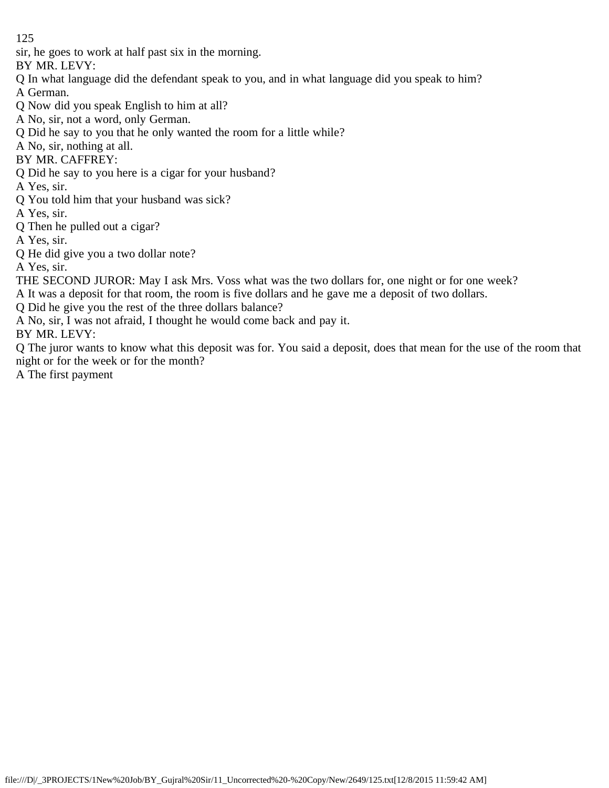sir, he goes to work at half past six in the morning.

BY MR. LEVY:

- Q In what language did the defendant speak to you, and in what language did you speak to him?
- A German.
- Q Now did you speak English to him at all?
- A No, sir, not a word, only German.
- Q Did he say to you that he only wanted the room for a little while?
- A No, sir, nothing at all.
- BY MR. CAFFREY:
- Q Did he say to you here is a cigar for your husband?
- A Yes, sir.
- Q You told him that your husband was sick?
- A Yes, sir.
- Q Then he pulled out a cigar?
- A Yes, sir.
- Q He did give you a two dollar note?
- A Yes, sir.
- THE SECOND JUROR: May I ask Mrs. Voss what was the two dollars for, one night or for one week?
- A It was a deposit for that room, the room is five dollars and he gave me a deposit of two dollars.
- Q Did he give you the rest of the three dollars balance?
- A No, sir, I was not afraid, I thought he would come back and pay it.
- BY MR. LEVY:
- Q The juror wants to know what this deposit was for. You said a deposit, does that mean for the use of the room that night or for the week or for the month?
- A The first payment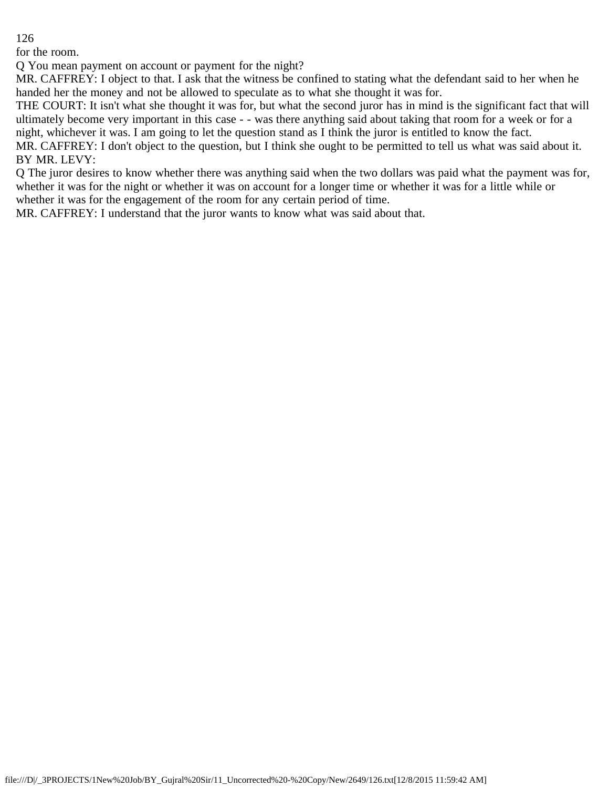for the room.

Q You mean payment on account or payment for the night?

MR. CAFFREY: I object to that. I ask that the witness be confined to stating what the defendant said to her when he handed her the money and not be allowed to speculate as to what she thought it was for.

THE COURT: It isn't what she thought it was for, but what the second juror has in mind is the significant fact that will ultimately become very important in this case - - was there anything said about taking that room for a week or for a night, whichever it was. I am going to let the question stand as I think the juror is entitled to know the fact.

MR. CAFFREY: I don't object to the question, but I think she ought to be permitted to tell us what was said about it. BY MR. LEVY:

Q The juror desires to know whether there was anything said when the two dollars was paid what the payment was for, whether it was for the night or whether it was on account for a longer time or whether it was for a little while or whether it was for the engagement of the room for any certain period of time.

MR. CAFFREY: I understand that the juror wants to know what was said about that.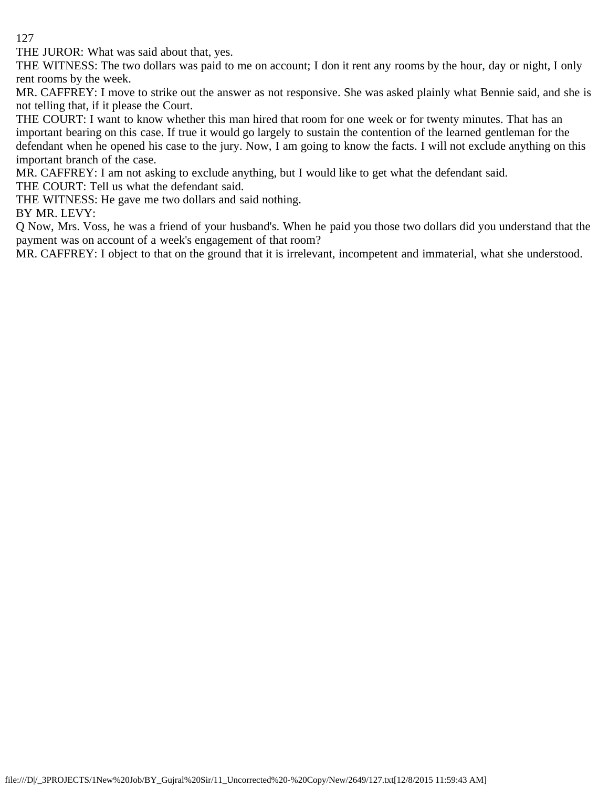THE JUROR: What was said about that, yes.

THE WITNESS: The two dollars was paid to me on account; I don it rent any rooms by the hour, day or night, I only rent rooms by the week.

MR. CAFFREY: I move to strike out the answer as not responsive. She was asked plainly what Bennie said, and she is not telling that, if it please the Court.

THE COURT: I want to know whether this man hired that room for one week or for twenty minutes. That has an important bearing on this case. If true it would go largely to sustain the contention of the learned gentleman for the defendant when he opened his case to the jury. Now, I am going to know the facts. I will not exclude anything on this important branch of the case.

MR. CAFFREY: I am not asking to exclude anything, but I would like to get what the defendant said.

THE COURT: Tell us what the defendant said.

THE WITNESS: He gave me two dollars and said nothing.

BY MR. LEVY:

Q Now, Mrs. Voss, he was a friend of your husband's. When he paid you those two dollars did you understand that the payment was on account of a week's engagement of that room?

MR. CAFFREY: I object to that on the ground that it is irrelevant, incompetent and immaterial, what she understood.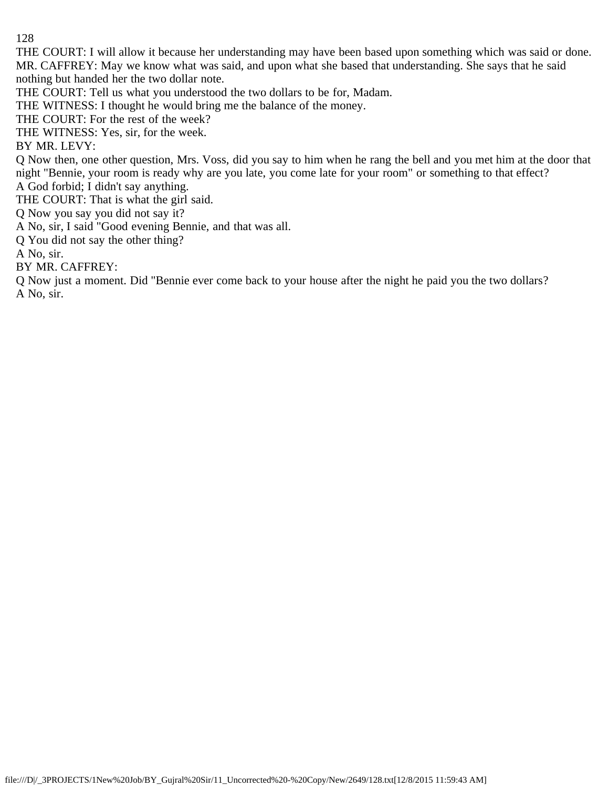THE COURT: I will allow it because her understanding may have been based upon something which was said or done. MR. CAFFREY: May we know what was said, and upon what she based that understanding. She says that he said nothing but handed her the two dollar note.

THE COURT: Tell us what you understood the two dollars to be for, Madam.

THE WITNESS: I thought he would bring me the balance of the money.

THE COURT: For the rest of the week?

THE WITNESS: Yes, sir, for the week.

BY MR. LEVY:

Q Now then, one other question, Mrs. Voss, did you say to him when he rang the bell and you met him at the door that night "Bennie, your room is ready why are you late, you come late for your room" or something to that effect? A God forbid; I didn't say anything.

THE COURT: That is what the girl said.

Q Now you say you did not say it?

A No, sir, I said "Good evening Bennie, and that was all.

Q You did not say the other thing?

A No, sir.

BY MR. CAFFREY:

Q Now just a moment. Did "Bennie ever come back to your house after the night he paid you the two dollars? A No, sir.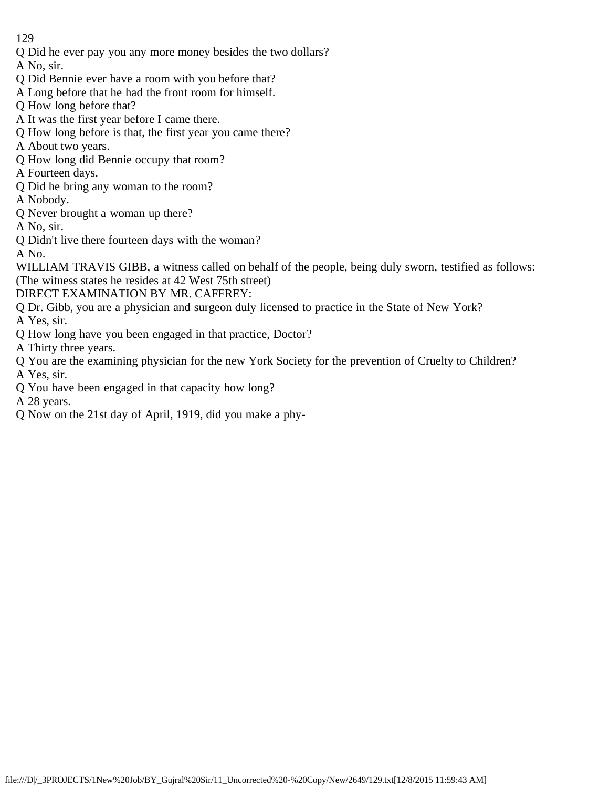- Q Did he ever pay you any more money besides the two dollars?
- A No, sir.
- Q Did Bennie ever have a room with you before that?
- A Long before that he had the front room for himself.
- Q How long before that?
- A It was the first year before I came there.
- Q How long before is that, the first year you came there?
- A About two years.
- Q How long did Bennie occupy that room?
- A Fourteen days.
- Q Did he bring any woman to the room?
- A Nobody.
- Q Never brought a woman up there?
- A No, sir.
- Q Didn't live there fourteen days with the woman?
- A No.
- WILLIAM TRAVIS GIBB, a witness called on behalf of the people, being duly sworn, testified as follows: (The witness states he resides at 42 West 75th street)
- DIRECT EXAMINATION BY MR. CAFFREY:
- Q Dr. Gibb, you are a physician and surgeon duly licensed to practice in the State of New York?
- A Yes, sir.
- Q How long have you been engaged in that practice, Doctor?
- A Thirty three years.
- Q You are the examining physician for the new York Society for the prevention of Cruelty to Children? A Yes, sir.
- Q You have been engaged in that capacity how long?
- A 28 years.
- Q Now on the 21st day of April, 1919, did you make a phy-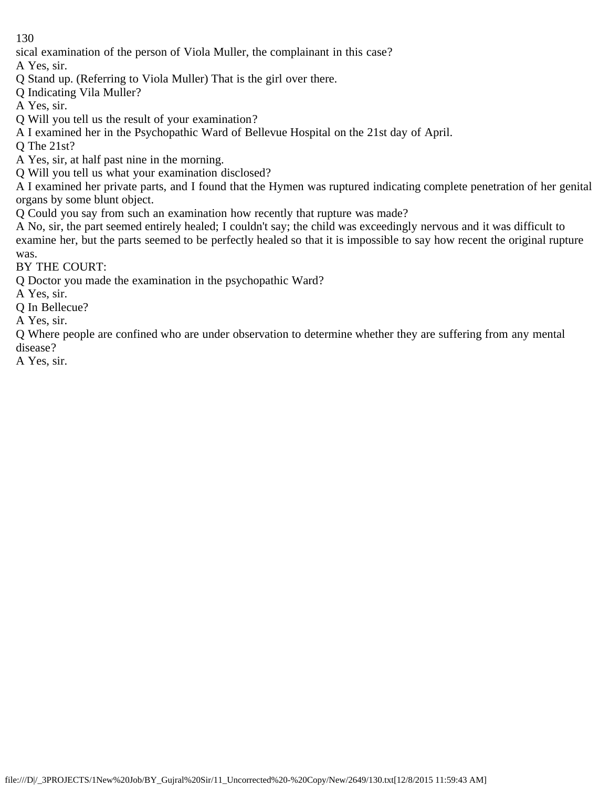sical examination of the person of Viola Muller, the complainant in this case?

A Yes, sir.

Q Stand up. (Referring to Viola Muller) That is the girl over there.

Q Indicating Vila Muller?

A Yes, sir.

Q Will you tell us the result of your examination?

A I examined her in the Psychopathic Ward of Bellevue Hospital on the 21st day of April.

Q The 21st?

A Yes, sir, at half past nine in the morning.

Q Will you tell us what your examination disclosed?

A I examined her private parts, and I found that the Hymen was ruptured indicating complete penetration of her genital organs by some blunt object.

Q Could you say from such an examination how recently that rupture was made?

A No, sir, the part seemed entirely healed; I couldn't say; the child was exceedingly nervous and it was difficult to examine her, but the parts seemed to be perfectly healed so that it is impossible to say how recent the original rupture was.

BY THE COURT:

Q Doctor you made the examination in the psychopathic Ward?

A Yes, sir.

Q In Bellecue?

A Yes, sir.

Q Where people are confined who are under observation to determine whether they are suffering from any mental disease?

A Yes, sir.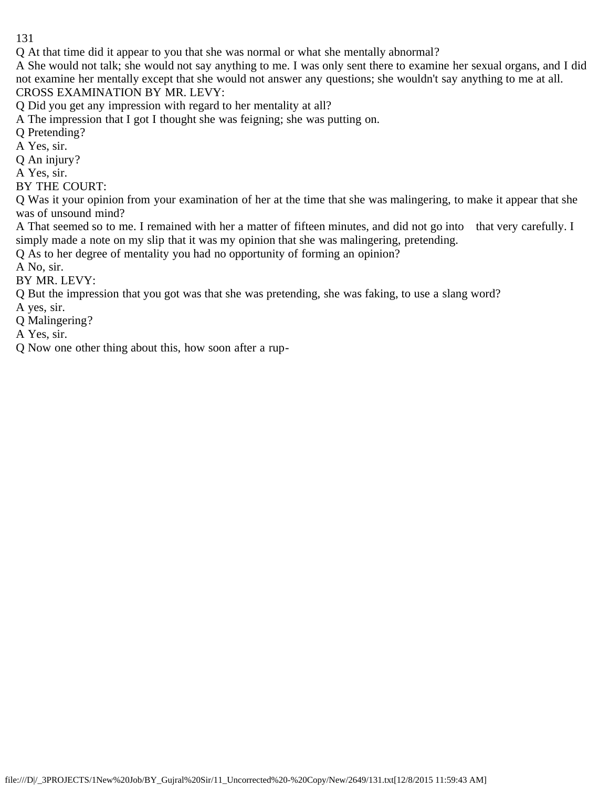Q At that time did it appear to you that she was normal or what she mentally abnormal?

A She would not talk; she would not say anything to me. I was only sent there to examine her sexual organs, and I did not examine her mentally except that she would not answer any questions; she wouldn't say anything to me at all. CROSS EXAMINATION BY MR. LEVY:

Q Did you get any impression with regard to her mentality at all?

A The impression that I got I thought she was feigning; she was putting on.

Q Pretending?

A Yes, sir.

Q An injury?

A Yes, sir.

BY THE COURT:

Q Was it your opinion from your examination of her at the time that she was malingering, to make it appear that she was of unsound mind?

A That seemed so to me. I remained with her a matter of fifteen minutes, and did not go into that very carefully. I simply made a note on my slip that it was my opinion that she was malingering, pretending.

Q As to her degree of mentality you had no opportunity of forming an opinion?

A No, sir.

BY MR. LEVY:

Q But the impression that you got was that she was pretending, she was faking, to use a slang word?

A yes, sir.

Q Malingering?

A Yes, sir.

Q Now one other thing about this, how soon after a rup-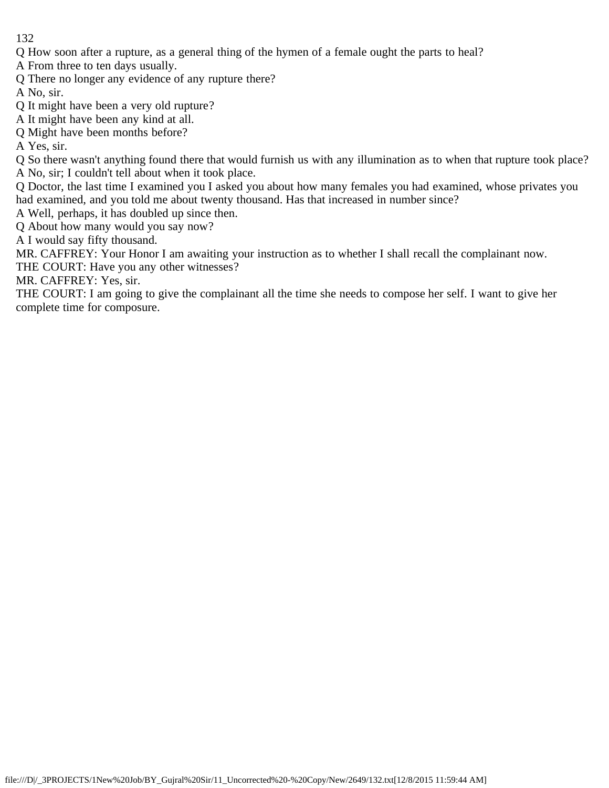Q How soon after a rupture, as a general thing of the hymen of a female ought the parts to heal?

A From three to ten days usually.

- Q There no longer any evidence of any rupture there?
- A No, sir.
- Q It might have been a very old rupture?
- A It might have been any kind at all.
- Q Might have been months before?

A Yes, sir.

Q So there wasn't anything found there that would furnish us with any illumination as to when that rupture took place? A No, sir; I couldn't tell about when it took place.

Q Doctor, the last time I examined you I asked you about how many females you had examined, whose privates you had examined, and you told me about twenty thousand. Has that increased in number since?

A Well, perhaps, it has doubled up since then.

Q About how many would you say now?

A I would say fifty thousand.

MR. CAFFREY: Your Honor I am awaiting your instruction as to whether I shall recall the complainant now.

THE COURT: Have you any other witnesses?

MR. CAFFREY: Yes, sir.

THE COURT: I am going to give the complainant all the time she needs to compose her self. I want to give her complete time for composure.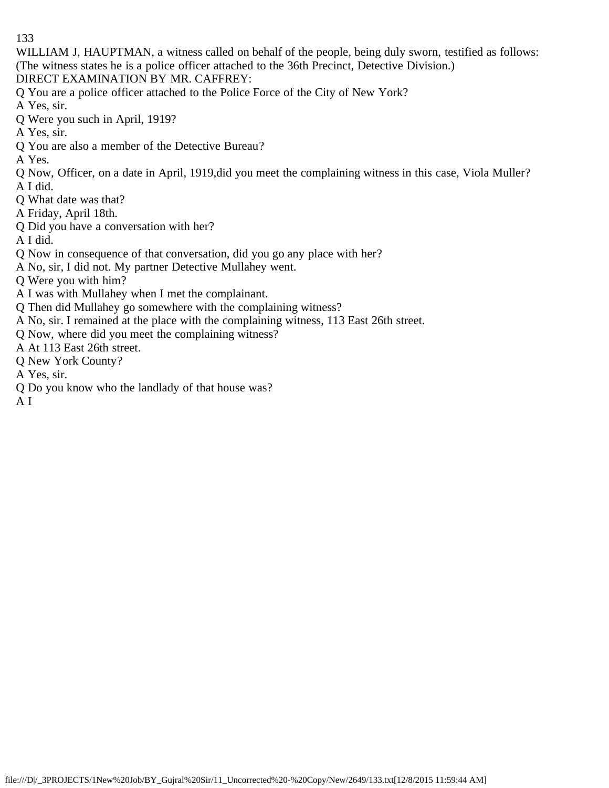WILLIAM J, HAUPTMAN, a witness called on behalf of the people, being duly sworn, testified as follows: (The witness states he is a police officer attached to the 36th Precinct, Detective Division.)

DIRECT EXAMINATION BY MR. CAFFREY:

Q You are a police officer attached to the Police Force of the City of New York?

A Yes, sir.

- Q Were you such in April, 1919?
- A Yes, sir.
- Q You are also a member of the Detective Bureau?

A Yes.

Q Now, Officer, on a date in April, 1919,did you meet the complaining witness in this case, Viola Muller? A I did.

- Q What date was that?
- A Friday, April 18th.
- Q Did you have a conversation with her?

A I did.

- Q Now in consequence of that conversation, did you go any place with her?
- A No, sir, I did not. My partner Detective Mullahey went.

Q Were you with him?

- A I was with Mullahey when I met the complainant.
- Q Then did Mullahey go somewhere with the complaining witness?
- A No, sir. I remained at the place with the complaining witness, 113 East 26th street.
- Q Now, where did you meet the complaining witness?
- A At 113 East 26th street.
- Q New York County?

A Yes, sir.

Q Do you know who the landlady of that house was?

A I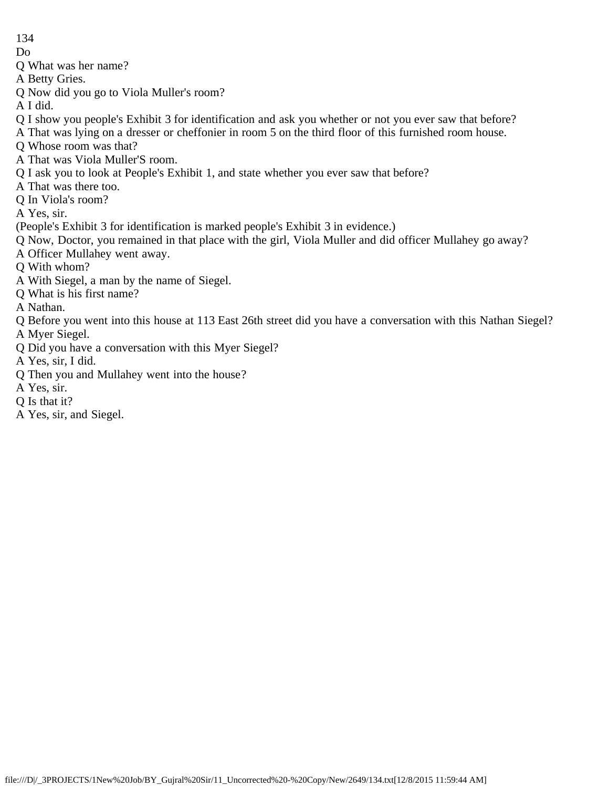Do

Q What was her name?

- A Betty Gries.
- Q Now did you go to Viola Muller's room?
- A I did.
- Q I show you people's Exhibit 3 for identification and ask you whether or not you ever saw that before?
- A That was lying on a dresser or cheffonier in room 5 on the third floor of this furnished room house.
- Q Whose room was that?
- A That was Viola Muller'S room.
- Q I ask you to look at People's Exhibit 1, and state whether you ever saw that before?
- A That was there too.
- Q In Viola's room?
- A Yes, sir.
- (People's Exhibit 3 for identification is marked people's Exhibit 3 in evidence.)
- Q Now, Doctor, you remained in that place with the girl, Viola Muller and did officer Mullahey go away?
- A Officer Mullahey went away.
- Q With whom?
- A With Siegel, a man by the name of Siegel.
- Q What is his first name?
- A Nathan.
- Q Before you went into this house at 113 East 26th street did you have a conversation with this Nathan Siegel?
- A Myer Siegel.
- Q Did you have a conversation with this Myer Siegel?
- A Yes, sir, I did.
- Q Then you and Mullahey went into the house?
- A Yes, sir.
- Q Is that it?
- A Yes, sir, and Siegel.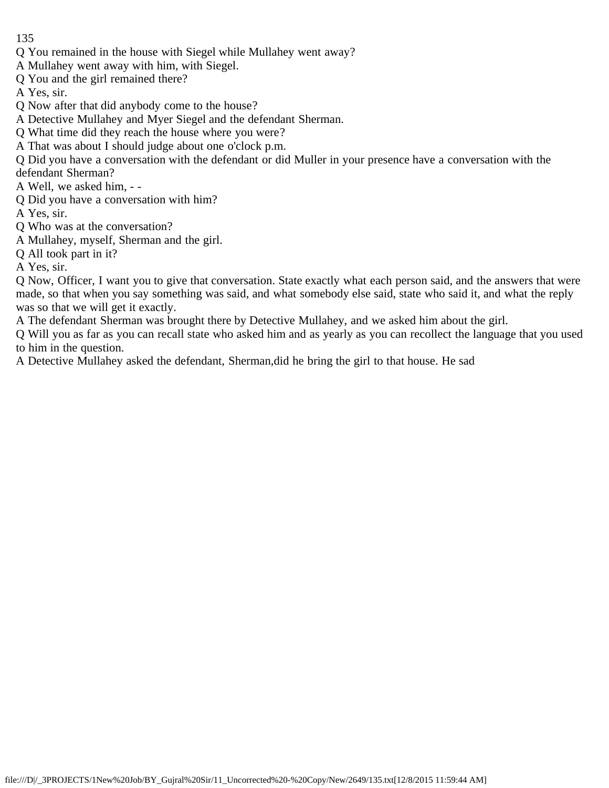- Q You remained in the house with Siegel while Mullahey went away?
- A Mullahey went away with him, with Siegel.
- Q You and the girl remained there?
- A Yes, sir.
- Q Now after that did anybody come to the house?
- A Detective Mullahey and Myer Siegel and the defendant Sherman.
- Q What time did they reach the house where you were?
- A That was about I should judge about one o'clock p.m.
- Q Did you have a conversation with the defendant or did Muller in your presence have a conversation with the defendant Sherman?
- A Well, we asked him, -
- Q Did you have a conversation with him?
- A Yes, sir.
- Q Who was at the conversation?
- A Mullahey, myself, Sherman and the girl.
- Q All took part in it?
- A Yes, sir.
- Q Now, Officer, I want you to give that conversation. State exactly what each person said, and the answers that were made, so that when you say something was said, and what somebody else said, state who said it, and what the reply was so that we will get it exactly.
- A The defendant Sherman was brought there by Detective Mullahey, and we asked him about the girl.
- Q Will you as far as you can recall state who asked him and as yearly as you can recollect the language that you used to him in the question.
- A Detective Mullahey asked the defendant, Sherman,did he bring the girl to that house. He sad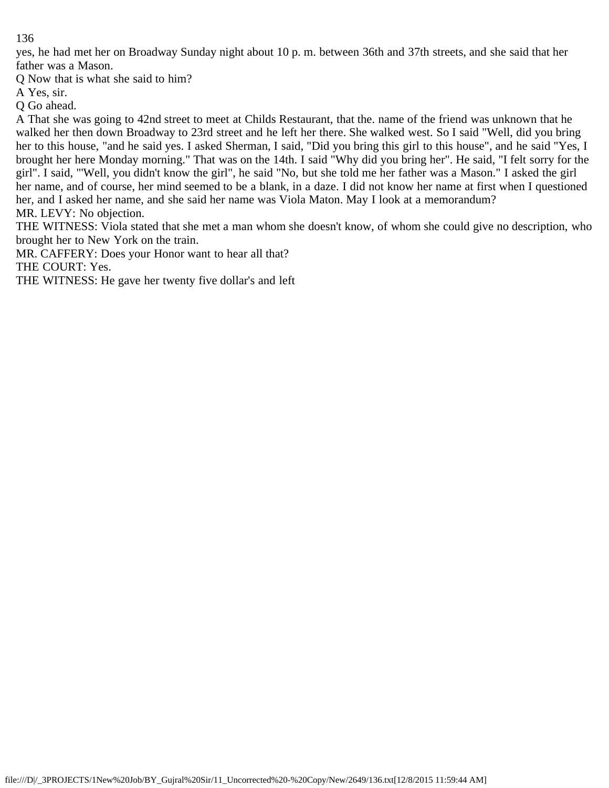yes, he had met her on Broadway Sunday night about 10 p. m. between 36th and 37th streets, and she said that her father was a Mason.

Q Now that is what she said to him?

A Yes, sir.

Q Go ahead.

A That she was going to 42nd street to meet at Childs Restaurant, that the. name of the friend was unknown that he walked her then down Broadway to 23rd street and he left her there. She walked west. So I said "Well, did you bring her to this house, "and he said yes. I asked Sherman, I said, "Did you bring this girl to this house", and he said "Yes, I brought her here Monday morning." That was on the 14th. I said "Why did you bring her". He said, "I felt sorry for the girl". I said, "'Well, you didn't know the girl", he said "No, but she told me her father was a Mason." I asked the girl her name, and of course, her mind seemed to be a blank, in a daze. I did not know her name at first when I questioned her, and I asked her name, and she said her name was Viola Maton. May I look at a memorandum? MR. LEVY: No objection.

THE WITNESS: Viola stated that she met a man whom she doesn't know, of whom she could give no description, who brought her to New York on the train.

MR. CAFFERY: Does your Honor want to hear all that?

THE COURT: Yes.

THE WITNESS: He gave her twenty five dollar's and left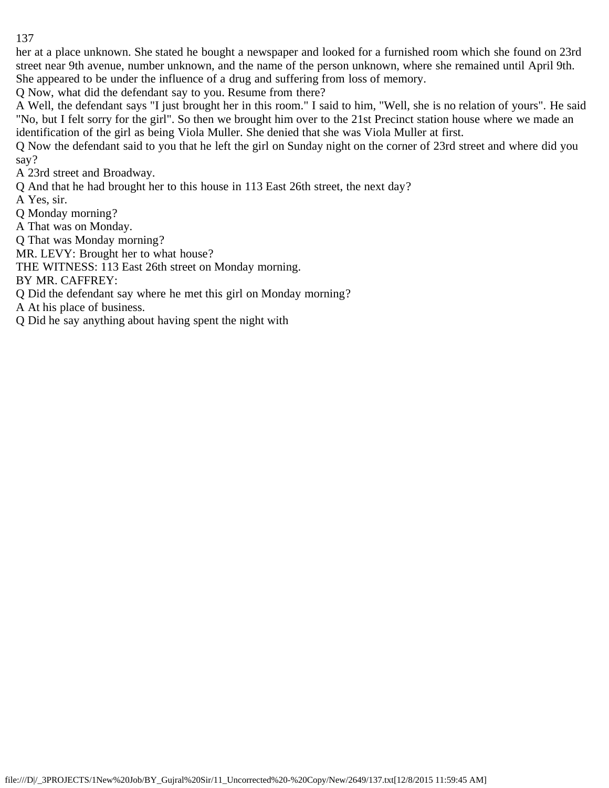her at a place unknown. She stated he bought a newspaper and looked for a furnished room which she found on 23rd street near 9th avenue, number unknown, and the name of the person unknown, where she remained until April 9th. She appeared to be under the influence of a drug and suffering from loss of memory.

Q Now, what did the defendant say to you. Resume from there?

A Well, the defendant says "I just brought her in this room." I said to him, "Well, she is no relation of yours". He said "No, but I felt sorry for the girl". So then we brought him over to the 21st Precinct station house where we made an identification of the girl as being Viola Muller. She denied that she was Viola Muller at first.

Q Now the defendant said to you that he left the girl on Sunday night on the corner of 23rd street and where did you say?

A 23rd street and Broadway.

Q And that he had brought her to this house in 113 East 26th street, the next day?

A Yes, sir.

Q Monday morning?

A That was on Monday.

Q That was Monday morning?

MR. LEVY: Brought her to what house?

THE WITNESS: 113 East 26th street on Monday morning.

BY MR. CAFFREY:

Q Did the defendant say where he met this girl on Monday morning?

A At his place of business.

Q Did he say anything about having spent the night with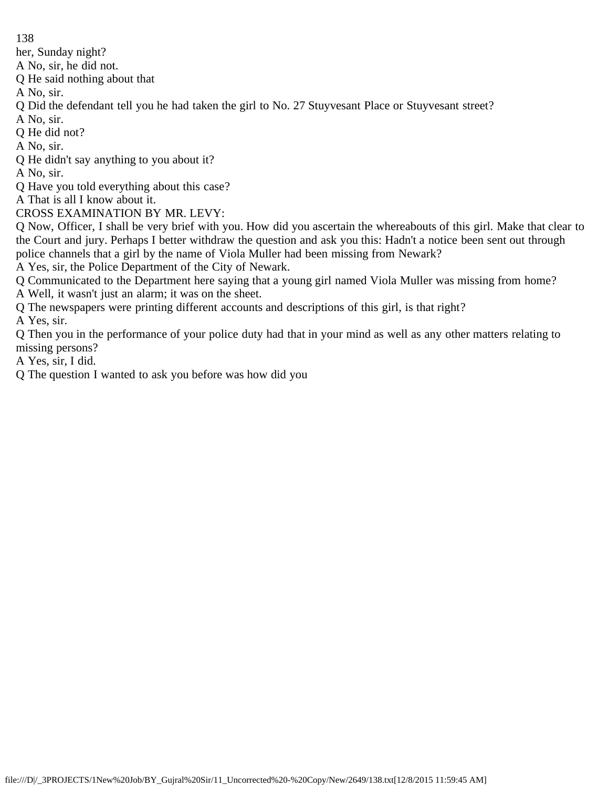her, Sunday night?

A No, sir, he did not.

Q He said nothing about that

A No, sir.

Q Did the defendant tell you he had taken the girl to No. 27 Stuyvesant Place or Stuyvesant street?

A No, sir.

Q He did not?

A No, sir.

Q He didn't say anything to you about it?

A No, sir.

Q Have you told everything about this case?

A That is all I know about it.

CROSS EXAMINATION BY MR. LEVY:

Q Now, Officer, I shall be very brief with you. How did you ascertain the whereabouts of this girl. Make that clear to the Court and jury. Perhaps I better withdraw the question and ask you this: Hadn't a notice been sent out through police channels that a girl by the name of Viola Muller had been missing from Newark?

A Yes, sir, the Police Department of the City of Newark.

Q Communicated to the Department here saying that a young girl named Viola Muller was missing from home?

A Well, it wasn't just an alarm; it was on the sheet.

Q The newspapers were printing different accounts and descriptions of this girl, is that right?

A Yes, sir.

Q Then you in the performance of your police duty had that in your mind as well as any other matters relating to missing persons?

A Yes, sir, I did.

Q The question I wanted to ask you before was how did you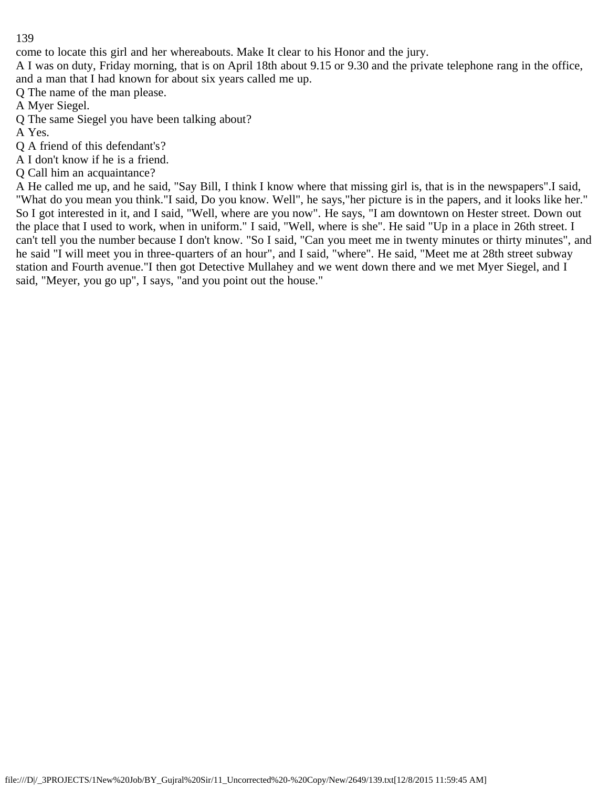come to locate this girl and her whereabouts. Make It clear to his Honor and the jury.

A I was on duty, Friday morning, that is on April 18th about 9.15 or 9.30 and the private telephone rang in the office, and a man that I had known for about six years called me up.

Q The name of the man please.

A Myer Siegel.

Q The same Siegel you have been talking about?

A Yes.

Q A friend of this defendant's?

A I don't know if he is a friend.

Q Call him an acquaintance?

A He called me up, and he said, "Say Bill, I think I know where that missing girl is, that is in the newspapers".I said, "What do you mean you think."I said, Do you know. Well", he says,"her picture is in the papers, and it looks like her." So I got interested in it, and I said, "Well, where are you now". He says, "I am downtown on Hester street. Down out the place that I used to work, when in uniform." I said, "Well, where is she". He said "Up in a place in 26th street. I can't tell you the number because I don't know. "So I said, "Can you meet me in twenty minutes or thirty minutes", and he said "I will meet you in three-quarters of an hour", and I said, "where". He said, "Meet me at 28th street subway station and Fourth avenue."I then got Detective Mullahey and we went down there and we met Myer Siegel, and I said, "Meyer, you go up", I says, "and you point out the house."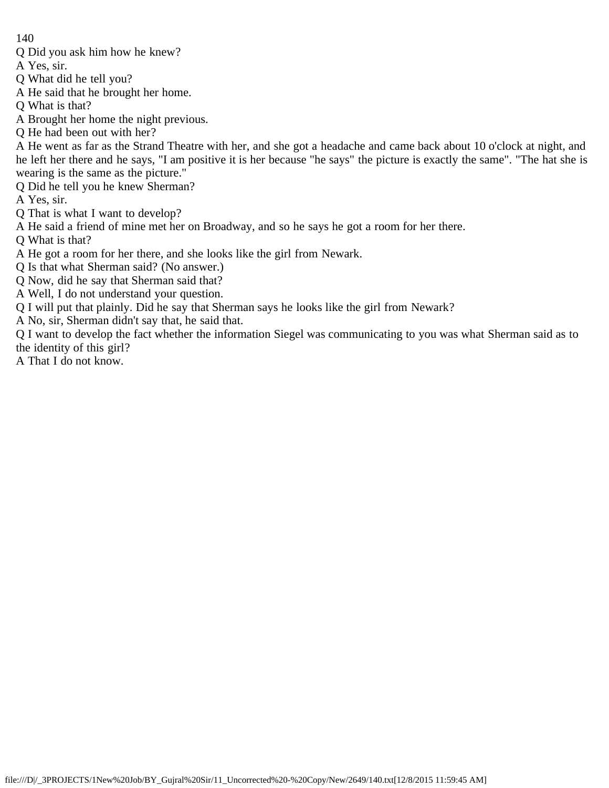- Q Did you ask him how he knew?
- A Yes, sir.
- Q What did he tell you?
- A He said that he brought her home.
- Q What is that?
- A Brought her home the night previous.
- Q He had been out with her?

A He went as far as the Strand Theatre with her, and she got a headache and came back about 10 o'clock at night, and he left her there and he says, "I am positive it is her because "he says" the picture is exactly the same". "The hat she is wearing is the same as the picture."

- Q Did he tell you he knew Sherman?
- A Yes, sir.
- Q That is what I want to develop?
- A He said a friend of mine met her on Broadway, and so he says he got a room for her there.
- Q What is that?
- A He got a room for her there, and she looks like the girl from Newark.
- Q Is that what Sherman said? (No answer.)
- Q Now, did he say that Sherman said that?
- A Well, I do not understand your question.
- Q I will put that plainly. Did he say that Sherman says he looks like the girl from Newark?
- A No, sir, Sherman didn't say that, he said that.

Q I want to develop the fact whether the information Siegel was communicating to you was what Sherman said as to the identity of this girl?

A That I do not know.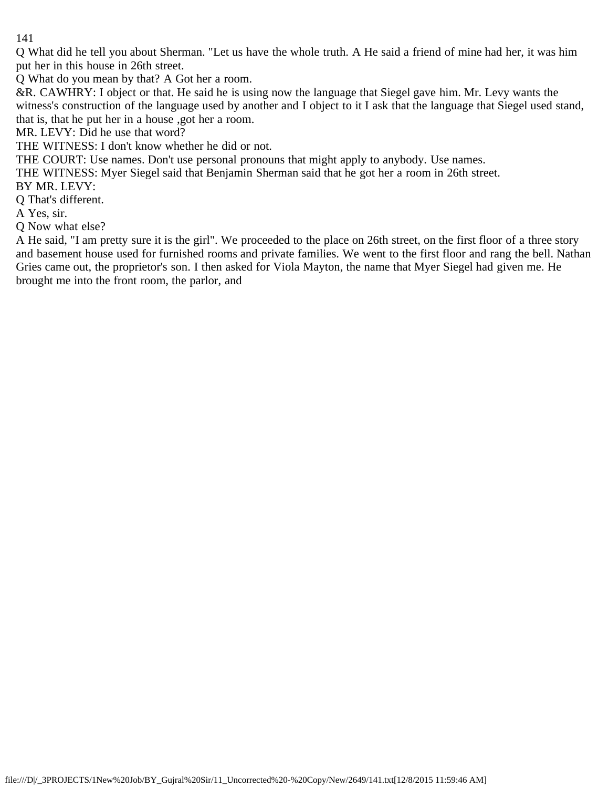Q What did he tell you about Sherman. "Let us have the whole truth. A He said a friend of mine had her, it was him put her in this house in 26th street.

Q What do you mean by that? A Got her a room.

&R. CAWHRY: I object or that. He said he is using now the language that Siegel gave him. Mr. Levy wants the witness's construction of the language used by another and I object to it I ask that the language that Siegel used stand, that is, that he put her in a house ,got her a room.

MR. LEVY: Did he use that word?

THE WITNESS: I don't know whether he did or not.

THE COURT: Use names. Don't use personal pronouns that might apply to anybody. Use names.

THE WITNESS: Myer Siegel said that Benjamin Sherman said that he got her a room in 26th street.

BY MR. LEVY:

Q That's different.

A Yes, sir.

Q Now what else?

A He said, "I am pretty sure it is the girl". We proceeded to the place on 26th street, on the first floor of a three story and basement house used for furnished rooms and private families. We went to the first floor and rang the bell. Nathan Gries came out, the proprietor's son. I then asked for Viola Mayton, the name that Myer Siegel had given me. He brought me into the front room, the parlor, and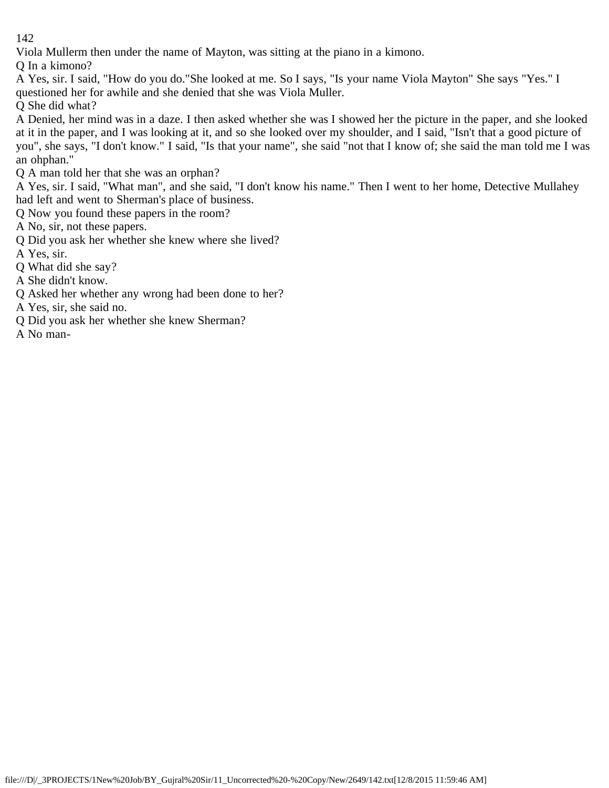Viola Mullerm then under the name of Mayton, was sitting at the piano in a kimono.

Q In a kimono?

A Yes, sir. I said, "How do you do."She looked at me. So I says, "Is your name Viola Mayton" She says "Yes." I questioned her for awhile and she denied that she was Viola Muller.

Q She did what?

A Denied, her mind was in a daze. I then asked whether she was I showed her the picture in the paper, and she looked at it in the paper, and I was looking at it, and so she looked over my shoulder, and I said, "Isn't that a good picture of you", she says, "I don't know." I said, "Is that your name", she said "not that I know of; she said the man told me I was an ohphan."

Q A man told her that she was an orphan?

A Yes, sir. I said, "What man", and she said, "I don't know his name." Then I went to her home, Detective Mullahey had left and went to Sherman's place of business.

Q Now you found these papers in the room?

A No, sir, not these papers.

Q Did you ask her whether she knew where she lived?

A Yes, sir.

Q What did she say?

A She didn't know.

Q Asked her whether any wrong had been done to her?

A Yes, sir, she said no.

Q Did you ask her whether she knew Sherman?

A No man-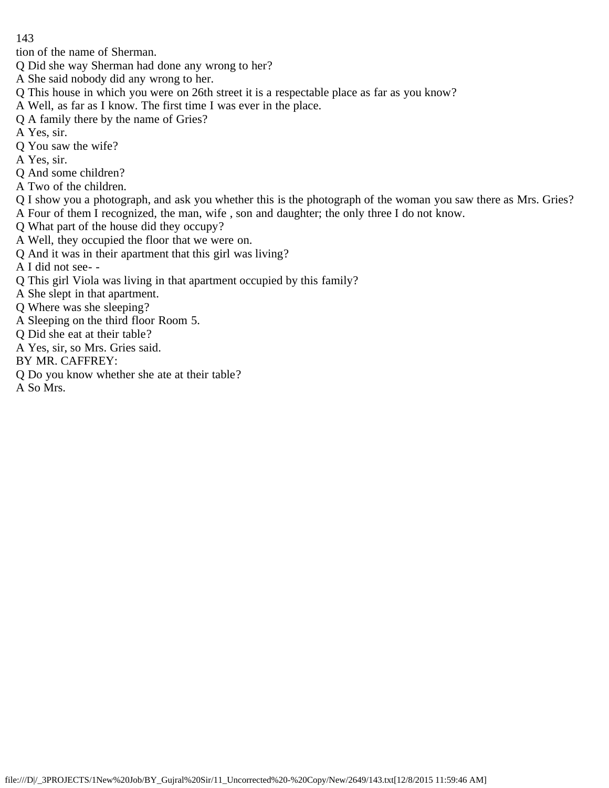tion of the name of Sherman.

- Q Did she way Sherman had done any wrong to her?
- A She said nobody did any wrong to her.
- Q This house in which you were on 26th street it is a respectable place as far as you know?
- A Well, as far as I know. The first time I was ever in the place.
- Q A family there by the name of Gries?
- A Yes, sir.
- Q You saw the wife?
- A Yes, sir.
- Q And some children?
- A Two of the children.
- Q I show you a photograph, and ask you whether this is the photograph of the woman you saw there as Mrs. Gries? A Four of them I recognized, the man, wife , son and daughter; the only three I do not know.
- Q What part of the house did they occupy?
- A Well, they occupied the floor that we were on.
- Q And it was in their apartment that this girl was living?
- A I did not see- -
- Q This girl Viola was living in that apartment occupied by this family?
- A She slept in that apartment.
- Q Where was she sleeping?
- A Sleeping on the third floor Room 5.
- Q Did she eat at their table?
- A Yes, sir, so Mrs. Gries said.
- BY MR. CAFFREY:
- Q Do you know whether she ate at their table?
- A So Mrs.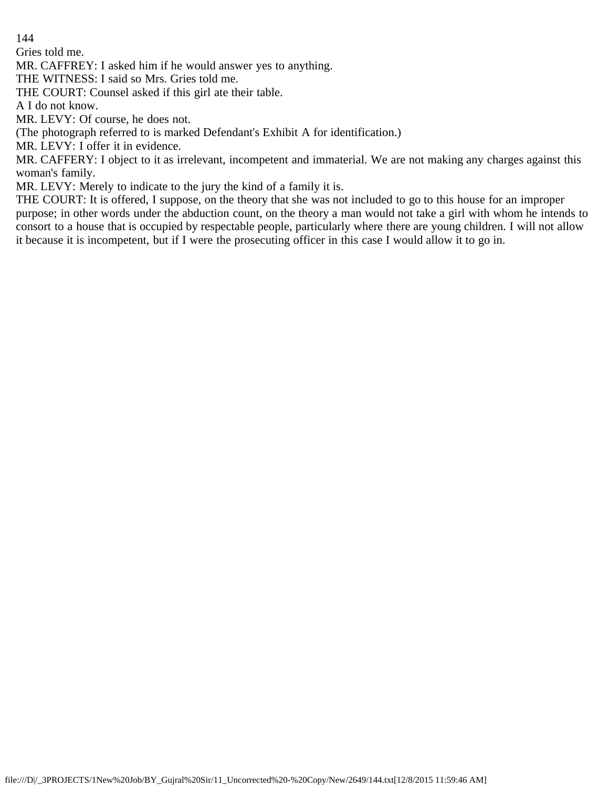Gries told me.

MR. CAFFREY: I asked him if he would answer yes to anything.

THE WITNESS: I said so Mrs. Gries told me.

THE COURT: Counsel asked if this girl ate their table.

A I do not know.

MR. LEVY: Of course, he does not.

(The photograph referred to is marked Defendant's Exhibit A for identification.)

MR. LEVY: I offer it in evidence.

MR. CAFFERY: I object to it as irrelevant, incompetent and immaterial. We are not making any charges against this woman's family.

MR. LEVY: Merely to indicate to the jury the kind of a family it is.

THE COURT: It is offered, I suppose, on the theory that she was not included to go to this house for an improper purpose; in other words under the abduction count, on the theory a man would not take a girl with whom he intends to consort to a house that is occupied by respectable people, particularly where there are young children. I will not allow it because it is incompetent, but if I were the prosecuting officer in this case I would allow it to go in.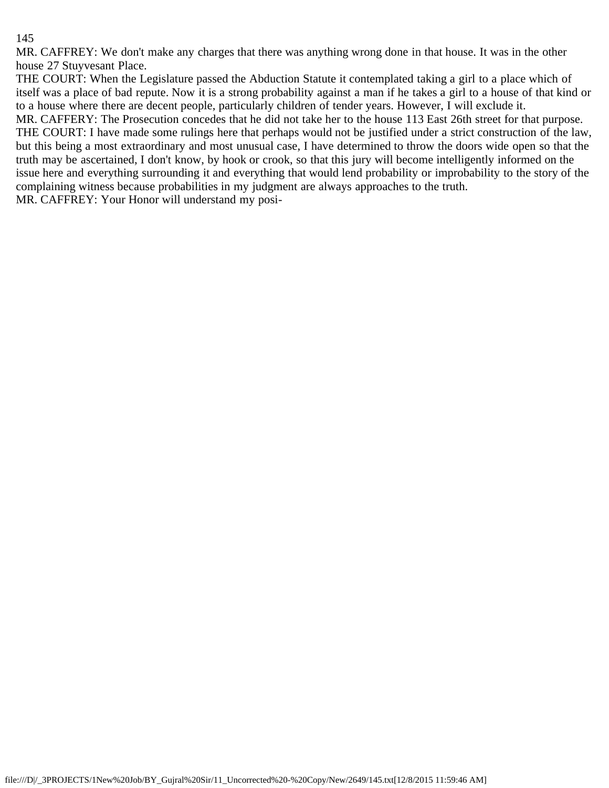MR. CAFFREY: We don't make any charges that there was anything wrong done in that house. It was in the other house 27 Stuyvesant Place.

THE COURT: When the Legislature passed the Abduction Statute it contemplated taking a girl to a place which of itself was a place of bad repute. Now it is a strong probability against a man if he takes a girl to a house of that kind or to a house where there are decent people, particularly children of tender years. However, I will exclude it.

MR. CAFFERY: The Prosecution concedes that he did not take her to the house 113 East 26th street for that purpose. THE COURT: I have made some rulings here that perhaps would not be justified under a strict construction of the law, but this being a most extraordinary and most unusual case, I have determined to throw the doors wide open so that the truth may be ascertained, I don't know, by hook or crook, so that this jury will become intelligently informed on the issue here and everything surrounding it and everything that would lend probability or improbability to the story of the complaining witness because probabilities in my judgment are always approaches to the truth.

MR. CAFFREY: Your Honor will understand my posi-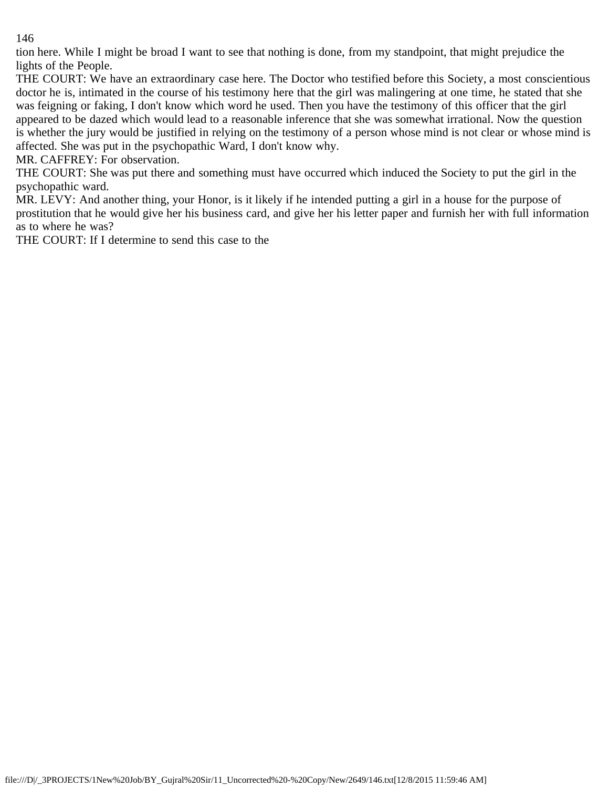tion here. While I might be broad I want to see that nothing is done, from my standpoint, that might prejudice the lights of the People.

THE COURT: We have an extraordinary case here. The Doctor who testified before this Society, a most conscientious doctor he is, intimated in the course of his testimony here that the girl was malingering at one time, he stated that she was feigning or faking, I don't know which word he used. Then you have the testimony of this officer that the girl appeared to be dazed which would lead to a reasonable inference that she was somewhat irrational. Now the question is whether the jury would be justified in relying on the testimony of a person whose mind is not clear or whose mind is affected. She was put in the psychopathic Ward, I don't know why.

MR. CAFFREY: For observation.

THE COURT: She was put there and something must have occurred which induced the Society to put the girl in the psychopathic ward.

MR. LEVY: And another thing, your Honor, is it likely if he intended putting a girl in a house for the purpose of prostitution that he would give her his business card, and give her his letter paper and furnish her with full information as to where he was?

THE COURT: If I determine to send this case to the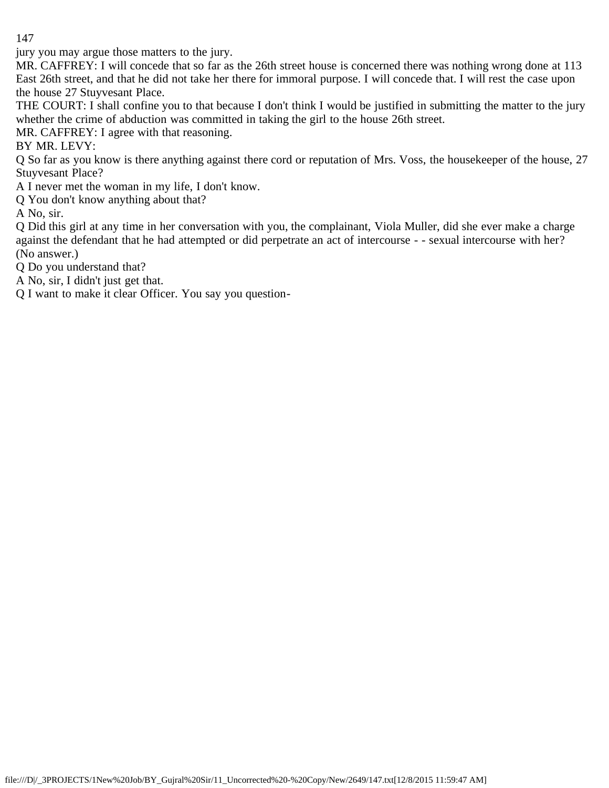jury you may argue those matters to the jury.

MR. CAFFREY: I will concede that so far as the 26th street house is concerned there was nothing wrong done at 113 East 26th street, and that he did not take her there for immoral purpose. I will concede that. I will rest the case upon the house 27 Stuyvesant Place.

THE COURT: I shall confine you to that because I don't think I would be justified in submitting the matter to the jury whether the crime of abduction was committed in taking the girl to the house 26th street.

MR. CAFFREY: I agree with that reasoning.

BY MR. LEVY:

Q So far as you know is there anything against there cord or reputation of Mrs. Voss, the housekeeper of the house, 27 Stuyvesant Place?

A I never met the woman in my life, I don't know.

Q You don't know anything about that?

A No, sir.

Q Did this girl at any time in her conversation with you, the complainant, Viola Muller, did she ever make a charge against the defendant that he had attempted or did perpetrate an act of intercourse - - sexual intercourse with her? (No answer.)

Q Do you understand that?

A No, sir, I didn't just get that.

Q I want to make it clear Officer. You say you question-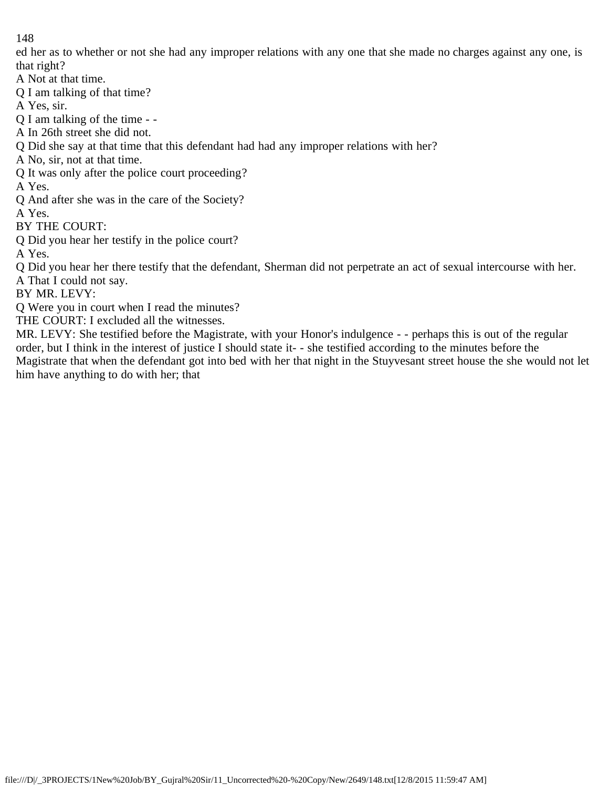ed her as to whether or not she had any improper relations with any one that she made no charges against any one, is that right?

A Not at that time.

Q I am talking of that time?

A Yes, sir.

Q I am talking of the time - -

A In 26th street she did not.

Q Did she say at that time that this defendant had had any improper relations with her?

A No, sir, not at that time.

Q It was only after the police court proceeding?

A Yes.

Q And after she was in the care of the Society?

A Yes.

BY THE COURT:

Q Did you hear her testify in the police court?

A Yes.

Q Did you hear her there testify that the defendant, Sherman did not perpetrate an act of sexual intercourse with her. A That I could not say.

BY MR. LEVY:

Q Were you in court when I read the minutes?

THE COURT: I excluded all the witnesses.

MR. LEVY: She testified before the Magistrate, with your Honor's indulgence - - perhaps this is out of the regular order, but I think in the interest of justice I should state it- - she testified according to the minutes before the Magistrate that when the defendant got into bed with her that night in the Stuyvesant street house the she would not let him have anything to do with her; that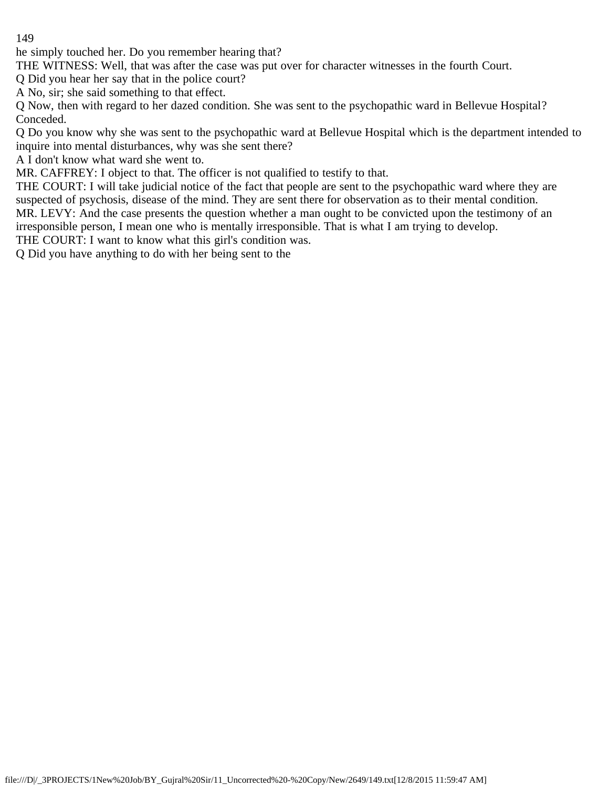he simply touched her. Do you remember hearing that?

THE WITNESS: Well, that was after the case was put over for character witnesses in the fourth Court.

Q Did you hear her say that in the police court?

A No, sir; she said something to that effect.

Q Now, then with regard to her dazed condition. She was sent to the psychopathic ward in Bellevue Hospital? Conceded.

Q Do you know why she was sent to the psychopathic ward at Bellevue Hospital which is the department intended to inquire into mental disturbances, why was she sent there?

A I don't know what ward she went to.

MR. CAFFREY: I object to that. The officer is not qualified to testify to that.

THE COURT: I will take judicial notice of the fact that people are sent to the psychopathic ward where they are suspected of psychosis, disease of the mind. They are sent there for observation as to their mental condition. MR. LEVY: And the case presents the question whether a man ought to be convicted upon the testimony of an irresponsible person, I mean one who is mentally irresponsible. That is what I am trying to develop.

THE COURT: I want to know what this girl's condition was.

Q Did you have anything to do with her being sent to the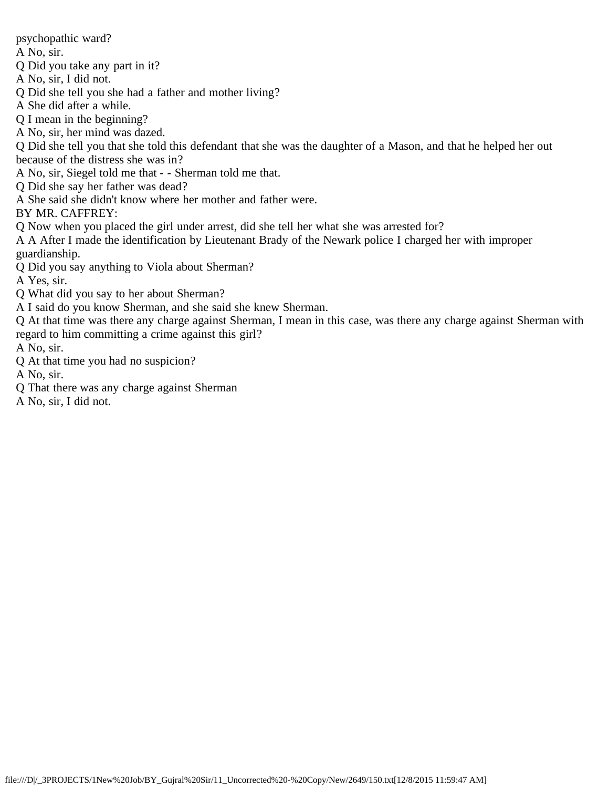psychopathic ward?

A No, sir.

Q Did you take any part in it?

A No, sir, I did not.

Q Did she tell you she had a father and mother living?

A She did after a while.

Q I mean in the beginning?

A No, sir, her mind was dazed.

Q Did she tell you that she told this defendant that she was the daughter of a Mason, and that he helped her out because of the distress she was in?

A No, sir, Siegel told me that - - Sherman told me that.

Q Did she say her father was dead?

A She said she didn't know where her mother and father were.

BY MR. CAFFREY:

Q Now when you placed the girl under arrest, did she tell her what she was arrested for?

A A After I made the identification by Lieutenant Brady of the Newark police I charged her with improper guardianship.

Q Did you say anything to Viola about Sherman?

A Yes, sir.

Q What did you say to her about Sherman?

A I said do you know Sherman, and she said she knew Sherman.

Q At that time was there any charge against Sherman, I mean in this case, was there any charge against Sherman with regard to him committing a crime against this girl?

A No, sir.

Q At that time you had no suspicion?

A No, sir.

Q That there was any charge against Sherman

A No, sir, I did not.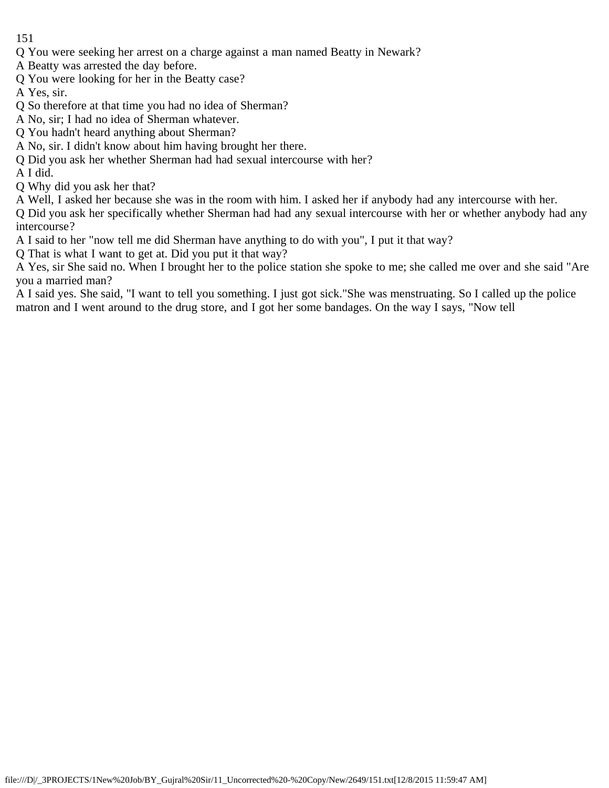- Q You were seeking her arrest on a charge against a man named Beatty in Newark?
- A Beatty was arrested the day before.
- Q You were looking for her in the Beatty case?
- A Yes, sir.
- Q So therefore at that time you had no idea of Sherman?
- A No, sir; I had no idea of Sherman whatever.
- Q You hadn't heard anything about Sherman?
- A No, sir. I didn't know about him having brought her there.
- Q Did you ask her whether Sherman had had sexual intercourse with her?
- A I did.
- Q Why did you ask her that?
- A Well, I asked her because she was in the room with him. I asked her if anybody had any intercourse with her.

Q Did you ask her specifically whether Sherman had had any sexual intercourse with her or whether anybody had any intercourse?

A I said to her "now tell me did Sherman have anything to do with you", I put it that way?

Q That is what I want to get at. Did you put it that way?

A Yes, sir She said no. When I brought her to the police station she spoke to me; she called me over and she said "Are you a married man?

A I said yes. She said, "I want to tell you something. I just got sick."She was menstruating. So I called up the police matron and I went around to the drug store, and I got her some bandages. On the way I says, "Now tell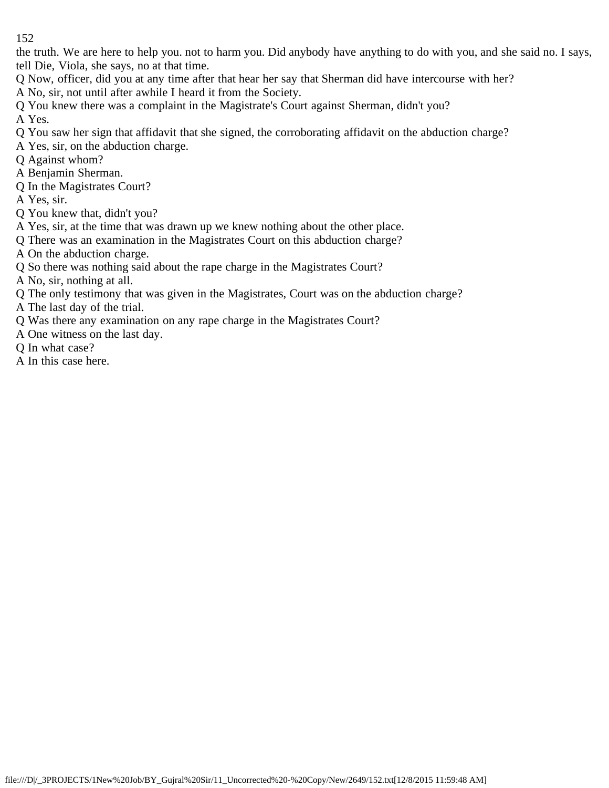the truth. We are here to help you. not to harm you. Did anybody have anything to do with you, and she said no. I says, tell Die, Viola, she says, no at that time.

Q Now, officer, did you at any time after that hear her say that Sherman did have intercourse with her?

A No, sir, not until after awhile I heard it from the Society.

Q You knew there was a complaint in the Magistrate's Court against Sherman, didn't you?

A Yes.

- Q You saw her sign that affidavit that she signed, the corroborating affidavit on the abduction charge?
- A Yes, sir, on the abduction charge.
- Q Against whom?
- A Benjamin Sherman.
- Q In the Magistrates Court?
- A Yes, sir.
- Q You knew that, didn't you?
- A Yes, sir, at the time that was drawn up we knew nothing about the other place.
- Q There was an examination in the Magistrates Court on this abduction charge?
- A On the abduction charge.
- Q So there was nothing said about the rape charge in the Magistrates Court?
- A No, sir, nothing at all.
- Q The only testimony that was given in the Magistrates, Court was on the abduction charge?
- A The last day of the trial.
- Q Was there any examination on any rape charge in the Magistrates Court?
- A One witness on the last day.
- Q In what case?
- A In this case here.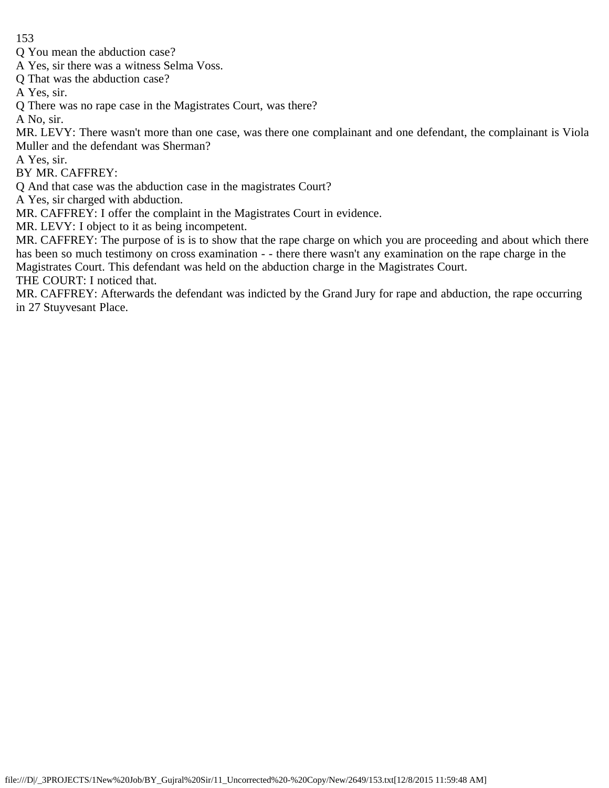Q You mean the abduction case?

A Yes, sir there was a witness Selma Voss.

Q That was the abduction case?

A Yes, sir.

Q There was no rape case in the Magistrates Court, was there?

A No, sir.

MR. LEVY: There wasn't more than one case, was there one complainant and one defendant, the complainant is Viola Muller and the defendant was Sherman?

A Yes, sir.

BY MR. CAFFREY:

Q And that case was the abduction case in the magistrates Court?

A Yes, sir charged with abduction.

MR. CAFFREY: I offer the complaint in the Magistrates Court in evidence.

MR. LEVY: I object to it as being incompetent.

MR. CAFFREY: The purpose of is is to show that the rape charge on which you are proceeding and about which there has been so much testimony on cross examination - - there there wasn't any examination on the rape charge in the Magistrates Court. This defendant was held on the abduction charge in the Magistrates Court.

THE COURT: I noticed that.

MR. CAFFREY: Afterwards the defendant was indicted by the Grand Jury for rape and abduction, the rape occurring in 27 Stuyvesant Place.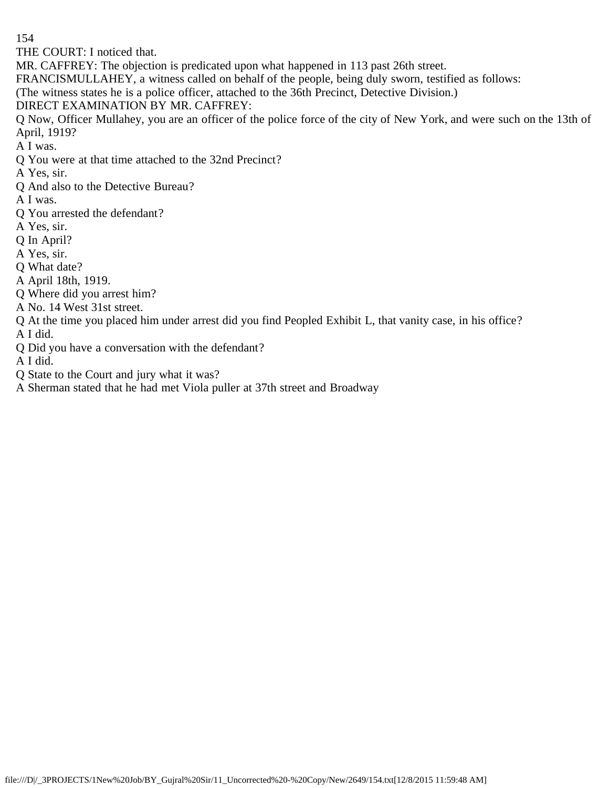THE COURT: I noticed that.

MR. CAFFREY: The objection is predicated upon what happened in 113 past 26th street.

FRANCISMULLAHEY, a witness called on behalf of the people, being duly sworn, testified as follows:

(The witness states he is a police officer, attached to the 36th Precinct, Detective Division.)

DIRECT EXAMINATION BY MR. CAFFREY:

Q Now, Officer Mullahey, you are an officer of the police force of the city of New York, and were such on the 13th of April, 1919?

A I was.

Q You were at that time attached to the 32nd Precinct?

A Yes, sir.

Q And also to the Detective Bureau?

A I was.

Q You arrested the defendant?

A Yes, sir.

Q In April?

A Yes, sir.

Q What date?

A April 18th, 1919.

Q Where did you arrest him?

A No. 14 West 31st street.

Q At the time you placed him under arrest did you find Peopled Exhibit L, that vanity case, in his office? A I did.

Q Did you have a conversation with the defendant?

A I did.

Q State to the Court and jury what it was?

A Sherman stated that he had met Viola puller at 37th street and Broadway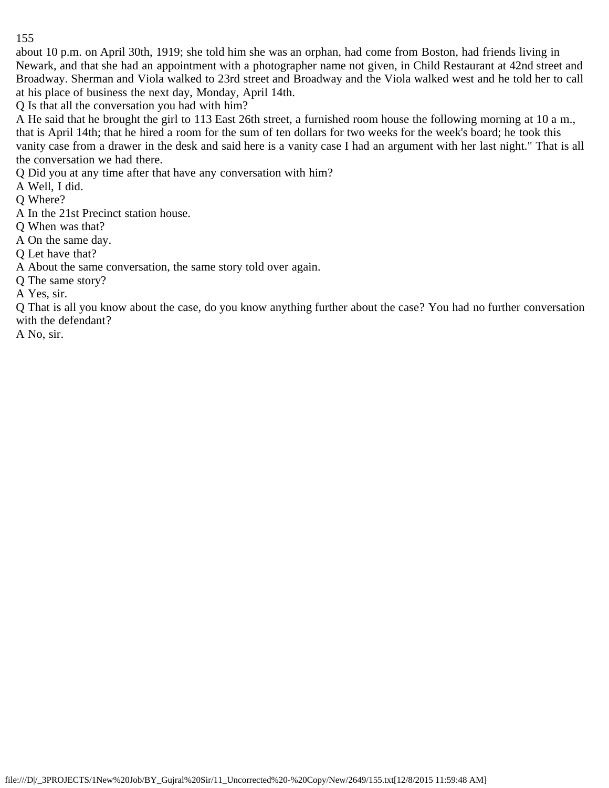about 10 p.m. on April 30th, 1919; she told him she was an orphan, had come from Boston, had friends living in Newark, and that she had an appointment with a photographer name not given, in Child Restaurant at 42nd street and Broadway. Sherman and Viola walked to 23rd street and Broadway and the Viola walked west and he told her to call at his place of business the next day, Monday, April 14th.

Q Is that all the conversation you had with him?

A He said that he brought the girl to 113 East 26th street, a furnished room house the following morning at 10 a m., that is April 14th; that he hired a room for the sum of ten dollars for two weeks for the week's board; he took this vanity case from a drawer in the desk and said here is a vanity case I had an argument with her last night." That is all the conversation we had there.

Q Did you at any time after that have any conversation with him?

A Well, I did.

Q Where?

A In the 21st Precinct station house.

Q When was that?

A On the same day.

Q Let have that?

A About the same conversation, the same story told over again.

Q The same story?

A Yes, sir.

Q That is all you know about the case, do you know anything further about the case? You had no further conversation with the defendant?

A No, sir.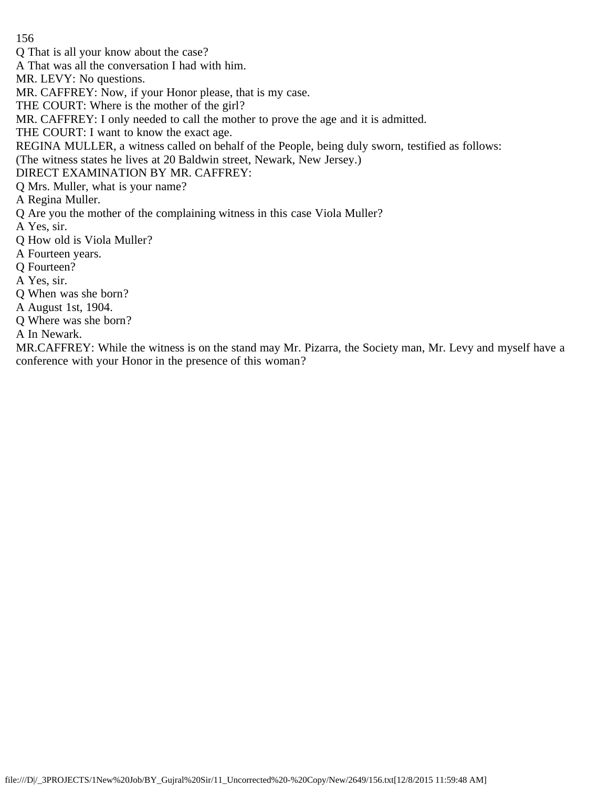- 156
- Q That is all your know about the case?
- A That was all the conversation I had with him.
- MR. LEVY: No questions.
- MR. CAFFREY: Now, if your Honor please, that is my case.
- THE COURT: Where is the mother of the girl?
- MR. CAFFREY: I only needed to call the mother to prove the age and it is admitted.
- THE COURT: I want to know the exact age.
- REGINA MULLER, a witness called on behalf of the People, being duly sworn, testified as follows:
- (The witness states he lives at 20 Baldwin street, Newark, New Jersey.)
- DIRECT EXAMINATION BY MR. CAFFREY:
- Q Mrs. Muller, what is your name?
- A Regina Muller.
- Q Are you the mother of the complaining witness in this case Viola Muller?
- A Yes, sir.
- Q How old is Viola Muller?
- A Fourteen years.
- Q Fourteen?
- A Yes, sir.
- Q When was she born?
- A August 1st, 1904.
- Q Where was she born?
- A In Newark.

MR.CAFFREY: While the witness is on the stand may Mr. Pizarra, the Society man, Mr. Levy and myself have a conference with your Honor in the presence of this woman?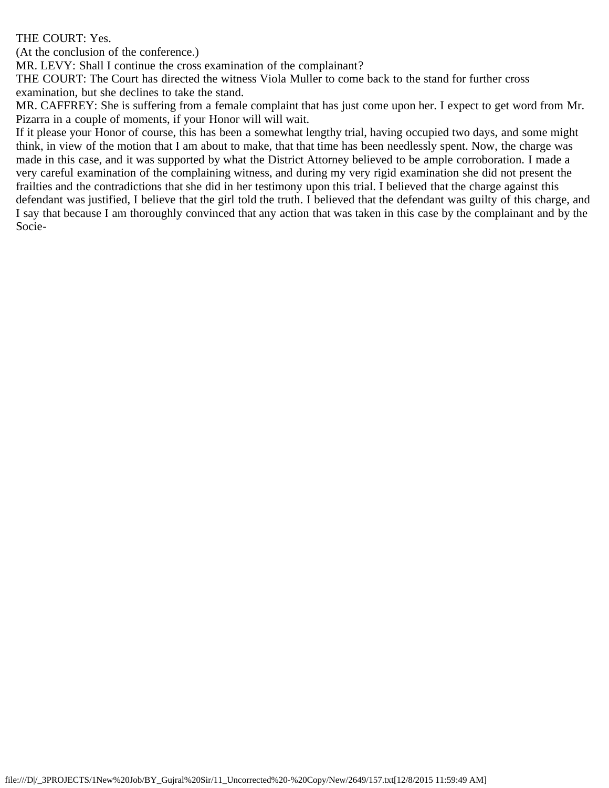## THE COURT: Yes.

(At the conclusion of the conference.)

MR. LEVY: Shall I continue the cross examination of the complainant?

THE COURT: The Court has directed the witness Viola Muller to come back to the stand for further cross examination, but she declines to take the stand.

MR. CAFFREY: She is suffering from a female complaint that has just come upon her. I expect to get word from Mr. Pizarra in a couple of moments, if your Honor will will wait.

If it please your Honor of course, this has been a somewhat lengthy trial, having occupied two days, and some might think, in view of the motion that I am about to make, that that time has been needlessly spent. Now, the charge was made in this case, and it was supported by what the District Attorney believed to be ample corroboration. I made a very careful examination of the complaining witness, and during my very rigid examination she did not present the frailties and the contradictions that she did in her testimony upon this trial. I believed that the charge against this defendant was justified, I believe that the girl told the truth. I believed that the defendant was guilty of this charge, and I say that because I am thoroughly convinced that any action that was taken in this case by the complainant and by the Socie-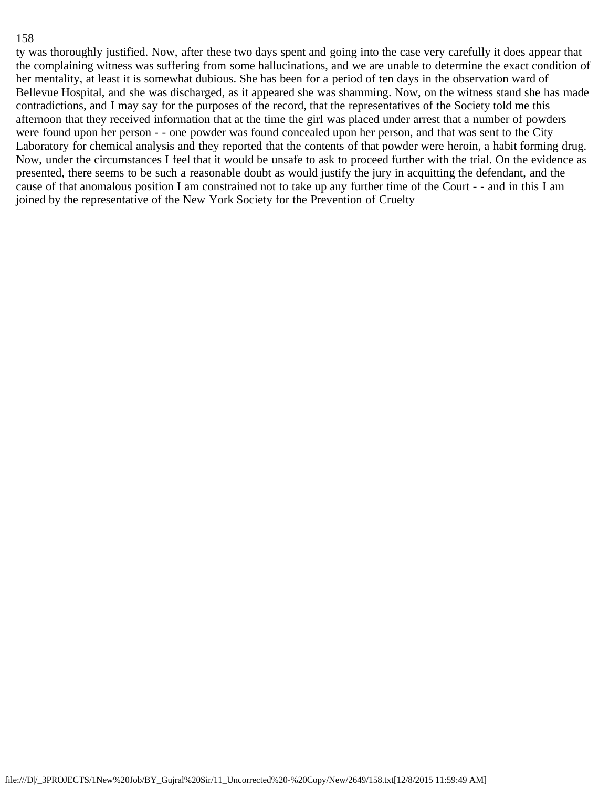ty was thoroughly justified. Now, after these two days spent and going into the case very carefully it does appear that the complaining witness was suffering from some hallucinations, and we are unable to determine the exact condition of her mentality, at least it is somewhat dubious. She has been for a period of ten days in the observation ward of Bellevue Hospital, and she was discharged, as it appeared she was shamming. Now, on the witness stand she has made contradictions, and I may say for the purposes of the record, that the representatives of the Society told me this afternoon that they received information that at the time the girl was placed under arrest that a number of powders were found upon her person - - one powder was found concealed upon her person, and that was sent to the City Laboratory for chemical analysis and they reported that the contents of that powder were heroin, a habit forming drug. Now, under the circumstances I feel that it would be unsafe to ask to proceed further with the trial. On the evidence as presented, there seems to be such a reasonable doubt as would justify the jury in acquitting the defendant, and the cause of that anomalous position I am constrained not to take up any further time of the Court - - and in this I am joined by the representative of the New York Society for the Prevention of Cruelty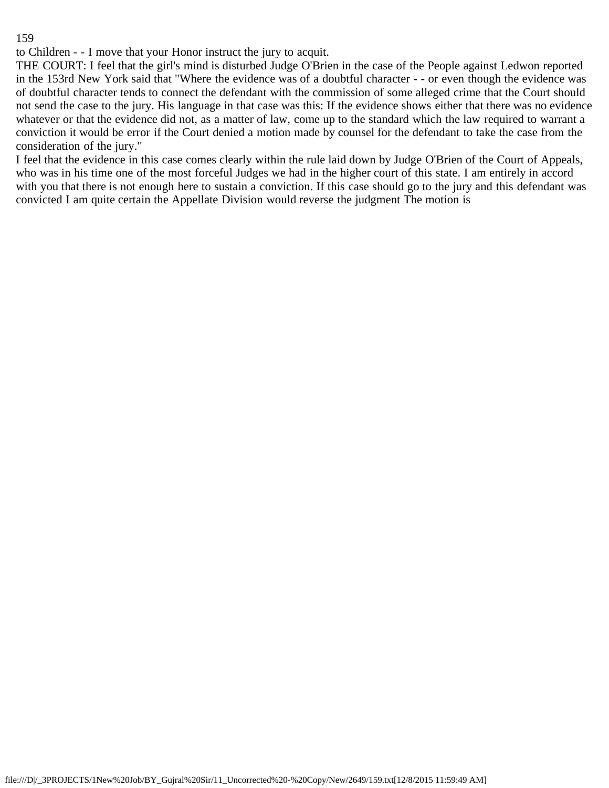to Children - - I move that your Honor instruct the jury to acquit.

THE COURT: I feel that the girl's mind is disturbed Judge O'Brien in the case of the People against Ledwon reported in the 153rd New York said that "Where the evidence was of a doubtful character - - or even though the evidence was of doubtful character tends to connect the defendant with the commission of some alleged crime that the Court should not send the case to the jury. His language in that case was this: If the evidence shows either that there was no evidence whatever or that the evidence did not, as a matter of law, come up to the standard which the law required to warrant a conviction it would be error if the Court denied a motion made by counsel for the defendant to take the case from the consideration of the jury."

I feel that the evidence in this case comes clearly within the rule laid down by Judge O'Brien of the Court of Appeals, who was in his time one of the most forceful Judges we had in the higher court of this state. I am entirely in accord with you that there is not enough here to sustain a conviction. If this case should go to the jury and this defendant was convicted I am quite certain the Appellate Division would reverse the judgment The motion is